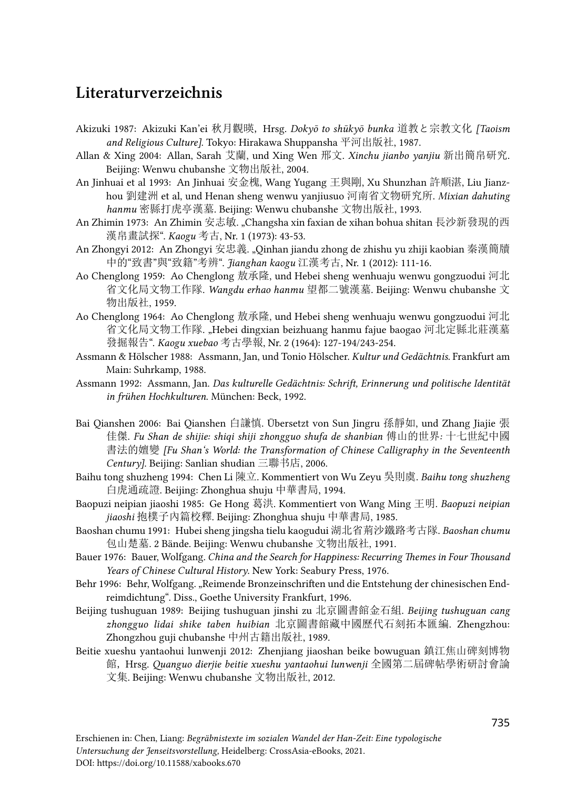# Literaturverzeichnis

- Akizuki 1987: Akizuki Kan'ei 秋月觀暎, Hrsg. *Dokyō to shūkyō bunka* 道教と宗教文化 *[Taoism and Religious Culture]*. Tokyo: Hirakawa Shuppansha 平河出版社, 1987.
- Allan & Xing 2004: Allan, Sarah 艾蘭, und Xing Wen 邢文. *Xinchu jianbo yanjiu* 新出簡帛研究. Beijing: Wenwu chubanshe 文物出版社, 2004.
- An Jinhuai et al 1993: An Jinhuai 安金槐, Wang Yugang 王與剛, Xu Shunzhan 許順湛, Liu Jianzhou 劉建洲 et al, und Henan sheng wenwu yanjiusuo 河南省文物研究所. *Mixian dahuting hanmu* 密縣打虎亭漢墓. Beijing: Wenwu chubanshe 文物出版社, 1993.
- An Zhimin 1973: An Zhimin 安志敏. "Changsha xin faxian de xihan bohua shitan 長沙新發現的西 漢帛畫試探". *Kaogu* 考古, Nr. 1 (1973): 43-53.
- An Zhongyi 2012: An Zhongyi 安忠義. "Qinhan jiandu zhong de zhishu yu zhiji kaobian 秦漢簡牘 中的"致書"與"致籍"考辨". *Jianghan kaogu* 江漢考古, Nr. 1 (2012): 111-16.
- Ao Chenglong 1959: Ao Chenglong 敖承隆, und Hebei sheng wenhuaju wenwu gongzuodui 河北 省文化局文物工作隊. *Wangdu erhao hanmu* 望都二號漢墓. Beijing: Wenwu chubanshe 文 物出版社, 1959.
- Ao Chenglong 1964: Ao Chenglong 敖承隆, und Hebei sheng wenhuaju wenwu gongzuodui 河北 省文化局文物工作隊. "Hebei dingxian beizhuang hanmu fajue baogao 河北定縣北莊漢墓 發掘報告". *Kaogu xuebao* 考古學報, Nr. 2 (1964): 127-194/243-254.
- Assmann & Hölscher 1988: Assmann, Jan, und Tonio Hölscher. *Kultur und Gedächtnis*. Frankfurt am Main: Suhrkamp, 1988.
- Assmann 1992: Assmann, Jan. *Das kulturelle Gedächtnis: Schrift, Erinnerung und politische Identität in frühen Hochkulturen*. München: Beck, 1992.
- Bai Qianshen 2006: Bai Qianshen 白謙慎. Übersetzt von Sun Jingru 孫靜如, und Zhang Jiajie 張 佳傑. *Fu Shan de shijie: shiqi shiji zhongguo shufa de shanbian* 傅山的世界*:* 十七世紀中國 書法的嬗變 *[Fu Shan's World: the Transformation of Chinese Calligraphy in the Seventeenth Century]*. Beijing: Sanlian shudian 三聯书店, 2006.
- Baihu tong shuzheng 1994: Chen Li 陳立. Kommentiert von Wu Zeyu 吳則虞. *Baihu tong shuzheng*  白虎通疏證. Beijing: Zhonghua shuju 中華書局, 1994.
- Baopuzi neipian jiaoshi 1985: Ge Hong 葛洪. Kommentiert von Wang Ming 王明. *Baopuzi neipian jiaoshi* 抱樸子內篇校釋. Beijing: Zhonghua shuju 中華書局, 1985.
- Baoshan chumu 1991: Hubei sheng jingsha tielu kaogudui 湖北省荊沙鐵路考古隊. *Baoshan chumu*  包山楚墓. 2 Bände. Beijing: Wenwu chubanshe 文物出版社, 1991.
- Bauer 1976: Bauer, Wolfgang. *China and the Search for Happiness: Recurring Themes in Four Thousand Years of Chinese Cultural History*. New York: Seabury Press, 1976.
- Behr 1996: Behr, Wolfgang. "Reimende Bronzeinschriften und die Entstehung der chinesischen Endreimdichtung". Diss., Goethe University Frankfurt, 1996.
- Beijing tushuguan 1989: Beijing tushuguan jinshi zu 北京圖書館金石組. *Beijing tushuguan cang zhongguo lidai shike taben huibian* 北京圖書館藏中國歷代石刻拓本匯編. Zhengzhou: Zhongzhou guji chubanshe 中州古籍出版社, 1989.
- Beitie xueshu yantaohui lunwenji 2012: Zhenjiang jiaoshan beike bowuguan 鎮江焦山碑刻博物 館, Hrsg. *Quanguo dierjie beitie xueshu yantaohui lunwenji* 全國第二屆碑帖學術研討會論 文集. Beijing: Wenwu chubanshe 文物出版社, 2012.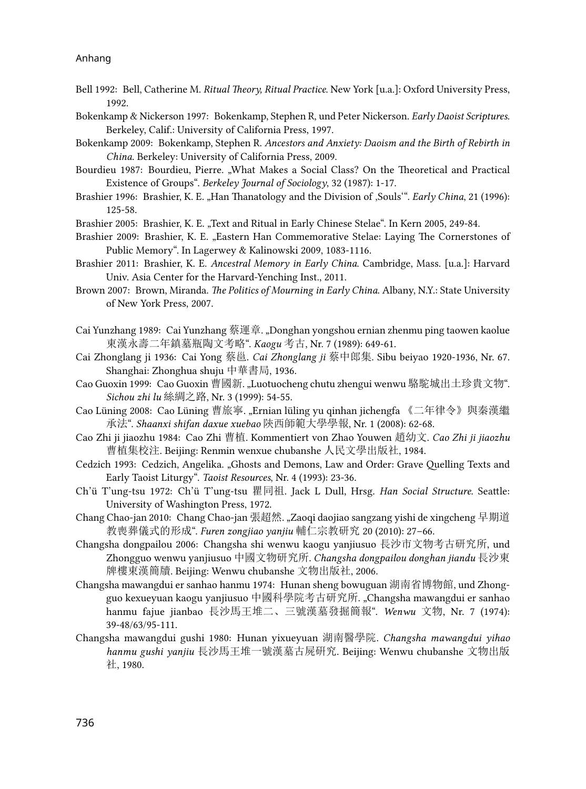- Bell 1992: Bell, Catherine M. *Ritual Theory, Ritual Practice*. New York [u.a.]: Oxford University Press, 1992.
- Bokenkamp & Nickerson 1997: Bokenkamp, Stephen R, und Peter Nickerson. *Early Daoist Scriptures*. Berkeley, Calif.: University of California Press, 1997.
- Bokenkamp 2009: Bokenkamp, Stephen R. *Ancestors and Anxiety: Daoism and the Birth of Rebirth in China*. Berkeley: University of California Press, 2009.
- Bourdieu 1987: Bourdieu, Pierre. "What Makes a Social Class? On the Theoretical and Practical Existence of Groups". *Berkeley Journal of Sociology*, 32 (1987): 1-17.
- Brashier 1996: Brashier, K. E. "Han Thanatology and the Division of , Souls". *Early China*, 21 (1996): 125-58.
- Brashier 2005: Brashier, K. E. "Text and Ritual in Early Chinese Stelae". In Kern 2005, 249-84.
- Brashier 2009: Brashier, K. E. "Eastern Han Commemorative Stelae: Laying The Cornerstones of Public Memory". In Lagerwey & Kalinowski 2009, 1083-1116.
- Brashier 2011: Brashier, K. E. *Ancestral Memory in Early China*. Cambridge, Mass. [u.a.]: Harvard Univ. Asia Center for the Harvard-Yenching Inst., 2011.
- Brown 2007: Brown, Miranda. *The Politics of Mourning in Early China*. Albany, N.Y.: State University of New York Press, 2007.
- Cai Yunzhang 1989: Cai Yunzhang 蔡運章. "Donghan yongshou ernian zhenmu ping taowen kaolue 東漢永壽二年鎮墓瓶陶文考略". *Kaogu* 考古, Nr. 7 (1989): 649-61.
- Cai Zhonglang ji 1936: Cai Yong 蔡邕. *Cai Zhonglang ji* 蔡中郎集. Sibu beiyao 1920-1936, Nr. 67. Shanghai: Zhonghua shuju 中華書局, 1936.
- Cao Guoxin 1999: Cao Guoxin 曹國新. "Luotuocheng chutu zhengui wenwu 駱駝城出土珍貴文物". *Sichou zhi lu* 絲綢之路, Nr. 3 (1999): 54-55.
- Cao Lüning 2008: Cao Lüning 曹旅寧. "Ernian lüling yu qinhan jichengfa 《二年律令》與秦漢繼 承法". *Shaanxi shifan daxue xuebao* 陝西師範大學學報, Nr. 1 (2008): 62-68.
- Cao Zhi ji jiaozhu 1984: Cao Zhi 曹植. Kommentiert von Zhao Youwen 趙幼文. *Cao Zhi ji jiaozhu*  曹植集校注. Beijing: Renmin wenxue chubanshe 人民文學出版社, 1984.
- Cedzich 1993: Cedzich, Angelika. "Ghosts and Demons, Law and Order: Grave Quelling Texts and Early Taoist Liturgy". *Taoist Resources*, Nr. 4 (1993): 23-36.
- Ch'ü T'ung-tsu 1972: Ch'ü T'ung-tsu 瞿同祖. Jack L Dull, Hrsg. *Han Social Structure.* Seattle: University of Washington Press, 1972.
- Chang Chao-jan 2010: Chang Chao-jan 張超然. "Zaoqi daojiao sangzang yishi de xingcheng 早期道 教喪葬儀式的形成". *Furen zongjiao yanjiu* 輔仁宗教研究 20 (2010): 27–66.
- Changsha dongpailou 2006: Changsha shi wenwu kaogu yanjiusuo 長沙市文物考古研究所, und Zhongguo wenwu yanjiusuo 中國文物研究所. *Changsha dongpailou donghan jiandu* 長沙東 牌樓東漢簡牘. Beijing: Wenwu chubanshe 文物出版社, 2006.
- Changsha mawangdui er sanhao hanmu 1974: Hunan sheng bowuguan 湖南省博物館, und Zhongguo kexueyuan kaogu yanjiusuo 中國科學院考古研究所. "Changsha mawangdui er sanhao hanmu fajue jianbao 長沙馬王堆二、三號漢墓發掘簡報". *Wenwu* 文物, Nr. 7 (1974): 39-48/63/95-111.
- Changsha mawangdui gushi 1980: Hunan yixueyuan 湖南醫學院. *Changsha mawangdui yihao hanmu gushi yanjiu* 長沙馬王堆一號漢墓古屍硏究. Beijing: Wenwu chubanshe 文物出版 社, 1980.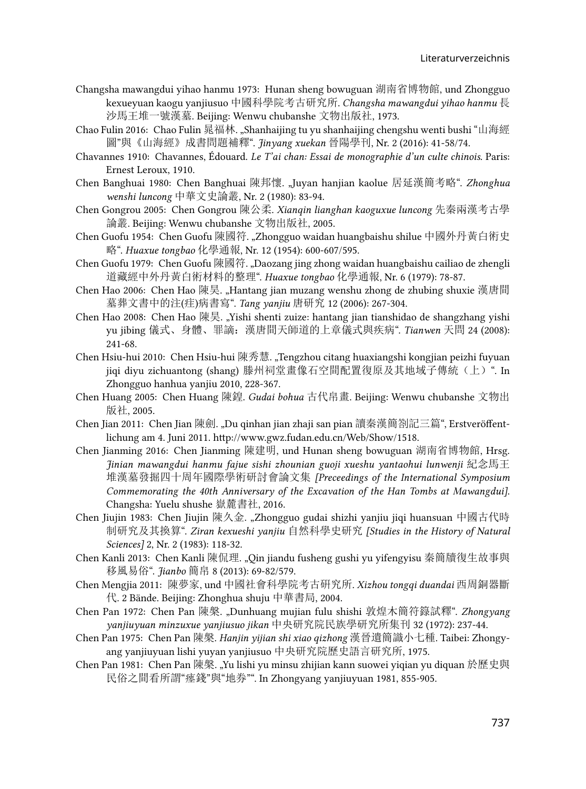- Changsha mawangdui yihao hanmu 1973: Hunan sheng bowuguan 湖南省博物館, und Zhongguo kexueyuan kaogu yanjiusuo 中國科學院考古研究所. *Changsha mawangdui yihao hanmu* 長 沙馬王堆一號漢墓. Beijing: Wenwu chubanshe 文物出版社, 1973.
- Chao Fulin 2016: Chao Fulin 晁福林. "Shanhaijing tu yu shanhaijing chengshu wenti bushi "山海經 圖"與《山海經》成書問題補釋". *Jinyang xuekan* 晉陽學刊, Nr. 2 (2016): 41-58/74.
- Chavannes 1910: Chavannes, Édouard. *Le T'ai chan: Essai de monographie d'un culte chinois.* Paris: Ernest Leroux, 1910.
- Chen Banghuai 1980: Chen Banghuai 陳邦懷. "Juyan hanjian kaolue 居延漢簡考略". *Zhonghua wenshi luncong* 中華文史論叢, Nr. 2 (1980): 83-94.
- Chen Gongrou 2005: Chen Gongrou 陳公柔. *Xianqin lianghan kaoguxue luncong* 先秦兩漢考古學 論叢. Beijing: Wenwu chubanshe 文物出版社, 2005.
- Chen Guofu 1954: Chen Guofu 陳國符. "Zhongguo waidan huangbaishu shilue 中國外丹黃白術史 略". *Huaxue tongbao* 化學通報, Nr. 12 (1954): 600-607/595.
- Chen Guofu 1979: Chen Guofu 陳國符. "Daozang jing zhong waidan huangbaishu cailiao de zhengli 道藏經中外丹黃白術材料的整理". *Huaxue tongbao* 化學通報, Nr. 6 (1979): 78-87.
- Chen Hao 2006: Chen Hao 陳昊. "Hantang jian muzang wenshu zhong de zhubing shuxie 漢唐間 墓葬文書中的注(疰)病書寫". *Tang yanjiu* 唐研究 12 (2006): 267-304.
- Chen Hao 2008: Chen Hao 陳昊. "Yishi shenti zuize: hantang jian tianshidao de shangzhang yishi yu jibing 儀式、身體、罪謫:漢唐間天師道的上章儀式與疾病". *Tianwen* 天問 24 (2008): 241-68.
- Chen Hsiu-hui 2010: Chen Hsiu-hui 陳秀慧. "Tengzhou citang huaxiangshi kongjian peizhi fuyuan jiqi diyu zichuantong (shang) 滕州祠堂畫像石空間配置復原及其地域子傳統(上)". In Zhongguo hanhua yanjiu 2010, 228-367.
- Chen Huang 2005: Chen Huang 陳鍠. *Gudai bohua* 古代帛畫. Beijing: Wenwu chubanshe 文物出 版社, 2005.
- Chen Jian 2011: Chen Jian 陳劍[. "Du qinhan jian zhaji san pian](http://www.gwz.fudan.edu.cn/Web/Show/1518) 讀秦漢簡劄記三篇", Erstveröffent[lichung am 4. Juni 2011. http://www.gwz.fudan.edu.cn/Web/Show/1518.](http://www.gwz.fudan.edu.cn/Web/Show/1518)
- Chen Jianming 2016: Chen Jianming 陳建明, und Hunan sheng bowuguan 湖南省博物館, Hrsg. *Jinian mawangdui hanmu fajue sishi zhounian guoji xueshu yantaohui lunwenji* 紀念馬王 堆漢墓發掘四十周年國際學術研討會論文集 *[Preceedings of the International Symposium Commemorating the 40th Anniversary of the Excavation of the Han Tombs at Mawangdui]*. Changsha: Yuelu shushe 嶽麓書社, 2016.
- Chen Jiujin 1983: Chen Jiujin 陳久金. "Zhongguo gudai shizhi yanjiu jiqi huansuan 中國古代時 制研究及其換算". *Ziran kexueshi yanjiu* 自然科學史研究 *[Studies in the History of Natural Sciences]* 2, Nr. 2 (1983): 118-32.
- Chen Kanli 2013: Chen Kanli 陳侃理. "Qin jiandu fusheng gushi yu yifengyisu 秦簡牘復生故事與 移風易俗". *Jianbo* 簡帛 8 (2013): 69-82/579.
- Chen Mengjia 2011: 陳夢家, und 中國社會科學院考古硏究所. *Xizhou tongqi duandai* 西周銅器斷 代. 2 Bände. Beijing: Zhonghua shuju 中華書局, 2004.
- Chen Pan 1972: Chen Pan 陳槃. "Dunhuang mujian fulu shishi 敦煌木簡符籙試釋". *Zhongyang yanjiuyuan minzuxue yanjiusuo jikan* 中央研究院民族學研究所集刊 32 (1972): 237-44.
- Chen Pan 1975: Chen Pan 陳槃. *Hanjin yijian shi xiao qizhong* 漢晉遺簡識小七種. Taibei: Zhongyang yanjiuyuan lishi yuyan yanjiusuo 中央研究院歷史語言研究所, 1975.
- Chen Pan 1981: Chen Pan 陳槃. "Yu lishi yu minsu zhijian kann suowei yiqian yu diquan 於歷史與 民俗之間看所謂"瘞錢"與"地券"". In Zhongyang yanjiuyuan 1981, 855-905.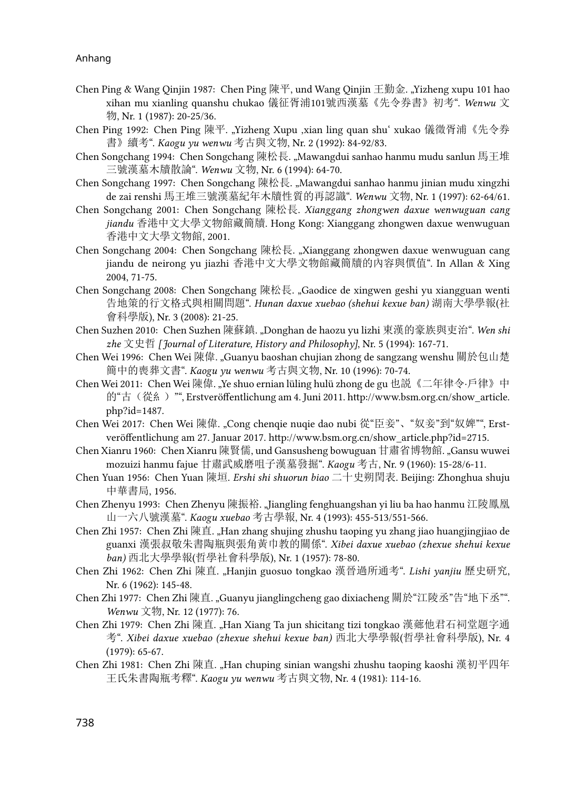- Chen Ping & Wang Qinjin 1987: Chen Ping 陳平, und Wang Qinjin 王勤金. "Yizheng xupu 101 hao xihan mu xianling quanshu chukao 儀征胥浦101號西漢墓《先令券書》初考". *Wenwu* 文 物, Nr. 1 (1987): 20-25/36.
- Chen Ping 1992: Chen Ping 陳平. "Yizheng Xupu ,xian ling quan shu' xukao 儀徵胥浦《先令券 書》續考". *Kaogu yu wenwu* 考古與文物, Nr. 2 (1992): 84-92/83.
- Chen Songchang 1994: Chen Songchang 陳松長. "Mawangdui sanhao hanmu mudu sanlun 馬王堆 三號漢墓木牘散論". *Wenwu* 文物, Nr. 6 (1994): 64-70.
- Chen Songchang 1997: Chen Songchang 陳松長. "Mawangdui sanhao hanmu jinian mudu xingzhi de zai renshi 馬王堆三號漢墓紀年木牘性質的再認識". *Wenwu* 文物, Nr. 1 (1997): 62-64/61.
- Chen Songchang 2001: Chen Songchang 陳松長. *Xianggang zhongwen daxue wenwuguan cang jiandu* 香港中文大學文物館藏簡牘. Hong Kong: Xianggang zhongwen daxue wenwuguan 香港中文大學文物館, 2001.
- Chen Songchang 2004: Chen Songchang 陳松長. "Xianggang zhongwen daxue wenwuguan cang jiandu de neirong yu jiazhi 香港中文大學文物館藏簡牘的內容與價值". In Allan & Xing 2004, 71-75.
- Chen Songchang 2008: Chen Songchang 陳松長. "Gaodice de xingwen geshi yu xiangguan wenti 告地策的行文格式與相關問題". *Hunan daxue xuebao (shehui kexue ban)* 湖南大學學報(社 會科學版), Nr. 3 (2008): 21-25.
- Chen Suzhen 2010: Chen Suzhen 陳蘇鎮. "Donghan de haozu yu lizhi 東漢的豪族與吏治". *Wen shi zhe* 文史哲 *[Journal of Literature, History and Philosophy]*, Nr. 5 (1994): 167-71.
- Chen Wei 1996: Chen Wei 陳偉. "Guanyu baoshan chujian zhong de sangzang wenshu 關於包山楚 簡中的喪葬文書". *Kaogu yu wenwu* 考古與文物, Nr. 10 (1996): 70-74.
- Chen Wei 2011: Chen Wei 陳偉. "Ye shuo ernian lüling hulü zhong de gu 也説《二年律令·戶律》中 的"古(從糹)"", Erstveröffentlichung am 4. Juni 2011. [http://www.bsm.org.cn/show\\_article.](http://www.bsm.org.cn/show_article.php?id=1487) [php?id=1487](http://www.bsm.org.cn/show_article.php?id=1487).
- Chen Wei 2017: Chen Wei 陳偉[. "Cong chenqie nuqie dao nubi](http://www.bsm.org.cn/show_article.php?id=2715) 從"臣妾"、"奴妾"到"奴婢"", Erst[veröffentlichung am 27. Januar 2017. http://www.bsm.org.cn/show\\_article.php?id=2715.](http://www.bsm.org.cn/show_article.php?id=2715)
- Chen Xianru 1960: Chen Xianru 陳賢儒, und Gansusheng bowuguan 甘肅省博物館. "Gansu wuwei mozuizi hanmu fajue 甘肅武威磨咀子漢墓發掘". *Kaogu* 考古, Nr. 9 (1960): 15-28/6-11.
- Chen Yuan 1956: Chen Yuan 陳垣. *Ershi shi shuorun biao* 二十史朔閏表. Beijing: Zhonghua shuju 中華書局, 1956.
- Chen Zhenyu 1993: Chen Zhenyu 陳振裕. "Jiangling fenghuangshan yi liu ba hao hanmu 江陵鳳凰 山一六八號漢墓". *Kaogu xuebao* 考古學報, Nr. 4 (1993): 455-513/551-566.
- Chen Zhi 1957: Chen Zhi 陳直. "Han zhang shujing zhushu taoping yu zhang jiao huangjingjiao de guanxi 漢張叔敬朱書陶瓶與張角黃巾教的關係". *Xibei daxue xuebao (zhexue shehui kexue ban)* 西北大學學報(哲學社會科學版), Nr. 1 (1957): 78-80.
- Chen Zhi 1962: Chen Zhi 陳直. "Hanjin guosuo tongkao 漢晉過所通考". *Lishi yanjiu* 歷史研究, Nr. 6 (1962): 145-48.
- Chen Zhi 1977: Chen Zhi 陳直. "Guanyu jianglingcheng gao dixiacheng 關於"江陵丞"告"地下丞"". *Wenwu* 文物, Nr. 12 (1977): 76.
- Chen Zhi 1979: Chen Zhi 陳直. "Han Xiang Ta jun shicitang tizi tongkao 漢薌他君石祠堂題字通 考". *Xibei daxue xuebao (zhexue shehui kexue ban)* 西北大學學報(哲學社會科學版), Nr. 4 (1979): 65-67.
- Chen Zhi 1981: Chen Zhi 陳直. "Han chuping sinian wangshi zhushu taoping kaoshi 漢初平四年 王氏朱書陶瓶考釋". *Kaogu yu wenwu* 考古與文物, Nr. 4 (1981): 114-16.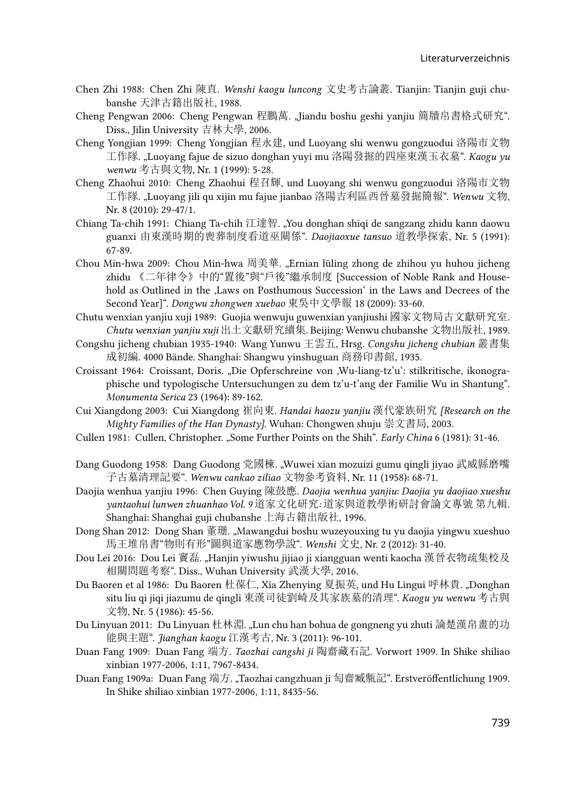- Chen Zhi 1988: Chen Zhi 陳直. *Wenshi kaogu luncong* 文史考古論叢. Tianjin: Tianjin guji chubanshe 天津古籍出版社, 1988.
- Cheng Pengwan 2006: Cheng Pengwan 程鵬萬. "Jiandu boshu geshi yanjiu 簡牘帛書格式研究". Diss., Jilin University 吉林大學, 2006.
- Cheng Yongjian 1999: Cheng Yongjian 程永建, und Luoyang shi wenwu gongzuodui 洛陽市文物 工作隊. "Luoyang fajue de sizuo donghan yuyi mu 洛陽發掘的四座東漢玉衣墓". *Kaogu yu wenwu* 考古與文物, Nr. 1 (1999): 5-28.
- Cheng Zhaohui 2010: Cheng Zhaohui 程召輝, und Luoyang shi wenwu gongzuodui 洛陽市文物 工作隊. "Luoyang jili qu xijin mu fajue jianbao 洛陽吉利區西晉墓發掘簡報". *Wenwu* 文物, Nr. 8 (2010): 29-47/1.
- Chiang Ta-chih 1991: Chiang Ta-chih 江達智. "You donghan shiqi de sangzang zhidu kann daowu guanxi 由東漢時期的喪葬制度看道巫關係". *Daojiaoxue tansuo* 道教學探索, Nr. 5 (1991): 67-89.
- Chou Min-hwa 2009: Chou Min-hwa 周美華. "Ernian lüling zhong de zhihou yu huhou jicheng zhidu 《二年律令》中的"置後"與"戶後"繼承制度 [Succession of Noble Rank and Household as Outlined in the , Laws on Posthumous Succession' in the Laws and Decrees of the Second Year]". *Dongwu zhongwen xuebao* 東吳中文學報 18 (2009): 33-60.
- Chutu wenxian yanjiu xuji 1989: Guojia wenwuju guwenxian yanjiushi 國家文物局古文獻研究室. *Chutu wenxian yanjiu xuji* 出土文獻研究續集. Beijing: Wenwu chubanshe 文物出版社, 1989.
- Congshu jicheng chubian 1935-1940: Wang Yunwu 王雲五, Hrsg. *Congshu jicheng chubian* 叢書集 成初編. 4000 Bände. Shanghai: Shangwu yinshuguan 商務印書館, 1935.
- Croissant 1964: Croissant, Doris. "Die Opferschreine von 'Wu-liang-tz'u': stilkritische, ikonographische und typologische Untersuchungen zu dem tz'u-t'ang der Familie Wu in Shantung". *Monumenta Serica* 23 (1964): 89-162.
- Cui Xiangdong 2003: Cui Xiangdong 崔向東. *Handai haozu yanjiu* 漢代豪族硏究 *[Research on the Mighty Families of the Han Dynasty]*. Wuhan: Chongwen shuju 崇文書局, 2003.
- Cullen 1981: Cullen, Christopher. "Some Further Points on the Shih". *Early China* 6 (1981): 31-46.
- Dang Guodong 1958: Dang Guodong 党國棟. "Wuwei xian mozuizi gumu qingli jiyao 武威縣磨嘴 子古墓清理記要". *Wenwu cankao ziliao* 文物參考資料, Nr. 11 (1958): 68-71.
- Daojia wenhua yanjiu 1996: Chen Guying 陳鼓應. *Daojia wenhua yanjiu: Daojia yu daojiao xueshu yantaohui lunwen zhuanhao Vol. 9* 道家文化研究*:* 道家與道教學術研討會論文專號 第九輯*.* Shanghai: Shanghai guji chubanshe 上海古籍出版社, 1996.
- Dong Shan 2012: Dong Shan 董珊. "Mawangdui boshu wuzeyouxing tu yu daojia yingwu xueshuo 馬王堆帛書"物則有形"圖與道家應物學說". *Wenshi* 文史, Nr. 2 (2012): 31-40.
- Dou Lei 2016: Dou Lei 竇磊. "Hanjin yiwushu jijiao ji xiangguan wenti kaocha 漢晉衣物疏集校及 相關問題考察". Diss., Wuhan University 武漢大學, 2016.
- Du Baoren et al 1986: Du Baoren 杜葆仁, Xia Zhenying 夏振英, und Hu Lingui 呼林貴. "Donghan situ liu qi jiqi jiazumu de qingli 東漢司徒劉崎及其家族墓的清理". *Kaogu yu wenwu* 考古與 文物, Nr. 5 (1986): 45-56.
- Du Linyuan 2011: Du Linyuan 杜林淵. "Lun chu han bohua de gongneng yu zhuti 論楚漢帛畫的功 能與主題". *Jianghan kaogu* 江漢考古, Nr. 3 (2011): 96-101.
- Duan Fang 1909: Duan Fang 端方. *Taozhai cangshi ji* 陶齋藏石記. Vorwort 1909. In Shike shiliao xinbian 1977-2006, 1:11, 7967-8434.
- Duan Fang 1909a: Duan Fang 端方. "Taozhai cangzhuan ji 匋齋臧甎記". Erstveröffentlichung 1909. In Shike shiliao xinbian 1977-2006, 1:11, 8435-56.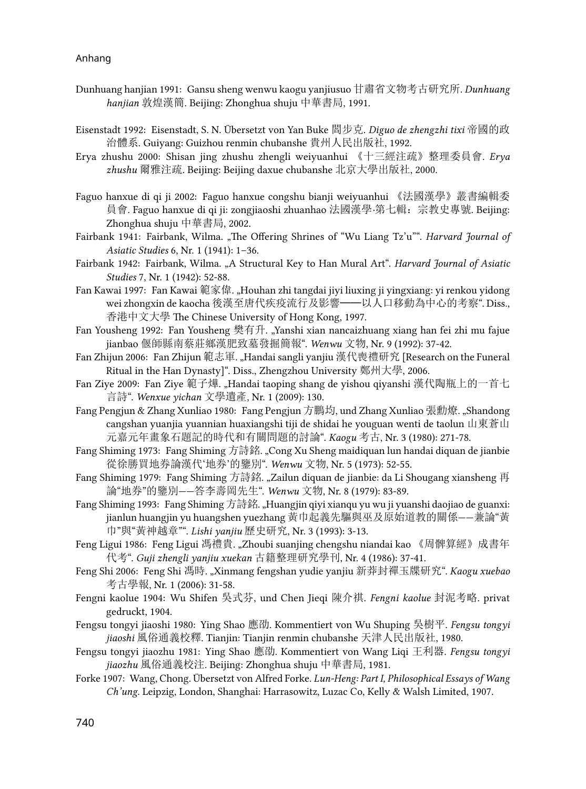- Dunhuang hanjian 1991: Gansu sheng wenwu kaogu yanjiusuo 甘肅省文物考古研究所. *Dunhuang hanjian* 敦煌漢簡. Beijing: Zhonghua shuju 中華書局, 1991.
- Eisenstadt 1992: Eisenstadt, S. N. Übersetzt von Yan Buke 閻步克. *Diguo de zhengzhi tixi* 帝國的政 治體系. Guiyang: Guizhou renmin chubanshe 貴州人民出版社, 1992.
- Erya zhushu 2000: Shisan jing zhushu zhengli weiyuanhui 《十三經注疏》整理委員會. *Erya zhushu* 爾雅注疏. Beijing: Beijing daxue chubanshe 北京大學出版社, 2000.
- Faguo hanxue di qi ji 2002: Faguo hanxue congshu bianji weiyuanhui 《法國漢學》叢書編輯委 員會. Faguo hanxue di qi ji: zongjiaoshi zhuanhao 法國漢學*·*第七輯:宗教史專號. Beijing: Zhonghua shuju 中華書局, 2002.
- Fairbank 1941: Fairbank, Wilma. "The Offering Shrines of "Wu Liang Tz'u"". *Harvard Journal of Asiatic Studies* 6, Nr. 1 (1941): 1–36.
- Fairbank 1942: Fairbank, Wilma. "A Structural Key to Han Mural Art". *Harvard Journal of Asiatic Studies* 7, Nr. 1 (1942): 52-88.
- Fan Kawai 1997: Fan Kawai 範家偉. "Houhan zhi tangdai jiyi liuxing ji yingxiang: yi renkou yidong wei zhongxin de kaocha 後漢至唐代疾疫流行及影響──以人口移動為中心的考察". Diss., 香港中文大學 The Chinese University of Hong Kong, 1997.
- Fan Yousheng 1992: Fan Yousheng 樊有升. "Yanshi xian nancaizhuang xiang han fei zhi mu fajue jianbao 偃師縣南蔡莊鄉漢肥致墓發掘簡報". *Wenwu* 文物, Nr. 9 (1992): 37-42.
- Fan Zhijun 2006: Fan Zhijun 範志軍. "Handai sangli yanjiu 漢代喪禮研究 [Research on the Funeral Ritual in the Han Dynasty]". Diss., Zhengzhou University 鄭州大學, 2006.
- Fan Ziye 2009: Fan Ziye 範子燁. "Handai taoping shang de yishou qiyanshi 漢代陶瓶上的一首七 言詩". *Wenxue yichan* 文學遺產, Nr. 1 (2009): 130.
- Fang Pengjun & Zhang Xunliao 1980: Fang Pengjun 方鵬均, und Zhang Xunliao 張勳燎. "Shandong cangshan yuanjia yuannian huaxiangshi tiji de shidai he youguan wenti de taolun 山東蒼山 元嘉元年畫象石題記的時代和有關問題的討論". *Kaogu* 考古, Nr. 3 (1980): 271-78.
- Fang Shiming 1973: Fang Shiming 方詩銘. "Cong Xu Sheng maidiquan lun handai diquan de jianbie 從徐勝買地券論漢代'地券'的鑒別". *Wenwu* 文物, Nr. 5 (1973): 52-55.
- Fang Shiming 1979: Fang Shiming 方詩銘. "Zailun diquan de jianbie: da Li Shougang xiansheng 再 論"地券"的鑒別——答李壽岡先生". *Wenwu* 文物, Nr. 8 (1979): 83-89.
- Fang Shiming 1993: Fang Shiming 方詩銘. "Huangjin qiyi xianqu yu wu ji yuanshi daojiao de guanxi: jianlun huangjin yu huangshen yuezhang 黃巾起義先驅與巫及原始道教的關係——兼論"黃 巾"與"黃神越章"". *Lishi yanjiu* 歷史研究, Nr. 3 (1993): 3-13.
- Feng Ligui 1986: Feng Ligui 馮禮貴. "Zhoubi suanjing chengshu niandai kao 《周髀算經》成書年 代考". *Guji zhengli yanjiu xuekan* 古籍整理研究學刊, Nr. 4 (1986): 37-41.
- Feng Shi 2006: Feng Shi 馮時. "Xinmang fengshan yudie yanjiu 新莽封禪玉牒研究". *Kaogu xuebao* 考古學報, Nr. 1 (2006): 31-58.
- Fengni kaolue 1904: Wu Shifen 吳式芬, und Chen Jieqi 陳介祺. *Fengni kaolue* 封泥考略. privat gedruckt, 1904.
- Fengsu tongyi jiaoshi 1980: Ying Shao 應劭. Kommentiert von Wu Shuping 吳樹平. *Fengsu tongyi jiaoshi* 風俗通義校釋. Tianjin: Tianjin renmin chubanshe 天津人民出版社, 1980.
- Fengsu tongyi jiaozhu 1981: Ying Shao 應劭. Kommentiert von Wang Liqi 王利器. *Fengsu tongyi jiaozhu* 風俗通義校注. Beijing: Zhonghua shuju 中華書局, 1981.
- Forke 1907: Wang, Chong. Übersetzt von Alfred Forke. *Lun-Heng: Part I, Philosophical Essays of Wang Ch'ung*. Leipzig, London, Shanghai: Harrasowitz, Luzac Co, Kelly & Walsh Limited, 1907.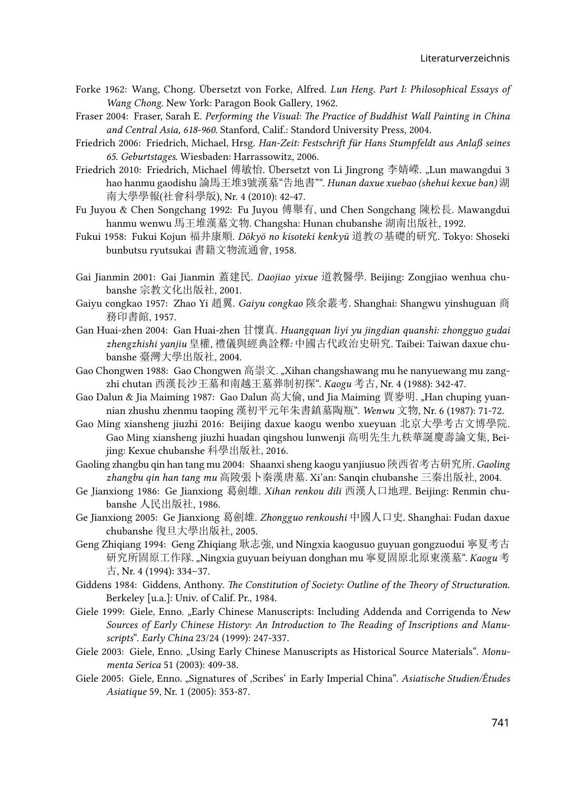- Forke 1962: Wang, Chong. Übersetzt von Forke, Alfred. *Lun Heng. Part I: Philosophical Essays of Wang Chong*. New York: Paragon Book Gallery, 1962.
- Fraser 2004: Fraser, Sarah E. *Performing the Visual: The Practice of Buddhist Wall Painting in China and Central Asia, 618-960*. Stanford, Calif.: Standord University Press, 2004.
- Friedrich 2006: Friedrich, Michael, Hrsg. *Han-Zeit: Festschrift für Hans Stumpfeldt aus Anlaß seines 65. Geburtstages*. Wiesbaden: Harrassowitz, 2006.
- Friedrich 2010: Friedrich, Michael 傅敏怡. Übersetzt von Li Jingrong 李婧嶸. "Lun mawangdui 3 hao hanmu gaodishu 論馬王堆3號漢墓"告地書"". *Hunan daxue xuebao (shehui kexue ban)* 湖 南大學學報(社會科學版), Nr. 4 (2010): 42-47.
- Fu Juyou & Chen Songchang 1992: Fu Juyou 傅舉有, und Chen Songchang 陳松長. Mawangdui hanmu wenwu 馬王堆漢墓文物. Changsha: Hunan chubanshe 湖南出版社, 1992.
- Fukui 1958: Fukui Kojun 福井康順. *Dōkyō no kisoteki kenkyū* 道教の基礎的研究. Tokyo: Shoseki bunbutsu ryutsukai 書籍文物流通會, 1958.
- Gai Jianmin 2001: Gai Jianmin 蓋建民. *Daojiao yixue* 道教醫學. Beijing: Zongjiao wenhua chubanshe 宗教文化出版社, 2001.
- Gaiyu congkao 1957: Zhao Yi 趙翼. *Gaiyu congkao* 陔余叢考. Shanghai: Shangwu yinshuguan 商 務印書館, 1957.
- Gan Huai-zhen 2004: Gan Huai-zhen 甘懷真. *Huangquan liyi yu jingdian quanshi: zhongguo gudai zhengzhishi yanjiu* 皇權*,* 禮儀與經典詮釋*:* 中國古代政治史硏究. Taibei: Taiwan daxue chubanshe 臺灣大學出版社, 2004.
- Gao Chongwen 1988: Gao Chongwen 高崇文. "Xihan changshawang mu he nanyuewang mu zangzhi chutan 西漢長沙王墓和南越王墓葬制初探". *Kaogu* 考古, Nr. 4 (1988): 342-47.
- Gao Dalun & Jia Maiming 1987: Gao Dalun 高大倫, und Jia Maiming 賈麥明. "Han chuping yuannian zhushu zhenmu taoping 漢初平元年朱書鎮墓陶瓶". *Wenwu* 文物, Nr. 6 (1987): 71-72.
- Gao Ming xiansheng jiuzhi 2016: Beijing daxue kaogu wenbo xueyuan 北京大學考古文博學院. Gao Ming xiansheng jiuzhi huadan qingshou lunwenji 高明先生九秩華誕慶壽論文集, Beijing: Kexue chubanshe 科學出版社, 2016.
- Gaoling zhangbu qin han tang mu 2004: Shaanxi sheng kaogu yanjiusuo 陝西省考古硏究所. *Gaoling zhangbu qin han tang mu* 高陵張卜秦漢唐墓. Xi'an: Sanqin chubanshe 三秦出版社, 2004.
- Ge Jianxiong 1986: Ge Jianxiong 葛劍雄. *Xihan renkou dili* 西漢人口地理. Beijing: Renmin chubanshe 人民出版社, 1986.
- Ge Jianxiong 2005: Ge Jianxiong 葛劍雄. *Zhongguo renkoushi* 中國人口史. Shanghai: Fudan daxue chubanshe 復旦大學出版社, 2005.
- Geng Zhiqiang 1994: Geng Zhiqiang 耿志強, und Ningxia kaogusuo guyuan gongzuodui 寧夏考古 研究所固原工作隊. "Ningxia guyuan beiyuan donghan mu 寧夏固原北原東漢墓". *Kaogu* 考 古, Nr. 4 (1994): 334–37.
- Giddens 1984: Giddens, Anthony. *The Constitution of Society: Outline of the Theory of Structuration*. Berkeley [u.a.]: Univ. of Calif. Pr., 1984.
- Giele 1999: Giele, Enno. "Early Chinese Manuscripts: Including Addenda and Corrigenda to *New Sources of Early Chinese History: An Introduction to The Reading of Inscriptions and Manuscripts*". *Early China* 23/24 (1999): 247-337.
- Giele 2003: Giele, Enno. "Using Early Chinese Manuscripts as Historical Source Materials". *Monumenta Serica* 51 (2003): 409-38.
- Giele 2005: Giele, Enno. "Signatures of 'Scribes' in Early Imperial China". *Asiatische Studien/Études Asiatique* 59, Nr. 1 (2005): 353-87.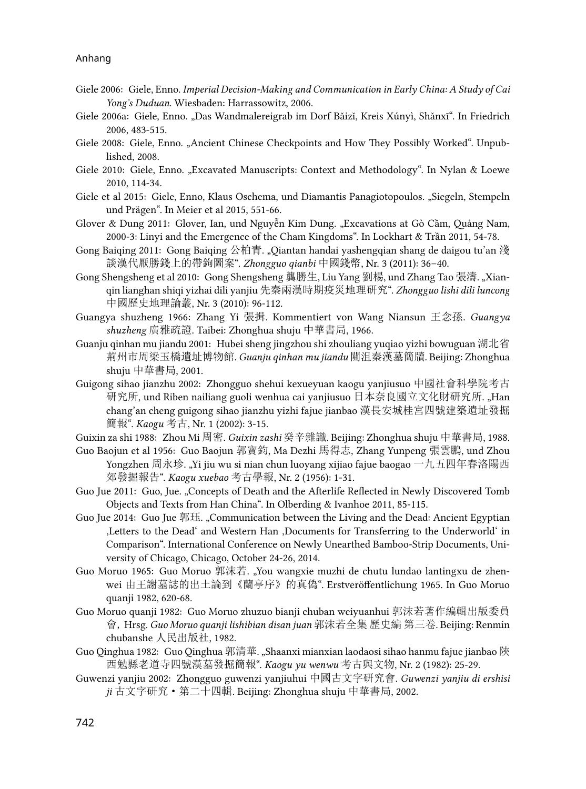- Giele 2006: Giele, Enno. *Imperial Decision-Making and Communication in Early China: A Study of Cai Yong's Duduan*. Wiesbaden: Harrassowitz, 2006.
- Giele 2006a: Giele, Enno. "Das Wandmalereigrab im Dorf Bǎizǐ, Kreis Xúnyì, Shǎnxī". In Friedrich 2006, 483-515.
- Giele 2008: Giele, Enno. "Ancient Chinese Checkpoints and How They Possibly Worked". Unpublished, 2008.
- Giele 2010: Giele, Enno. "Excavated Manuscripts: Context and Methodology". In Nylan & Loewe 2010, 114-34.
- Giele et al 2015: Giele, Enno, Klaus Oschema, und Diamantis Panagiotopoulos. "Siegeln, Stempeln und Prägen". In Meier et al 2015, 551-66.
- Glover & Dung 2011: Glover, Ian, und Nguyễn Kim Dung. "Excavations at Gò Cầm, Quảng Nam, 2000-3: Linyi and the Emergence of the Cham Kingdoms". In Lockhart & Trần 2011, 54-78.
- Gong Baiqing 2011: Gong Baiqing 公柏青. "Qiantan handai yashengqian shang de daigou tu'an 淺 談漢代厭勝錢上的帶鉤圖案". *Zhongguo qianbi* 中國錢幣, Nr. 3 (2011): 36–40.
- Gong Shengsheng et al 2010: Gong Shengsheng 龔勝生, Liu Yang 劉楊, und Zhang Tao 張濤. "Xianqin lianghan shiqi yizhai dili yanjiu 先秦兩漢時期疫災地理研究". *Zhongguo lishi dili luncong*  中國歷史地理論叢, Nr. 3 (2010): 96-112.
- Guangya shuzheng 1966: Zhang Yi 張揖. Kommentiert von Wang Niansun 王念孫. *Guangya shuzheng* 廣雅疏證. Taibei: Zhonghua shuju 中華書局, 1966.
- Guanju qinhan mu jiandu 2001: Hubei sheng jingzhou shi zhouliang yuqiao yizhi bowuguan 湖北省 荊州市周梁玉橋遺址博物館. *Guanju qinhan mu jiandu* 關沮秦漢墓簡牘. Beijing: Zhonghua shuju 中華書局, 2001.
- Guigong sihao jianzhu 2002: Zhongguo shehui kexueyuan kaogu yanjiusuo 中國社會科學院考古 研究所, und Riben nailiang guoli wenhua cai yanjiusuo 日本奈良國立文化財研究所. "Han chang'an cheng guigong sihao jianzhu yizhi fajue jianbao 漢長安城桂宮四號建築遺址發掘 簡報". *Kaogu* 考古, Nr. 1 (2002): 3-15.
- Guixin za shi 1988: Zhou Mi 周密. *Guixin zashi* 癸辛雜識. Beijing: Zhonghua shuju 中華書局, 1988.
- Guo Baojun et al 1956: Guo Baojun 郭寶鈞, Ma Dezhi 馬得志, Zhang Yunpeng 張雲鵬, und Zhou Yongzhen 周永珍. "Yi jiu wu si nian chun luoyang xijiao fajue baogao 一九五四年春洛陽西 郊發掘報告". *Kaogu xuebao* 考古學報, Nr. 2 (1956): 1-31.
- Guo Jue 2011: Guo, Jue. "Concepts of Death and the Afterlife Reflected in Newly Discovered Tomb Objects and Texts from Han China". In Olberding & Ivanhoe 2011, 85-115.
- Guo Jue 2014: Guo Jue 郭珏. "Communication between the Living and the Dead: Ancient Egyptian Letters to the Dead' and Western Han ,Documents for Transferring to the Underworld' in Comparison". International Conference on Newly Unearthed Bamboo-Strip Documents, University of Chicago, Chicago, October 24-26, 2014.
- Guo Moruo 1965: Guo Moruo 郭沫若. "You wangxie muzhi de chutu lundao lantingxu de zhenwei 由王謝墓誌的出土論到《蘭亭序》的真偽". Erstveröffentlichung 1965. In Guo Moruo quanji 1982, 620-68.
- Guo Moruo quanji 1982: Guo Moruo zhuzuo bianji chuban weiyuanhui 郭沫若著作編輯出版委員 會, Hrsg. *Guo Moruo quanji lishibian disan juan* 郭沫若全集 歷史編 第三卷. Beijing: Renmin chubanshe 人民出版社, 1982.
- Guo Qinghua 1982: Guo Qinghua 郭清華. "Shaanxi mianxian laodaosi sihao hanmu fajue jianbao 陝 西勉縣老道寺四號漢墓發掘簡報". *Kaogu yu wenwu* 考古與文物, Nr. 2 (1982): 25-29.
- Guwenzi yanjiu 2002: Zhongguo guwenzi yanjiuhui 中國古文字研究會. *Guwenzi yanjiu di ershisi ji* 古文字研究·第二十四輯. Beijing: Zhonghua shuju 中華書局, 2002.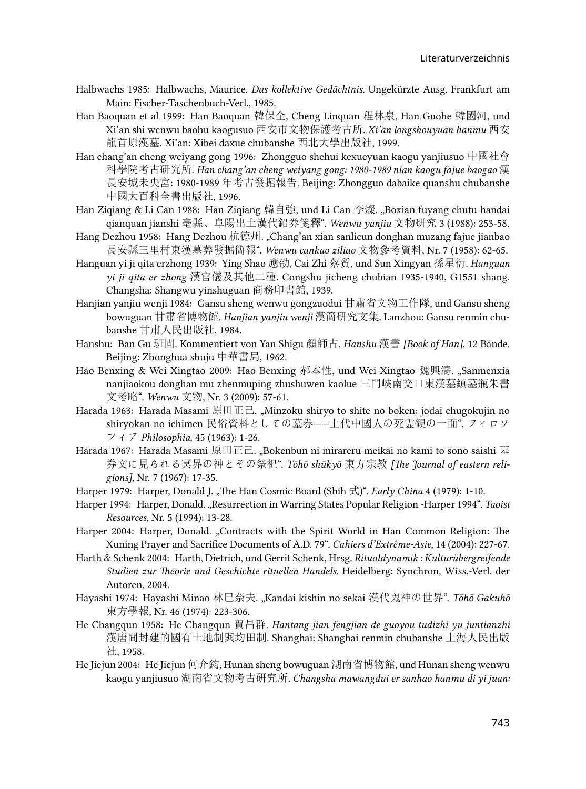- Halbwachs 1985: Halbwachs, Maurice. *Das kollektive Gedächtnis*. Ungekürzte Ausg. Frankfurt am Main: Fischer-Taschenbuch-Verl., 1985.
- Han Baoquan et al 1999: Han Baoquan 韓保全, Cheng Linquan 程林泉, Han Guohe 韓國河, und Xi'an shi wenwu baohu kaogusuo 西安市文物保護考古所. *Xi'an longshouyuan hanmu* 西安 龍首原漢墓. Xi'an: Xibei daxue chubanshe 西北大學出版社, 1999.
- Han chang'an cheng weiyang gong 1996: Zhongguo shehui kexueyuan kaogu yanjiusuo 中國社會 科學院考古研究所. *Han chang'an cheng weiyang gong: 1980-1989 nian kaogu fajue baogao* 漢 長安城未央宮: 1980-1989 年考古發掘報告. Beijing: Zhongguo dabaike quanshu chubanshe 中國大百科全書出版社, 1996.
- Han Ziqiang & Li Can 1988: Han Ziqiang 韓自強, und Li Can 李燦. "Boxian fuyang chutu handai qianquan jianshi 亳縣、阜陽出土漢代鉛券箋釋". *Wenwu yanjiu* 文物研究 3 (1988): 253-58.
- Hang Dezhou 1958: Hang Dezhou 杭德州. "Chang'an xian sanlicun donghan muzang fajue jianbao 長安縣三里村東漢墓葬發掘簡報". *Wenwu cankao ziliao* 文物參考資料, Nr. 7 (1958): 62-65.
- Hanguan yi ji qita erzhong 1939: Ying Shao 應劭, Cai Zhi 蔡質, und Sun Xingyan 孫星衍. *Hanguan yi ji qita er zhong* 漢官儀及其他二種. Congshu jicheng chubian 1935-1940, G1551 shang. Changsha: Shangwu yinshuguan 商務印書館, 1939.
- Hanjian yanjiu wenji 1984: Gansu sheng wenwu gongzuodui 甘肅省文物工作隊, und Gansu sheng bowuguan 甘肅省博物館. *Hanjian yanjiu wenji* 漢簡研究文集. Lanzhou: Gansu renmin chubanshe 甘肅人民出版社, 1984.
- Hanshu: Ban Gu 班固. Kommentiert von Yan Shigu 顏師古. *Hanshu* 漢書 *[Book of Han]*. 12 Bände. Beijing: Zhonghua shuju 中華書局, 1962.
- Hao Benxing & Wei Xingtao 2009: Hao Benxing 郝本性, und Wei Xingtao 魏興濤. "Sanmenxia nanjiaokou donghan mu zhenmuping zhushuwen kaolue 三門峽南交口東漢墓鎮墓瓶朱書 文考略". *Wenwu* 文物, Nr. 3 (2009): 57-61.
- Harada 1963: Harada Masami 原田正己. "Minzoku shiryo to shite no boken: jodai chugokujin no shiryokan no ichimen 民俗資料としての墓券——上代中國人の死霊観の一面". フィロソ フィア *Philosophia*, 45 (1963): 1-26.
- Harada 1967: Harada Masami 原田正己. "Bokenbun ni mirareru meikai no kami to sono saishi 墓 券文に見られる冥界の神とその祭祀". *Tōhō shūkyō* 東方宗教 *[The Journal of eastern religions]*, Nr. 7 (1967): 17-35.
- Harper 1979: Harper, Donald J. "The Han Cosmic Board (Shih 式)". *Early China* 4 (1979): 1-10.
- Harper 1994: Harper, Donald. "Resurrection in Warring States Popular Religion -Harper 1994". *Taoist Resources*, Nr. 5 (1994): 13-28.
- Harper 2004: Harper, Donald. "Contracts with the Spirit World in Han Common Religion: The Xuning Prayer and Sacrifice Documents of A.D. 79". *Cahiers d'Extrême-Asie*, 14 (2004): 227-67.
- Harth & Schenk 2004: Harth, Dietrich, und Gerrit Schenk, Hrsg. *Ritualdynamik : Kulturübergreifende Studien zur Theorie und Geschichte rituellen Handels*. Heidelberg: Synchron, Wiss.-Verl. der Autoren, 2004.
- Hayashi 1974: Hayashi Minao 林巳奈夫. "Kandai kishin no sekai 漢代鬼神の世界". Tōhō Gakuhō 東方學報, Nr. 46 (1974): 223-306.
- He Changqun 1958: He Changqun 賀昌群. *Hantang jian fengjian de guoyou tudizhi yu juntianzhi*  漢唐間封建的國有土地制與均田制. Shanghai: Shanghai renmin chubanshe 上海人民出版 社, 1958.
- He Jiejun 2004: He Jiejun 何介鈞, Hunan sheng bowuguan 湖南省博物館, und Hunan sheng wenwu kaogu yanjiusuo 湖南省文物考古硏究所. *Changsha mawangdui er sanhao hanmu di yi juan:*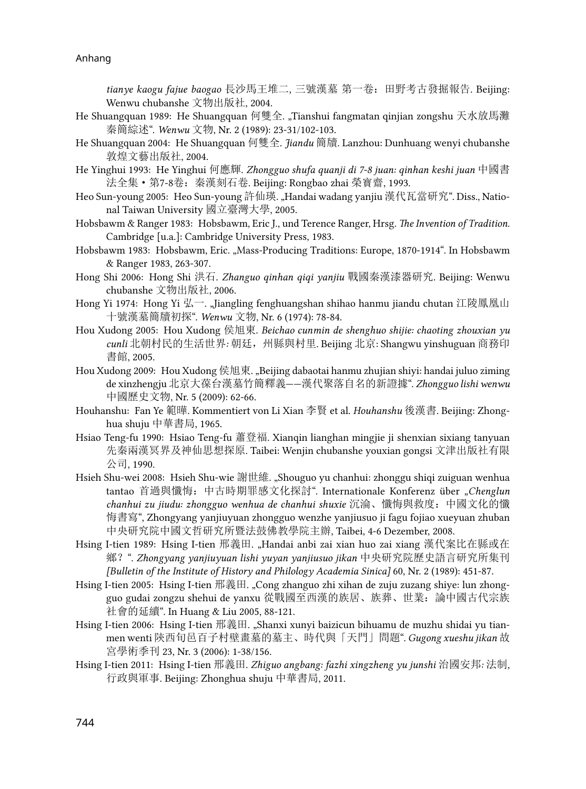*tianye kaogu fajue baogao* 長沙馬王堆二*,* 三號漢墓 第一卷:田野考古發掘報告. Beijing: Wenwu chubanshe 文物出版社, 2004.

- He Shuangquan 1989: He Shuangquan 何雙全. "Tianshui fangmatan qinjian zongshu 天水放馬灘 秦簡綜述". *Wenwu* 文物, Nr. 2 (1989): 23-31/102-103.
- He Shuangquan 2004: He Shuangquan 何雙全. *Jiandu* 簡牘. Lanzhou: Dunhuang wenyi chubanshe 敦煌文藝出版社, 2004.
- He Yinghui 1993: He Yinghui 何應輝. *Zhongguo shufa quanji di 7-8 juan: qinhan keshi juan* 中國書 法全集·第7-8卷:秦漢刻石卷. Beijing: Rongbao zhai 榮寳齋, 1993.
- Heo Sun-young 2005: Heo Sun-young 許仙瑛. "Handai wadang yanjiu 漢代瓦當研究". Diss., National Taiwan University 國立臺灣大學, 2005.
- Hobsbawm & Ranger 1983: Hobsbawm, Eric J., und Terence Ranger, Hrsg. *The Invention of Tradition.*  Cambridge [u.a.]: Cambridge University Press, 1983.
- Hobsbawm 1983: Hobsbawm, Eric. "Mass-Producing Traditions: Europe, 1870-1914". In Hobsbawm & Ranger 1983, 263-307.
- Hong Shi 2006: Hong Shi 洪石. *Zhanguo qinhan qiqi yanjiu* 戰國秦漢漆器研究. Beijing: Wenwu chubanshe 文物出版社, 2006.
- Hong Yi 1974: Hong Yi 弘一. "Jiangling fenghuangshan shihao hanmu jiandu chutan 江陵鳳凰山 十號漢墓簡牘初探". *Wenwu* 文物, Nr. 6 (1974): 78-84.
- Hou Xudong 2005: Hou Xudong 侯旭東. *Beichao cunmin de shenghuo shijie: chaoting zhouxian yu cunli* 北朝村民的生活世界*:* 朝廷,州縣與村里. Beijing 北京: Shangwu yinshuguan 商務印 書館, 2005.
- Hou Xudong 2009: Hou Xudong 侯旭東. "Beijing dabaotai hanmu zhujian shiyi: handai juluo ziming de xinzhengju 北京大葆台漢墓竹簡釋義——漢代聚落自名的新證據". *Zhongguo lishi wenwu*  中國歷史文物, Nr. 5 (2009): 62-66.
- Houhanshu: Fan Ye 範曄. Kommentiert von Li Xian 李賢 et al. *Houhanshu* 後漢書. Beijing: Zhonghua shuju 中華書局, 1965.
- Hsiao Teng-fu 1990: Hsiao Teng-fu 蕭登福. Xianqin lianghan mingjie ji shenxian sixiang tanyuan 先秦兩漢冥界及神仙思想探原. Taibei: Wenjin chubanshe youxian gongsi 文津出版社有限 公司, 1990.
- Hsieh Shu-wei 2008: Hsieh Shu-wie 謝世維. "Shouguo yu chanhui: zhonggu shiqi zuiguan wenhua tantao 首過與懺悔:中古時期罪感文化探討". Internationale Konferenz über "*Chenglun chanhui zu jiudu: zhongguo wenhua de chanhui shuxie* 沉淪、懺悔與救度:中國文化的懺 悔書寫", Zhongyang yanjiuyuan zhongguo wenzhe yanjiusuo ji fagu fojiao xueyuan zhuban 中央研究院中國文哲研究所暨法鼓佛教學院主辦, Taibei, 4-6 Dezember, 2008.
- Hsing I-tien 1989: Hsing I-tien 邢義田. "Handai anbi zai xian huo zai xiang 漢代案比在縣或在 鄉?". *Zhongyang yanjiuyuan lishi yuyan yanjiusuo jikan* 中央研究院歷史語言研究所集刊 *[Bulletin of the Institute of History and Philology Academia Sinica]* 60, Nr. 2 (1989): 451-87.
- Hsing I-tien 2005: Hsing I-tien 邢義田. "Cong zhanguo zhi xihan de zuju zuzang shiye: lun zhongguo gudai zongzu shehui de yanxu 從戰國至西漢的族居、族葬、世業:論中國古代宗族 社會的延續". In Huang & Liu 2005, 88-121.
- Hsing I-tien 2006: Hsing I-tien 邢義田. "Shanxi xunyi baizicun bihuamu de muzhu shidai yu tianmen wenti 陝西旬邑百子村壁畫墓的墓主、時代與「天門」問題". *Gugong xueshu jikan* 故 宮學術季刊 23, Nr. 3 (2006): 1-38/156.
- Hsing I-tien 2011: Hsing I-tien 邢義田. *Zhiguo angbang: fazhi xingzheng yu junshi* 治國安邦*:* 法制*,*  行政與軍事. Beijing: Zhonghua shuju 中華書局, 2011.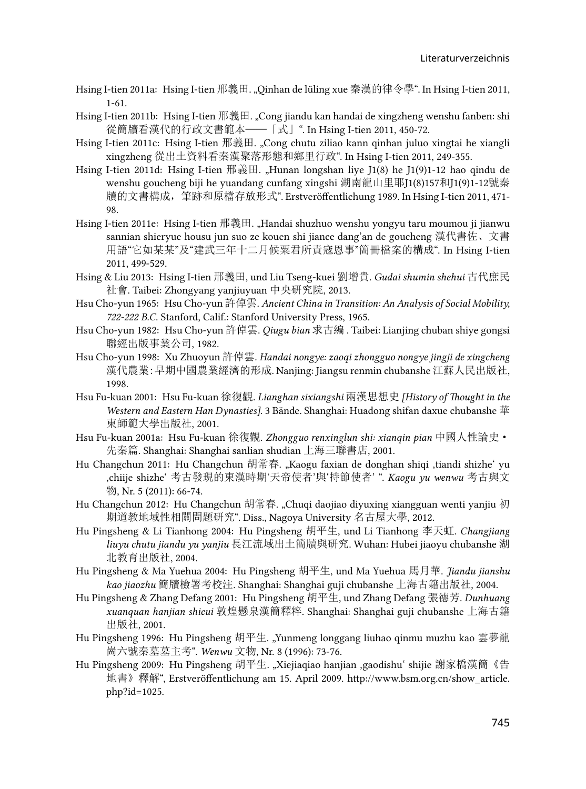- Hsing I-tien 2011a: Hsing I-tien 邢義田. "Qinhan de lüling xue 秦漢的律令學". In Hsing I-tien 2011, 1-61.
- Hsing I-tien 2011b: Hsing I-tien 邢義田. "Cong jiandu kan handai de xingzheng wenshu fanben: shi 從簡牘看漢代的行政文書範本——「式」". In Hsing I-tien 2011, 450-72.
- Hsing I-tien 2011c: Hsing I-tien 邢義田. "Cong chutu ziliao kann qinhan juluo xingtai he xiangli xingzheng 從出土資料看秦漢聚落形態和鄉里行政". In Hsing I-tien 2011, 249-355.
- Hsing I-tien 2011d: Hsing I-tien 邢義田. "Hunan longshan liye J1(8) he J1(9)1-12 hao qindu de wenshu goucheng biji he yuandang cunfang xingshi 湖南龍山里耶J1(8)157和J1(9)1-12號秦 牘的文書構成,筆跡和原檔存放形式". Erstveröffentlichung 1989. In Hsing I-tien 2011, 471- 98.
- Hsing I-tien 2011e: Hsing I-tien 邢義田. "Handai shuzhuo wenshu yongyu taru moumou ji jianwu sannian shieryue housu jun suo ze kouen shi jiance dang'an de goucheng 漢代書佐、文書 用語"它如某某"及"建武三年十二月候粟君所責寇恩事"簡冊檔案的構成". In Hsing I-tien 2011, 499-529.
- Hsing & Liu 2013: Hsing I-tien 邢義田, und Liu Tseng-kuei 劉增貴. *Gudai shumin shehui* 古代庶民 社會. Taibei: Zhongyang yanjiuyuan 中央研究院, 2013.
- Hsu Cho-yun 1965: Hsu Cho-yun 許倬雲. *Ancient China in Transition: An Analysis of Social Mobility, 722-222 B.C*. Stanford, Calif.: Stanford University Press, 1965.
- Hsu Cho-yun 1982: Hsu Cho-yun 許倬雲. *Qiugu bian* 求古編 . Taibei: Lianjing chuban shiye gongsi 聯經出版事業公司, 1982.
- Hsu Cho-yun 1998: Xu Zhuoyun 許倬雲. *Handai nongye: zaoqi zhongguo nongye jingji de xingcheng*  漢代農業:早期中國農業經濟的形成. Nanjing: Jiangsu renmin chubanshe 江蘇人民出版社, 1998.
- Hsu Fu-kuan 2001: Hsu Fu-kuan 徐復觀. *Lianghan sixiangshi* 兩漢思想史 *[History of Thought in the Western and Eastern Han Dynasties]*. 3 Bände. Shanghai: Huadong shifan daxue chubanshe 華 東師範大學出版社, 2001.
- Hsu Fu-kuan 2001a: Hsu Fu-kuan 徐復觀. *Zhongguo renxinglun shi: xianqin pian* 中國人性論史· 先秦篇. Shanghai: Shanghai sanlian shudian 上海三聯書店, 2001.
- Hu Changchun 2011: Hu Changchun 胡常春. "Kaogu faxian de donghan shiqi ,tiandi shizhe' yu 'chiije shizhe' 考古發現的東漢時期'天帝使者'與'持節使者' ". *Kaogu yu wenwu* 考古與文 物, Nr. 5 (2011): 66-74.
- Hu Changchun 2012: Hu Changchun 胡常春. "Chuqi daojiao diyuxing xiangguan wenti yanjiu 初 期道教地域性相關問題研究". Diss., Nagoya University 名古屋大學, 2012.
- Hu Pingsheng & Li Tianhong 2004: Hu Pingsheng 胡平生, und Li Tianhong 李天虹. *Changjiang liuyu chutu jiandu yu yanjiu* 長江流域出土簡牘與研究. Wuhan: Hubei jiaoyu chubanshe 湖 北教育出版社, 2004.
- Hu Pingsheng & Ma Yuehua 2004: Hu Pingsheng 胡平生, und Ma Yuehua 馬月華. *Jiandu jianshu kao jiaozhu* 簡牘檢署考校注. Shanghai: Shanghai guji chubanshe 上海古籍出版社, 2004.
- Hu Pingsheng & Zhang Defang 2001: Hu Pingsheng 胡平生, und Zhang Defang 張德芳. *Dunhuang xuanquan hanjian shicui* 敦煌懸泉漢簡釋粹. Shanghai: Shanghai guji chubanshe 上海古籍 出版社, 2001.
- Hu Pingsheng 1996: Hu Pingsheng 胡平生. "Yunmeng longgang liuhao qinmu muzhu kao 雲夢龍 崗六號秦墓墓主考". *Wenwu* 文物, Nr. 8 (1996): 73-76.
- Hu Pingsheng 2009: Hu Pingsheng 胡平生. "Xiejiaqiao hanjian ,gaodishu' shijie 謝家橋漢簡《告 地書》釋解[", Erstveröffentlichung am 15. April 2009. http://www.bsm.org.cn/show\\_article.](http://www.bsm.org.cn/show_article.php?id=1025) [php?id=1025.](http://www.bsm.org.cn/show_article.php?id=1025)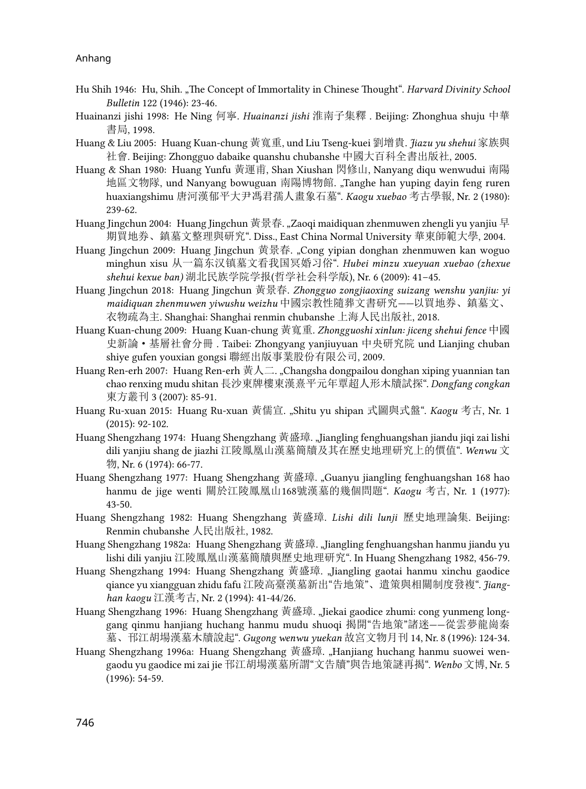- Hu Shih 1946: Hu, Shih. "The Concept of Immortality in Chinese Thought". *Harvard Divinity School Bulletin* 122 (1946): 23-46.
- Huainanzi jishi 1998: He Ning 何寧. *Huainanzi jishi* 淮南子集釋 . Beijing: Zhonghua shuju 中華 書局, 1998.
- Huang & Liu 2005: Huang Kuan-chung 黃寬重, und Liu Tseng-kuei 劉增貴. *Jiazu yu shehui* 家族與 社會. Beijing: Zhongguo dabaike quanshu chubanshe 中國大百科全書出版社, 2005.
- Huang & Shan 1980: Huang Yunfu 黃運甫, Shan Xiushan 閃修山, Nanyang diqu wenwudui 南陽 地區文物隊, und Nanyang bowuguan 南陽博物館. "Tanghe han yuping dayin feng ruren huaxiangshimu 唐河漢郁平大尹馮君孺人畫象石墓". *Kaogu xuebao* 考古學報, Nr. 2 (1980): 239-62.
- Huang Jingchun 2004: Huang Jingchun 黃景春. "Zaoqi maidiquan zhenmuwen zhengli yu yanjiu 早 期買地券、鎮墓文整理與研究". Diss., East China Normal University 華東師範大學, 2004.
- Huang Jingchun 2009: Huang Jingchun 黄景春. "Cong yipian donghan zhenmuwen kan woguo minghun xisu 从一篇东汉镇墓文看我国冥婚习俗". *Hubei minzu xueyuan xuebao (zhexue shehui kexue ban)* 湖北民族学院学报(哲学社会科学版), Nr. 6 (2009): 41–45.
- Huang Jingchun 2018: Huang Jingchun 黃景春. *Zhongguo zongjiaoxing suizang wenshu yanjiu: yi maidiquan zhenmuwen yiwushu weizhu* 中國宗教性隨葬文書研究*——*以買地券、鎮墓文、 衣物疏為主. Shanghai: Shanghai renmin chubanshe 上海人民出版社, 2018.
- Huang Kuan-chung 2009: Huang Kuan-chung 黃寬重. *Zhongguoshi xinlun: jiceng shehui fence* 中國 史新論·基層社會分冊 . Taibei: Zhongyang yanjiuyuan 中央研究院 und Lianjing chuban shiye gufen youxian gongsi 聯經出版事業股份有限公司, 2009.
- Huang Ren-erh 2007: Huang Ren-erh 黃人二. "Changsha dongpailou donghan xiping yuannian tan chao renxing mudu shitan 長沙東牌樓東漢熹平元年覃超人形木牘試探". *Dongfang congkan*  東方叢刊 3 (2007): 85-91.
- Huang Ru-xuan 2015: Huang Ru-xuan 黃儒宣. "Shitu yu shipan 式圖與式盤". *Kaogu* 考古, Nr. 1 (2015): 92-102.
- Huang Shengzhang 1974: Huang Shengzhang 黃盛璋. "Jiangling fenghuangshan jiandu jiqi zai lishi dili yanjiu shang de jiazhi 江陵鳳凰山漢墓簡牘及其在歷史地理研究上的價值". *Wenwu* 文 物, Nr. 6 (1974): 66-77.
- Huang Shengzhang 1977: Huang Shengzhang 黃盛璋. "Guanyu jiangling fenghuangshan 168 hao hanmu de jige wenti 關於江陵鳳凰山168號漢墓的幾個問題". *Kaogu* 考古, Nr. 1 (1977): 43-50.
- Huang Shengzhang 1982: Huang Shengzhang 黃盛璋. *Lishi dili lunji* 歷史地理論集. Beijing: Renmin chubanshe 人民出版社, 1982.
- Huang Shengzhang 1982a: Huang Shengzhang 黄盛璋. "Jiangling fenghuangshan hanmu jiandu yu lishi dili yanjiu 江陵鳳凰山漢墓簡牘與歷史地理研究". In Huang Shengzhang 1982, 456-79.
- Huang Shengzhang 1994: Huang Shengzhang 黃盛璋. "Jiangling gaotai hanmu xinchu gaodice qiance yu xiangguan zhidu fafu 江陵高臺漢墓新出"告地策"、遣策與相關制度發複". *Jianghan kaogu* 江漢考古, Nr. 2 (1994): 41-44/26.
- Huang Shengzhang 1996: Huang Shengzhang 黃盛璋. "Jiekai gaodice zhumi: cong yunmeng longgang qinmu hanjiang huchang hanmu mudu shuoqi 揭開"告地策"諸迷——從雲夢龍崗秦 墓、邗江胡場漢墓木牘說起". *Gugong wenwu yuekan* 故宮文物月刊 14, Nr. 8 (1996): 124-34.
- Huang Shengzhang 1996a: Huang Shengzhang 黃盛璋. "Hanjiang huchang hanmu suowei wengaodu yu gaodice mi zai jie 邗江胡場漢墓所謂"文告牘"與告地策謎再揭". *Wenbo* 文博, Nr. 5 (1996): 54-59.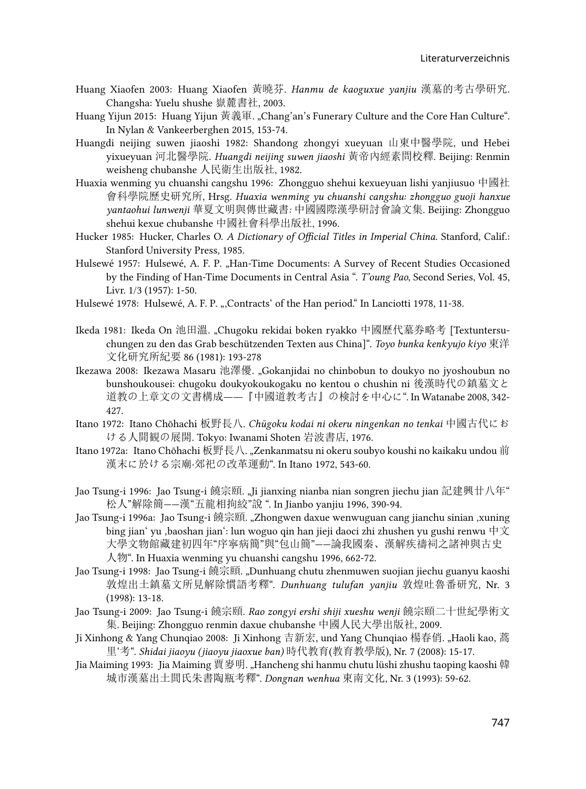- Huang Xiaofen 2003: Huang Xiaofen 黃曉芬. *Hanmu de kaoguxue yanjiu* 漢墓的考古學硏究. Changsha: Yuelu shushe 嶽麓書社, 2003.
- Huang Yijun 2015: Huang Yijun 黃義軍. "Chang'an's Funerary Culture and the Core Han Culture". In Nylan & Vankeerberghen 2015, 153-74.
- Huangdi neijing suwen jiaoshi 1982: Shandong zhongyi xueyuan 山東中醫學院, und Hebei yixueyuan 河北醫學院. *Huangdi neijing suwen jiaoshi* 黃帝內經素問校釋. Beijing: Renmin weisheng chubanshe 人民衛生出版社, 1982.
- Huaxia wenming yu chuanshi cangshu 1996: Zhongguo shehui kexueyuan lishi yanjiusuo 中國社 會科學院歷史研究所, Hrsg. *Huaxia wenming yu chuanshi cangshu: zhongguo guoji hanxue yantaohui lunwenji* 華夏文明與傳世藏書*:* 中國國際漢學硏討會論文集. Beijing: Zhongguo shehui kexue chubanshe 中國社會科學出版社, 1996.
- Hucker 1985: Hucker, Charles O. *A Dictionary of Official Titles in Imperial China*. Stanford, Calif.: Stanford University Press, 1985.
- Hulsewé 1957: Hulsewé, A. F. P. "Han-Time Documents: A Survey of Recent Studies Occasioned by the Finding of Han-Time Documents in Central Asia ". *T'oung Pao*, Second Series, Vol. 45, Livr. 1/3 (1957): 1-50.
- Hulsewé 1978: Hulsewé, A. F. P. ", Contracts' of the Han period." In Lanciotti 1978, 11-38.
- Ikeda 1981: Ikeda On 池田溫. "Chugoku rekidai boken ryakko 中國歷代墓券略考 [Textuntersuchungen zu den das Grab beschützenden Texten aus China]". *Toyo bunka kenkyujo kiyo* 東洋 文化研究所紀要 86 (1981): 193-278
- Ikezawa 2008: Ikezawa Masaru 池澤優. "Gokanjidai no chinbobun to doukyo no jyoshoubun no bunshoukousei: chugoku doukyokoukogaku no kentou o chushin ni 後漢時代の鎮墓文と 道教の上章文の文書構成――『中國道教考古』の検討を中心に". In Watanabe 2008, 342- 427.
- Itano 1972: Itano Chōhachi 板野長八. *Chūgoku kodai ni okeru ningenkan no tenkai* 中國古代にお ける人間観の展開. Tokyo: Iwanami Shoten 岩波書店, 1976.
- Itano 1972a: Itano Chōhachi 板野長八. "Zenkanmatsu ni okeru soubyo koushi no kaikaku undou 前 漢末に於ける宗廟·郊祀の改革運動". In Itano 1972, 543-60.
- Jao Tsung-i 1996: Jao Tsung-i 饒宗頤. "Ji jianxing nianba nian songren jiechu jian 記建興廿八年" 松人"解除簡——漢"五龍相拘絞"說 ". In Jianbo yanjiu 1996, 390-94.
- Jao Tsung-i 1996a: Jao Tsung-i 饒宗頤. "Zhongwen daxue wenwuguan cang jianchu sinian ,xuning bing jian' yu ,baoshan jian': lun woguo qin han jieji daoci zhi zhushen yu gushi renwu 中文 大學文物館藏建初四年"序寧病簡"與"包山簡"——論我國秦、漢解疾禱祠之諸神與古史 人物". In Huaxia wenming yu chuanshi cangshu 1996, 662-72.
- Jao Tsung-i 1998: Jao Tsung-i 饒宗頤. "Dunhuang chutu zhenmuwen suojian jiechu guanyu kaoshi 敦煌出土鎮墓文所見解除慣語考釋". *Dunhuang tulufan yanjiu* 敦煌吐魯番研究, Nr. 3 (1998): 13-18.
- Jao Tsung-i 2009: Jao Tsung-i 饒宗頤. *Rao zongyi ershi shiji xueshu wenji* 饒宗頤二十世紀學術文 集. Beijing: Zhongguo renmin daxue chubanshe 中國人民大學出版社, 2009.
- Ji Xinhong & Yang Chunqiao 2008: Ji Xinhong 吉新宏, und Yang Chunqiao 楊春俏. "Haoli kao, 蒿 里'考". *Shidai jiaoyu (jiaoyu jiaoxue ban)* 時代教育(教育教學版), Nr. 7 (2008): 15-17.
- Jia Maiming 1993: Jia Maiming 賈麥明. "Hancheng shi hanmu chutu lüshi zhushu taoping kaoshi 韓 城市漢墓出土閭氏朱書陶瓶考釋". *Dongnan wenhua* 東南文化, Nr. 3 (1993): 59-62.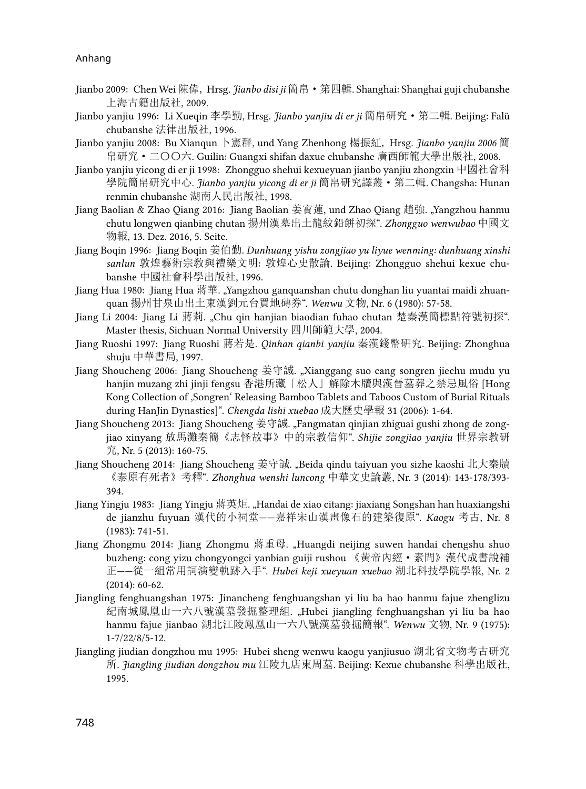- Jianbo 2009: Chen Wei 陳偉, Hrsg. *Jianbo disi ji* 簡帛·第四輯. Shanghai: Shanghai guji chubanshe 上海古籍出版社, 2009.
- Jianbo yanjiu 1996: Li Xueqin 李學勤, Hrsg. *Jianbo yanjiu di er ji* 簡帛研究·第二輯. Beijing: Falü chubanshe 法律出版社, 1996.
- Jianbo yanjiu 2008: Bu Xianqun 卜憲群, und Yang Zhenhong 楊振紅, Hrsg. *Jianbo yanjiu 2006* 簡 帛研究·二〇〇六. Guilin: Guangxi shifan daxue chubanshe 廣西師範大學出版社, 2008.
- Jianbo yanjiu yicong di er ji 1998: Zhongguo shehui kexueyuan jianbo yanjiu zhongxin 中國社會科 學院簡帛研究中心. *Jianbo yanjiu yicong di er ji* 簡帛研究譯叢·第二輯. Changsha: Hunan renmin chubanshe 湖南人民出版社, 1998.
- Jiang Baolian & Zhao Qiang 2016: Jiang Baolian 姜寶蓮, und Zhao Qiang 趙強. "Yangzhou hanmu chutu longwen qianbing chutan 揚州漢墓出土龍紋鉛餅初探". *Zhongguo wenwubao* 中國文 物報, 13. Dez. 2016, 5. Seite.
- Jiang Boqin 1996: Jiang Boqin 姜伯勤. *Dunhuang yishu zongjiao yu liyue wenming: dunhuang xinshi sanlun* 敦煌藝術宗敎與禮樂文明: 敦煌心史散論. Beijing: Zhongguo shehui kexue chubanshe 中國社會科學出版社, 1996.
- Jiang Hua 1980: Jiang Hua 蔣華. "Yangzhou ganquanshan chutu donghan liu yuantai maidi zhuanquan 揚州甘泉山出土東漢劉元台買地磚券". *Wenwu* 文物, Nr. 6 (1980): 57-58.
- Jiang Li 2004: Jiang Li 蔣莉. "Chu qin hanjian biaodian fuhao chutan 楚秦漢簡標點符號初探". Master thesis, Sichuan Normal University 四川師範大學, 2004.
- Jiang Ruoshi 1997: Jiang Ruoshi 蔣若是. *Qinhan qianbi yanjiu* 秦漢錢幣硏究. Beijing: Zhonghua shuju 中華書局, 1997.
- Jiang Shoucheng 2006: Jiang Shoucheng 姜守誠. "Xianggang suo cang songren jiechu mudu yu hanjin muzang zhi jinji fengsu 香港所藏「松人」解除木牘與漢晉墓葬之禁忌風俗 [Hong Kong Collection of 'Songren' Releasing Bamboo Tablets and Taboos Custom of Burial Rituals during HanJin Dynasties]". *Chengda lishi xuebao* 成大歷史學報 31 (2006): 1-64.
- Jiang Shoucheng 2013: Jiang Shoucheng 姜守誠. "Fangmatan qinjian zhiguai gushi zhong de zongjiao xinyang 放馬灘秦簡《志怪故事》中的宗教信仰". *Shijie zongjiao yanjiu* 世界宗教研 究, Nr. 5 (2013): 160-75.
- Jiang Shoucheng 2014: Jiang Shoucheng 姜守誠. "Beida qindu taiyuan you sizhe kaoshi 北大秦牘 《泰原有死者》考釋". *Zhonghua wenshi luncong* 中華文史論叢, Nr. 3 (2014): 143-178/393- 394.
- Jiang Yingju 1983: Jiang Yingju 蔣英炬. "Handai de xiao citang: jiaxiang Songshan han huaxiangshi de jianzhu fuyuan 漢代的小祠堂——嘉祥宋山漢畫像石的建築復原". *Kaogu* 考古, Nr. 8 (1983): 741-51.
- Jiang Zhongmu 2014: Jiang Zhongmu 蔣重母. "Huangdi neijing suwen handai chengshu shuo buzheng: cong yizu chongyongci yanbian guiji rushou 《黃帝內經·素問》漢代成書說補 正——從一組常用詞演變軌跡入手". *Hubei keji xueyuan xuebao* 湖北科技學院學報, Nr. 2 (2014): 60-62.
- Jiangling fenghuangshan 1975: Jinancheng fenghuangshan yi liu ba hao hanmu fajue zhenglizu 紀南城鳳凰山一六八號漢墓發掘整理組. "Hubei jiangling fenghuangshan yi liu ba hao hanmu fajue jianbao 湖北江陵鳳凰山一六八號漢墓發掘簡報". *Wenwu* 文物, Nr. 9 (1975): 1-7/22/8/5-12.
- Jiangling jiudian dongzhou mu 1995: Hubei sheng wenwu kaogu yanjiusuo 湖北省文物考古研究 所. *Jiangling jiudian dongzhou mu* 江陵九店東周墓. Beijing: Kexue chubanshe 科學出版社, 1995.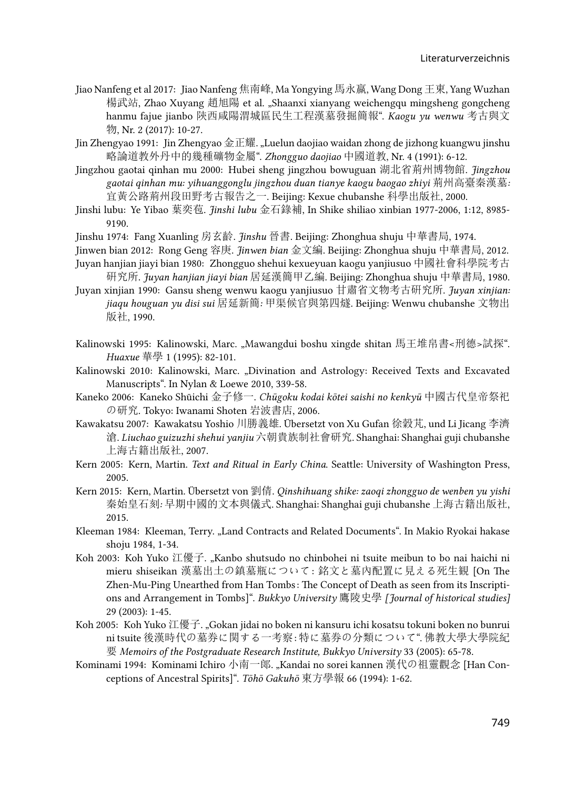- Jiao Nanfeng et al 2017: Jiao Nanfeng 焦南峰, Ma Yongying 馬永嬴, Wang Dong 王東, Yang Wuzhan 楊武站, Zhao Xuyang 趙旭陽 et al. "Shaanxi xianyang weichengqu mingsheng gongcheng hanmu fajue jianbo 陝西咸陽渭城區民生工程漢墓發掘簡報". *Kaogu yu wenwu* 考古與文 物, Nr. 2 (2017): 10-27.
- Jin Zhengyao 1991: Jin Zhengyao 金正耀. "Luelun daojiao waidan zhong de jizhong kuangwu jinshu 略論道教外丹中的幾種礦物金屬". *Zhongguo daojiao* 中國道教, Nr. 4 (1991): 6-12.
- Jingzhou gaotai qinhan mu 2000: Hubei sheng jingzhou bowuguan 湖北省荊州博物館. *Jingzhou gaotai qinhan mu: yihuanggonglu jingzhou duan tianye kaogu baogao zhiyi* 荊州高臺秦漢墓*:*  宜黃公路荊州段田野考古報告之一. Beijing: Kexue chubanshe 科學出版社, 2000.
- Jinshi lubu: Ye Yibao 葉奕苞. *Jinshi lubu* 金石錄補, In Shike shiliao xinbian 1977-2006, 1:12, 8985- 9190.
- Jinshu 1974: Fang Xuanling 房玄齡. *Jinshu* 晉書. Beijing: Zhonghua shuju 中華書局, 1974.
- Jinwen bian 2012: Rong Geng 容庚. *Jinwen bian* 金文編. Beijing: Zhonghua shuju 中華書局, 2012. Juyan hanjian jiayi bian 1980: Zhongguo shehui kexueyuan kaogu yanjiusuo 中國社會科學院考古
- 硏究所. *Juyan hanjian jiayi bian* 居延漢簡甲乙編. Beijing: Zhonghua shuju 中華書局, 1980.
- Juyan xinjian 1990: Gansu sheng wenwu kaogu yanjiusuo 甘肅省文物考古硏究所. *Juyan xinjian: jiaqu houguan yu disi sui* 居延新簡*:* 甲渠候官與第四燧. Beijing: Wenwu chubanshe 文物出 版社, 1990.
- Kalinowski 1995: Kalinowski, Marc. "Mawangdui boshu xingde shitan 馬王堆帛書<刑德>試探". *Huaxue* 華學 1 (1995): 82-101.
- Kalinowski 2010: Kalinowski, Marc. "Divination and Astrology: Received Texts and Excavated Manuscripts". In Nylan & Loewe 2010, 339-58.
- Kaneko 2006: Kaneko Shūichi 金子修一. *Chūgoku kodai kōtei saishi no kenkyū* 中國古代皇帝祭祀 の研究. Tokyo: Iwanami Shoten 岩波書店, 2006.
- Kawakatsu 2007: Kawakatsu Yoshio 川勝義雄. Übersetzt von Xu Gufan 徐穀芃, und Li Jicang 李濟 滄. *Liuchao guizuzhi shehui yanjiu* 六朝貴族制社會研究. Shanghai: Shanghai guji chubanshe 上海古籍出版社, 2007.
- Kern 2005: Kern, Martin. *Text and Ritual in Early China*. Seattle: University of Washington Press, 2005.
- Kern 2015: Kern, Martin. Übersetzt von 劉倩. *Qinshihuang shike: zaoqi zhongguo de wenben yu yishi*  秦始皇石刻*:* 早期中國的文本與儀式. Shanghai: Shanghai guji chubanshe 上海古籍出版社, 2015.
- Kleeman 1984: Kleeman, Terry. "Land Contracts and Related Documents". In Makio Ryokai hakase shoju 1984, 1-34.
- Koh 2003: Koh Yuko 江優子. "Kanbo shutsudo no chinbohei ni tsuite meibun to bo nai haichi ni mieru shiseikan 漢墓出土の鎮墓瓶について : 銘文と墓內配置に見える死生観 [On The Zhen-Mu-Ping Unearthed from Han Tombs : The Concept of Death as seen from its Inscriptions and Arrangement in Tombs]". *Bukkyo University* 鷹陵史學 *[Journal of historical studies]* 29 (2003): 1-45.
- Koh 2005: Koh Yuko 江優子. "Gokan jidai no boken ni kansuru ichi kosatsu tokuni boken no bunrui ni tsuite 後漢時代の墓券に関する一考察 : 特に墓券の分類について". 佛教大學大學院紀 要 *Memoirs of the Postgraduate Research Institute, Bukkyo University* 33 (2005): 65-78.
- Kominami 1994: Kominami Ichiro 小南一郎. "Kandai no sorei kannen 漢代の祖靈觀念 [Han Conceptions of Ancestral Spirits]". *Tōhō Gakuhō* 東方學報 66 (1994): 1-62.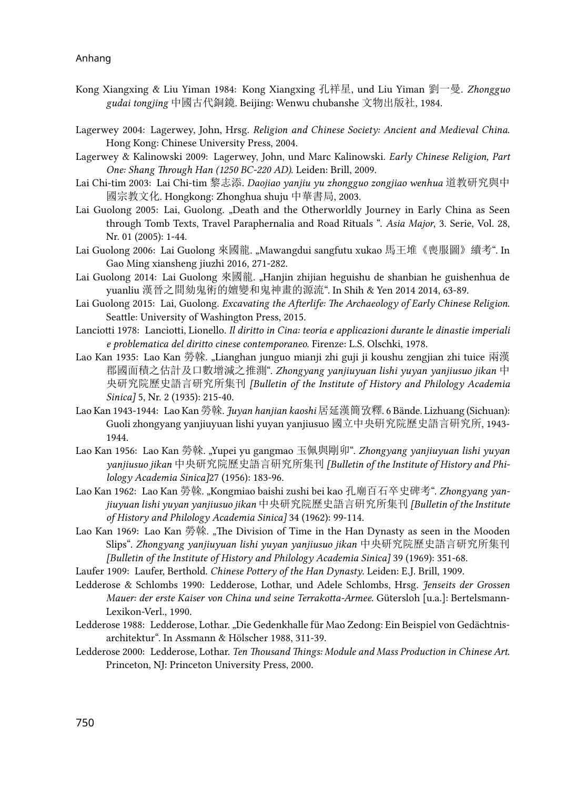- Kong Xiangxing & Liu Yiman 1984: Kong Xiangxing 孔祥星, und Liu Yiman 劉一曼. *Zhongguo gudai tongjing* 中國古代銅鏡. Beijing: Wenwu chubanshe 文物出版社, 1984.
- Lagerwey 2004: Lagerwey, John, Hrsg. *Religion and Chinese Society: Ancient and Medieval China*. Hong Kong: Chinese University Press, 2004.
- Lagerwey & Kalinowski 2009: Lagerwey, John, und Marc Kalinowski. *Early Chinese Religion, Part One: Shang Through Han (1250 BC-220 AD)*. Leiden: Brill, 2009.
- Lai Chi-tim 2003: Lai Chi-tim 黎志添. *Daojiao yanjiu yu zhongguo zongjiao wenhua* 道教研究與中 國宗教文化. Hongkong: Zhonghua shuju 中華書局, 2003.
- Lai Guolong 2005: Lai, Guolong. "Death and the Otherworldly Journey in Early China as Seen through Tomb Texts, Travel Paraphernalia and Road Rituals ". *Asia Major*, 3. Serie, Vol. 28, Nr. 01 (2005): 1-44.
- Lai Guolong 2006: Lai Guolong 來國龍. "Mawangdui sangfutu xukao 馬王堆《喪服圖》續考". In Gao Ming xiansheng jiuzhi 2016, 271-282.
- Lai Guolong 2014: Lai Guolong 來國龍. "Hanjin zhijian heguishu de shanbian he guishenhua de yuanliu 漢晉之間劾鬼術的嬗變和鬼神畫的源流". In Shih & Yen 2014 2014, 63-89*.*
- Lai Guolong 2015: Lai, Guolong. *Excavating the Afterlife: The Archaeology of Early Chinese Religion*. Seattle: University of Washington Press, 2015.
- Lanciotti 1978: Lanciotti, Lionello. *Il diritto in Cina: teoria e applicazioni durante le dinastie imperiali e problematica del diritto cinese contemporaneo*. Firenze: L.S. Olschki, 1978.
- Lao Kan 1935: Lao Kan 勞榦. "Lianghan junguo mianji zhi guji ji koushu zengjian zhi tuice 兩漢 郡國面積之估計及口數增減之推測". *Zhongyang yanjiuyuan lishi yuyan yanjiusuo jikan* 中 央研究院歷史語言研究所集刊 *[Bulletin of the Institute of History and Philology Academia Sinica]* 5, Nr. 2 (1935): 215-40.
- Lao Kan 1943-1944: Lao Kan 勞榦. *Juyan hanjian kaoshi* 居延漢簡攷釋. 6 Bände. Lizhuang (Sichuan): Guoli zhongyang yanjiuyuan lishi yuyan yanjiusuo 國立中央硏究院歷史語言硏究所, 1943- 1944.
- Lao Kan 1956: Lao Kan 勞榦. "Yupei yu gangmao 玉佩與剛卯". *Zhongyang yanjiuyuan lishi yuyan yanjiusuo jikan* 中央研究院歷史語言硏究所集刊 *[Bulletin of the Institute of History and Philology Academia Sinica]*27 (1956): 183-96.
- Lao Kan 1962: Lao Kan 勞榦. "Kongmiao baishi zushi bei kao 孔廟百石卒史碑考". *Zhongyang yanjiuyuan lishi yuyan yanjiusuo jikan* 中央研究院歷史語言硏究所集刊 *[Bulletin of the Institute of History and Philology Academia Sinica]* 34 (1962): 99-114.
- Lao Kan 1969: Lao Kan 勞榦. "The Division of Time in the Han Dynasty as seen in the Mooden Slips". *Zhongyang yanjiuyuan lishi yuyan yanjiusuo jikan* 中央研究院歷史語言研究所集刊 *[Bulletin of the Institute of History and Philology Academia Sinica]* 39 (1969): 351-68.
- Laufer 1909: Laufer, Berthold. *Chinese Pottery of the Han Dynasty*. Leiden: E.J. Brill, 1909.
- Ledderose & Schlombs 1990: Ledderose, Lothar, und Adele Schlombs, Hrsg. *Jenseits der Grossen Mauer: der erste Kaiser von China und seine Terrakotta-Armee*. Gütersloh [u.a.]: Bertelsmann-Lexikon-Verl., 1990.
- Ledderose 1988: Ledderose, Lothar. "Die Gedenkhalle für Mao Zedong: Ein Beispiel von Gedächtnisarchitektur". In Assmann & Hölscher 1988, 311-39.
- Ledderose 2000: Ledderose, Lothar. *Ten Thousand Things: Module and Mass Production in Chinese Art*. Princeton, NJ: Princeton University Press, 2000.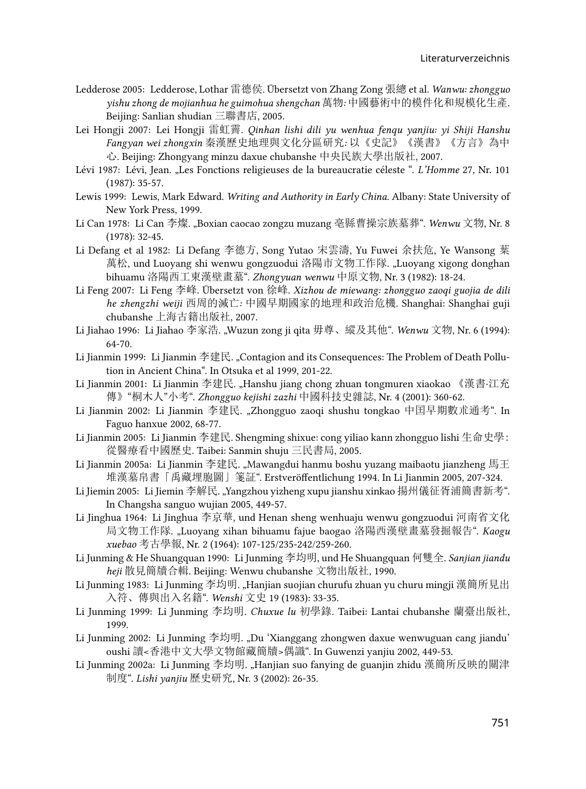- Ledderose 2005: Ledderose, Lothar 雷德侯. Übersetzt von Zhang Zong 張總 et al. *Wanwu: zhongguo yishu zhong de mojianhua he guimohua shengchan* 萬物*:* 中國藝術中的模件化和規模化生產. Beijing: Sanlian shudian 三聯書店, 2005.
- Lei Hongji 2007: Lei Hongji 雷虹霽. *Qinhan lishi dili yu wenhua fenqu yanjiu: yi Shiji Hanshu Fangyan wei zhongxin* 秦漢歷史地理與文化分區研究*:* 以《史記》《漢書》《方言》為中 心. Beijing: Zhongyang minzu daxue chubanshe 中央民族大學出版社, 2007.
- Lévi 1987: Lévi, Jean. "Les Fonctions religieuses de la bureaucratie céleste ". *L'Homme* 27, Nr. 101 (1987): 35-57.
- Lewis 1999: Lewis, Mark Edward. *Writing and Authority in Early China*. Albany: State University of New York Press, 1999.
- Li Can 1978: Li Can 李燦. "Boxian caocao zongzu muzang 亳縣曹操宗族墓葬". *Wenwu* 文物, Nr. 8 (1978): 32-45.
- Li Defang et al 1982: Li Defang 李德方, Song Yutao 宋雲濤, Yu Fuwei 余扶危, Ye Wansong 葉 萬松, und Luoyang shi wenwu gongzuodui 洛陽市文物工作隊. "Luoyang xigong donghan bihuamu 洛陽西工東漢壁畫墓". *Zhongyuan wenwu* 中原文物, Nr. 3 (1982): 18-24.
- Li Feng 2007: Li Feng 李峰. Übersetzt von 徐峰. *Xizhou de miewang: zhongguo zaoqi guojia de dili he zhengzhi weiji* 西周的滅亡*:* 中國早期國家的地理和政治危機. Shanghai: Shanghai guji chubanshe 上海古籍出版社, 2007.
- Li Jiahao 1996: Li Jiahao 李家浩. "Wuzun zong ji qita 毋尊、縱及其他". *Wenwu* 文物, Nr. 6 (1994): 64-70.
- Li Jianmin 1999: Li Jianmin 李建民. "Contagion and its Consequences: The Problem of Death Pollution in Ancient China". In Otsuka et al 1999, 201-22.
- Li Jianmin 2001: Li Jianmin 李建民. "Hanshu jiang chong zhuan tongmuren xiaokao 《漢書·江充 傳》"桐木人"小考". *Zhongguo kejishi zazhi* 中國科技史雜誌, Nr. 4 (2001): 360-62.
- Li Jianmin 2002: Li Jianmin 李建民. "Zhongguo zaoqi shushu tongkao 中囯早期數朮通考". In Faguo hanxue 2002, 68-77.
- Li Jianmin 2005: Li Jianmin 李建民. Shengming shixue: cong yiliao kann zhongguo lishi 生命史學: 從醫療看中國歷史. Taibei: Sanmin shuju 三民書局, 2005.
- Li Jianmin 2005a: Li Jianmin 李建民. "Mawangdui hanmu boshu yuzang maibaotu jianzheng 馬王 堆漢墓帛書「禹藏埋胞圖」箋証". Erstveröffentlichung 1994. In Li Jianmin 2005, 207-324.
- Li Jiemin 2005: Li Jiemin 李解民. ,Yangzhou yizheng xupu jianshu xinkao 揚州儀征胥浦簡書新考". In Changsha sanguo wujian 2005, 449-57.
- Li Jinghua 1964: Li Jinghua 李京華, und Henan sheng wenhuaju wenwu gongzuodui 河南省文化 局文物工作隊. "Luoyang xihan bihuamu fajue baogao 洛陽西漢壁畫墓發掘報告". *Kaogu xuebao* 考古學報, Nr. 2 (1964): 107-125/235-242/259-260.
- Li Junming & He Shuangquan 1990: Li Junming 李均明, und He Shuangquan 何雙全. *Sanjian jiandu heji* 散見簡牘合輯. Beijing: Wenwu chubanshe 文物出版社, 1990.
- Li Junming 1983: Li Junming 李均明. "Hanjian suojian churufu zhuan yu churu mingji 漢簡所見出 入符、傳與出入名籍". *Wenshi* 文史 19 (1983): 33-35.
- Li Junming 1999: Li Junming 李均明. *Chuxue lu* 初學錄. Taibei: Lantai chubanshe 蘭臺出版社, 1999.
- Li Junming 2002: Li Junming 李均明. "Du 'Xianggang zhongwen daxue wenwuguan cang jiandu' oushi 讀<香港中文大學文物館藏簡牘>偶識". In Guwenzi yanjiu 2002, 449-53.
- Li Junming 2002a: Li Junming 李均明. "Hanjian suo fanying de guanjin zhidu 漢簡所反映的關津 制度". *Lishi yanjiu* 歷史研究, Nr. 3 (2002): 26-35.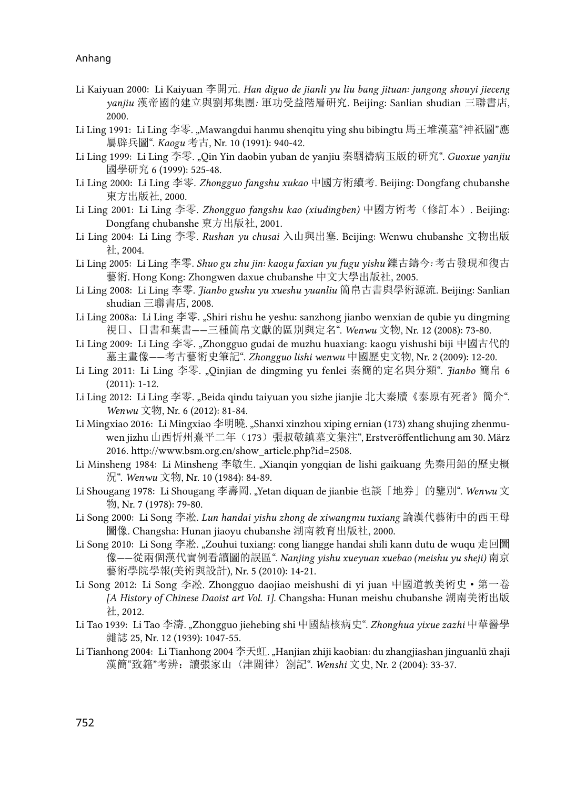- Li Kaiyuan 2000: Li Kaiyuan 李開元. *Han diguo de jianli yu liu bang jituan: jungong shouyi jieceng yanjiu* 漢帝國的建立與劉邦集團*:* 軍功受益階層硏究. Beijing: Sanlian shudian 三聯書店, 2000.
- Li Ling 1991: Li Ling 李零. "Mawangdui hanmu shenqitu ying shu bibingtu 馬王堆漢墓"神祇圖"應 屬辟兵圖". *Kaogu* 考古, Nr. 10 (1991): 940-42.
- Li Ling 1999: Li Ling 李零. "Qin Yin daobin yuban de yanjiu 秦駰禱病玉版的研究". *Guoxue yanjiu*  國學研究 6 (1999): 525-48.
- Li Ling 2000: Li Ling 李零. *Zhongguo fangshu xukao* 中國方術續考. Beijing: Dongfang chubanshe 東方出版社, 2000.
- Li Ling 2001: Li Ling 李零. *Zhongguo fangshu kao (xiudingben)* 中國方術考(修訂本). Beijing: Dongfang chubanshe 東方出版社, 2001.
- Li Ling 2004: Li Ling 李零. *Rushan yu chusai* 入山與出塞. Beijing: Wenwu chubanshe 文物出版 社, 2004.
- Li Ling 2005: Li Ling 李零. *Shuo gu zhu jin: kaogu faxian yu fugu yishu* 鑠古鑄今*:* 考古發現和復古 藝術. Hong Kong: Zhongwen daxue chubanshe 中文大學出版社, 2005.
- Li Ling 2008: Li Ling 李零. *Jianbo gushu yu xueshu yuanliu* 簡帛古書與學術源流. Beijing: Sanlian shudian 三聯書店, 2008.
- Li Ling 2008a: Li Ling 李零. "Shiri rishu he yeshu: sanzhong jianbo wenxian de qubie yu dingming 視日、日書和葉書——三種簡帛文獻的區別與定名". *Wenwu* 文物, Nr. 12 (2008): 73-80.
- Li Ling 2009: Li Ling 李零. "Zhongguo gudai de muzhu huaxiang: kaogu yishushi biji 中國古代的 墓主畫像——考古藝術史筆記". *Zhongguo lishi wenwu* 中國歷史文物, Nr. 2 (2009): 12-20.
- Li Ling 2011: Li Ling 李零. "Qinjian de dingming yu fenlei 秦簡的定名與分類". *Jianbo* 簡帛 6 (2011): 1-12.
- Li Ling 2012: Li Ling 李零. "Beida qindu taiyuan you sizhe jianjie 北大秦牘《泰原有死者》簡介". *Wenwu* 文物, Nr. 6 (2012): 81-84.
- Li Mingxiao 2016: Li Mingxiao 李明曉. "Shanxi xinzhou xiping ernian (173) zhang shujing zhenmuwen jizhu 山西忻州熹平二年 (173) 張叔敬鎮墓文集注", Erstveröffentlichung am 30. März 2016. [http://www.bsm.org.cn/show\\_article.php?id=2508](http://www.bsm.org.cn/show_article.php?id=2508).
- Li Minsheng 1984: Li Minsheng 李敏生. "Xianqin yongqian de lishi gaikuang 先秦用鉛的歷史概 況". *Wenwu* 文物, Nr. 10 (1984): 84-89.
- Li Shougang 1978: Li Shougang 李壽岡. "Yetan diquan de jianbie 也談「地券」的鑒別". *Wenwu* 文 物, Nr. 7 (1978): 79-80.
- Li Song 2000: Li Song 李凇. *Lun handai yishu zhong de xiwangmu tuxiang* 論漢代藝術中的西王母 圖像. Changsha: Hunan jiaoyu chubanshe 湖南教育出版社, 2000.
- Li Song 2010: Li Song 李凇. "Zouhui tuxiang: cong liangge handai shili kann dutu de wuqu 走回圖 像——從兩個漢代實例看讀圖的誤區". *Nanjing yishu xueyuan xuebao (meishu yu sheji)* 南京 藝術學院學報(美術與設計), Nr. 5 (2010): 14-21.
- Li Song 2012: Li Song 李凇. Zhongguo daojiao meishushi di yi juan 中國道教美術史·第一卷 *[A History of Chinese Daoist art Vol. 1]*. Changsha: Hunan meishu chubanshe 湖南美術出版 社, 2012.
- Li Tao 1939: Li Tao 李濤. "Zhongguo jiehebing shi 中國結核病史". *Zhonghua yixue zazhi* 中華醫學 雜誌 25, Nr. 12 (1939): 1047-55.
- Li Tianhong 2004: Li Tianhong 2004 李天虹. "Hanjian zhiji kaobian: du zhangjiashan jinguanlü zhaji 漢簡"致籍"考辨: 讀張家山〈津關律〉劄記". Wenshi 文史, Nr. 2 (2004): 33-37.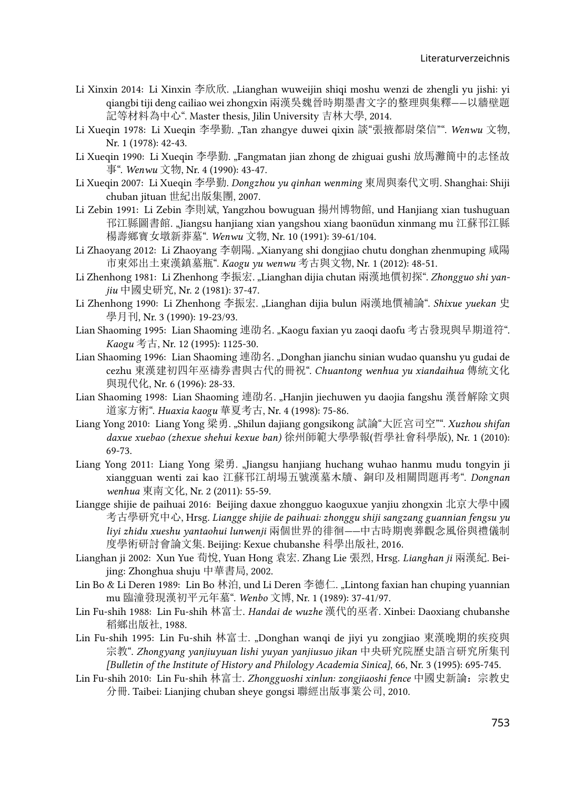- Li Xinxin 2014: Li Xinxin 李欣欣. "Lianghan wuweijin shiqi moshu wenzi de zhengli yu jishi: yi qiangbi tiji deng cailiao wei zhongxin 兩漢吳魏晉時期墨書文字的整理與集釋——以牆壁題 記等材料為中心". Master thesis, Jilin University 吉林大學, 2014.
- Li Xueqin 1978: Li Xueqin 李學勤. "Tan zhangye duwei qixin 談"張掖都尉棨信"". *Wenwu* 文物, Nr. 1 (1978): 42-43.
- Li Xueqin 1990: Li Xueqin 李學勤. "Fangmatan jian zhong de zhiguai gushi 放馬灘簡中的志怪故 事". *Wenwu* 文物, Nr. 4 (1990): 43-47.
- Li Xueqin 2007: Li Xueqin 李學勤. *Dongzhou yu qinhan wenming* 東周與秦代文明. Shanghai: Shiji chuban jituan 世紀出版集團, 2007.
- Li Zebin 1991: Li Zebin 李則斌, Yangzhou bowuguan 揚州博物館, und Hanjiang xian tushuguan 邗江縣圖書館. "Jiangsu hanjiang xian yangshou xiang baonüdun xinmang mu 江蘇邗江縣 楊壽鄉寶女墩新莽墓". *Wenwu* 文物, Nr. 10 (1991): 39-61/104.
- Li Zhaoyang 2012: Li Zhaoyang 李朝陽. "Xianyang shi dongjiao chutu donghan zhenmuping 咸陽 市東郊出土東漢鎮墓瓶". *Kaogu yu wenwu* 考古與文物, Nr. 1 (2012): 48-51.
- Li Zhenhong 1981: Li Zhenhong 李振宏. "Lianghan dijia chutan 兩漢地價初探". *Zhongguo shi yanjiu* 中國史研究, Nr. 2 (1981): 37-47.
- Li Zhenhong 1990: Li Zhenhong 李振宏. "Lianghan dijia bulun 兩漢地價補論". *Shixue yuekan* 史 學月刊, Nr. 3 (1990): 19-23/93.
- Lian Shaoming 1995: Lian Shaoming 連劭名. "Kaogu faxian yu zaoqi daofu 考古發現與早期道符". *Kaogu* 考古, Nr. 12 (1995): 1125-30.
- Lian Shaoming 1996: Lian Shaoming 連劭名. "Donghan jianchu sinian wudao quanshu yu gudai de cezhu 東漢建初四年巫禱券書與古代的冊祝". *Chuantong wenhua yu xiandaihua* 傳統文化 與現代化, Nr. 6 (1996): 28-33.
- Lian Shaoming 1998: Lian Shaoming 連劭名. "Hanjin jiechuwen yu daojia fangshu 漢晉解除文與 道家方術". *Huaxia kaogu* 華夏考古, Nr. 4 (1998): 75-86.
- Liang Yong 2010: Liang Yong 梁勇. "Shilun dajiang gongsikong 試論"大匠宮司空"". *Xuzhou shifan daxue xuebao (zhexue shehui kexue ban)* 徐州師範大學學報(哲學社會科學版), Nr. 1 (2010): 69-73.
- Liang Yong 2011: Liang Yong 梁勇. "Jiangsu hanjiang huchang wuhao hanmu mudu tongyin ji xiangguan wenti zai kao 江蘇邗江胡場五號漢墓木牘、銅印及相關問題再考". *Dongnan wenhua* 東南文化, Nr. 2 (2011): 55-59.
- Liangge shijie de paihuai 2016: Beijing daxue zhongguo kaoguxue yanjiu zhongxin 北京大學中國 考古學研究中心, Hrsg. *Liangge shijie de paihuai: zhonggu shiji sangzang guannian fengsu yu liyi zhidu xueshu yantaohui lunwenji* 兩個世界的徘徊*——*中古時期喪葬觀念風俗與禮儀制 度學術研討會論文集. Beijing: Kexue chubanshe 科學出版社, 2016.
- Lianghan ji 2002: Xun Yue 荀悅, Yuan Hong 袁宏. Zhang Lie 張烈, Hrsg. *Lianghan ji* 兩漢紀. Beijing: Zhonghua shuju 中華書局, 2002.
- Lin Bo & Li Deren 1989: Lin Bo 林泊, und Li Deren 李德仁. "Lintong faxian han chuping yuannian mu 臨潼發現漢初平元年墓". *Wenbo* 文博, Nr. 1 (1989): 37-41/97.
- Lin Fu-shih 1988: Lin Fu-shih 林富士. *Handai de wuzhe* 漢代的巫者. Xinbei: Daoxiang chubanshe 稻鄉出版社, 1988.
- Lin Fu-shih 1995: Lin Fu-shih 林富士. "Donghan wanqi de jiyi yu zongjiao 東漢晚期的疾疫與 宗教". *Zhongyang yanjiuyuan lishi yuyan yanjiusuo jikan* 中央研究院歷史語言研究所集刊 *[Bulletin of the Institute of History and Philology Academia Sinica]*, 66, Nr. 3 (1995): 695-745.
- Lin Fu-shih 2010: Lin Fu-shih 林富士. *Zhongguoshi xinlun: zongjiaoshi fence* 中國史新論:宗教史 分冊. Taibei: Lianjing chuban sheye gongsi 聯經出版事業公司, 2010.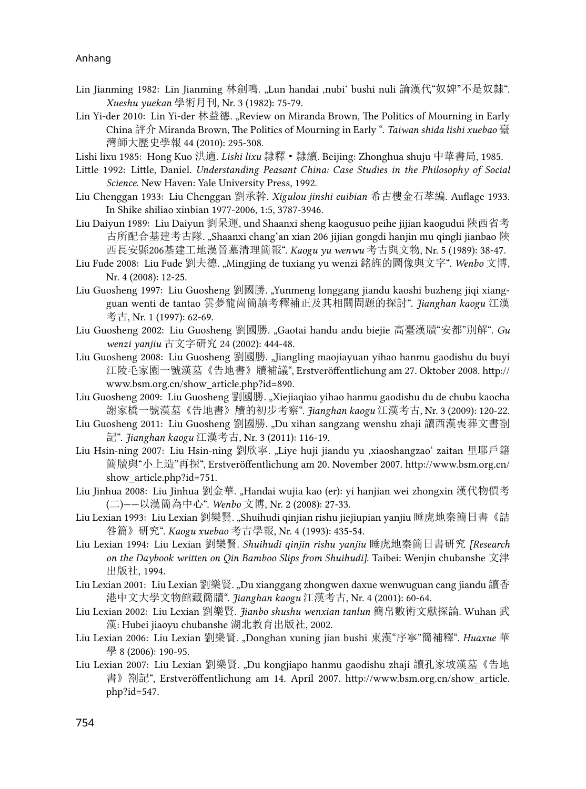- Lin Jianming 1982: Lin Jianming 林劍鳴. "Lun handai ,nubi' bushi nuli 論漢代"奴婢"不是奴隸". *Xueshu yuekan* 學術月刊, Nr. 3 (1982): 75-79.
- Lin Yi-der 2010: Lin Yi-der 林益德. "Review on Miranda Brown, The Politics of Mourning in Early China 評介 Miranda Brown, The Politics of Mourning in Early ". *Taiwan shida lishi xuebao* 臺 灣師大歷史學報 44 (2010): 295-308.

Lishi lixu 1985: Hong Kuo 洪適. *Lishi lixu* 隸釋·隸續. Beijing: Zhonghua shuju 中華書局, 1985.

- Little 1992: Little, Daniel. *Understanding Peasant China: Case Studies in the Philosophy of Social Science*. New Haven: Yale University Press, 1992.
- Liu Chenggan 1933: Liu Chenggan 劉承幹. *Xigulou jinshi cuibian* 希古樓金石萃編. Auflage 1933. In Shike shiliao xinbian 1977-2006, 1:5, 3787-3946.
- Liu Daiyun 1989: Liu Daiyun 劉呆運, und Shaanxi sheng kaogusuo peihe jijian kaogudui 陝西省考 古所配合基建考古隊. "Shaanxi changʻan xian 206 jijian gongdi hanjin mu qingli jianbao 陜 西長安縣206基建工地漢晉墓清理簡報". *Kaogu yu wenwu* 考古與文物, Nr. 5 (1989): 38-47.
- Liu Fude 2008: Liu Fude 劉夫德. "Mingjing de tuxiang yu wenzi 銘旌的圖像與文字". *Wenbo* 文博, Nr. 4 (2008): 12-25.
- Liu Guosheng 1997: Liu Guosheng 劉國勝. "Yunmeng longgang jiandu kaoshi buzheng jiqi xiangguan wenti de tantao 雲夢龍崗簡牘考釋補正及其相關問題的探討". *Jianghan kaogu* 江漢 考古, Nr. 1 (1997): 62-69.
- Liu Guosheng 2002: Liu Guosheng 劉國勝. "Gaotai handu andu biejie 高臺漢牘"安都"別解". *Gu wenzi yanjiu* 古文字研究 24 (2002): 444-48.
- Liu Guosheng 2008: Liu Guosheng 劉國勝[. "Jiangling maojiayuan yihao hanmu gaodishu du buyi](http://www.bsm.org.cn/show_article.php?id=890) 江陵毛家園一號漢墓《告地書》牘補議[", Erstveröffentlichung am 27. Oktober 2008. http://](http://www.bsm.org.cn/show_article.php?id=890) [www.bsm.org.cn/show\\_article.php?id=890.](http://www.bsm.org.cn/show_article.php?id=890)
- Liu Guosheng 2009: Liu Guosheng 劉國勝. "Xiejiaqiao yihao hanmu gaodishu du de chubu kaocha 謝家橋一號漢墓《告地書》牘的初步考察". *Jianghan kaogu* 江漢考古, Nr. 3 (2009): 120-22.
- Liu Guosheng 2011: Liu Guosheng 劉國勝. "Du xihan sangzang wenshu zhaji 讀西漢喪葬文書劄 記". *Jianghan kaogu* 江漢考古, Nr. 3 (2011): 116-19.
- Liu Hsin-ning 2007: Liu Hsin-ning 劉欣寧. "Liye huji jiandu yu ,xiaoshangzao' zaitan 里耶戶籍 簡牘與"小上造"再探[", Erstveröffentlichung am 20. November 2007. http://www.bsm.org.cn/](http://www.bsm.org.cn/show_article.php?id=751) show article.php?id=751.
- Liu Jinhua 2008: Liu Jinhua 劉金華. "Handai wujia kao (er): yi hanjian wei zhongxin 漢代物價考 (二)——以漢簡為中心". *Wenbo* 文博, Nr. 2 (2008): 27-33.
- Liu Lexian 1993: Liu Lexian 劉樂賢. "Shuihudi qinjian rishu jiejiupian yanjiu 睡虎地秦簡日書《詰 咎篇》研究". *Kaogu xuebao* 考古學報, Nr. 4 (1993): 435-54.
- Liu Lexian 1994: Liu Lexian 劉樂賢. *Shuihudi qinjin rishu yanjiu* 睡虎地秦簡日書研究 *[Research on the Daybook written on Qin Bamboo Slips from Shuihudi]*. Taibei: Wenjin chubanshe 文津 出版社, 1994.
- Liu Lexian 2001: Liu Lexian 劉樂賢. "Du xianggang zhongwen daxue wenwuguan cang jiandu 讀香 港中文大學文物館藏簡牘". *Jianghan kaogu* 江漢考古, Nr. 4 (2001): 60-64.
- Liu Lexian 2002: Liu Lexian 劉樂賢. *Jianbo shushu wenxian tanlun* 簡帛數術文獻探論. Wuhan 武 漢: Hubei jiaoyu chubanshe 湖北教育出版社, 2002.
- Liu Lexian 2006: Liu Lexian 劉樂賢. "Donghan xuning jian bushi 東漢"序寧"簡補釋". *Huaxue* 華 學 8 (2006): 190-95.
- Liu Lexian 2007: Liu Lexian 劉樂賢[. "Du kongjiapo hanmu gaodishu zhaji](http://www.bsm.org.cn/show_article.php?id=547) 讀孔家坡漢墓《告地 書》劄記", Erstveröffentlichung am 14. April 2007. http://www.bsm.org.cn/show article. [php?id=547.](http://www.bsm.org.cn/show_article.php?id=547)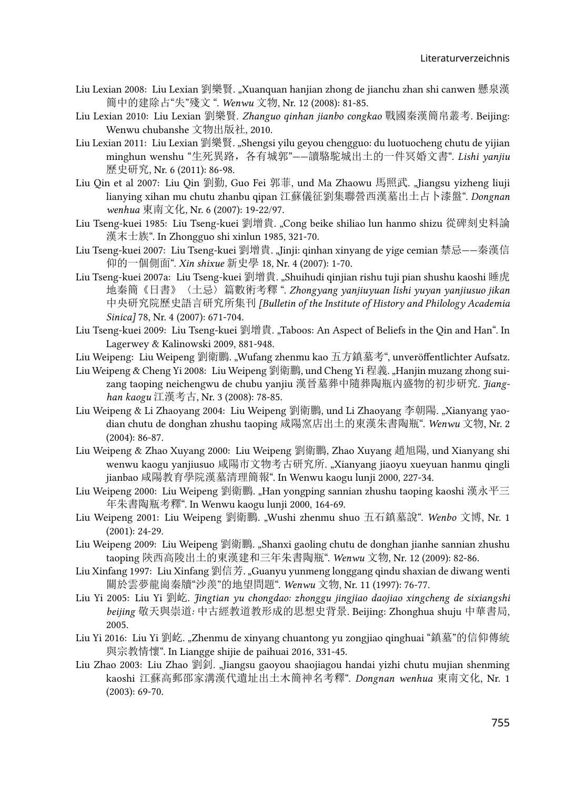- Liu Lexian 2008: Liu Lexian 劉樂賢. "Xuanquan hanjian zhong de jianchu zhan shi canwen 懸泉漢 簡中的建除占"失"殘文 ". *Wenwu* 文物, Nr. 12 (2008): 81-85.
- Liu Lexian 2010: Liu Lexian 劉樂賢. *Zhanguo qinhan jianbo congkao* 戰國秦漢簡帛叢考. Beijing: Wenwu chubanshe 文物出版社, 2010.
- Liu Lexian 2011: Liu Lexian 劉樂賢. "Shengsi yilu geyou chengguo: du luotuocheng chutu de yijian minghun wenshu "生死異路,各有城郭"——讀駱駝城出土的一件冥婚文書". *Lishi yanjiu*  歷史研究, Nr. 6 (2011): 86-98.
- Liu Qin et al 2007: Liu Qin 劉勤, Guo Fei 郭菲, und Ma Zhaowu 馬照武. "Jiangsu yizheng liuji lianying xihan mu chutu zhanbu qipan 江蘇儀征劉集聯營西漢墓出土占卜漆盤". *Dongnan wenhua* 東南文化, Nr. 6 (2007): 19-22/97.
- Liu Tseng-kuei 1985: Liu Tseng-kuei 劉增貴. "Cong beike shiliao lun hanmo shizu 從碑刻史料論 漢末士族". In Zhongguo shi xinlun 1985, 321-70.
- Liu Tseng-kuei 2007: Liu Tseng-kuei 劉增貴. "Jinji: qinhan xinyang de yige cemian 禁忌——秦漢信 仰的一個側面". *Xin shixue* 新史學 18, Nr. 4 (2007): 1-70.
- Liu Tseng-kuei 2007a: Liu Tseng-kuei 劉增貴. "Shuihudi qinjian rishu tuji pian shushu kaoshi 睡虎 地秦簡《日書》〈土忌〉篇數術考釋 ". *Zhongyang yanjiuyuan lishi yuyan yanjiusuo jikan*  中央研究院歷史語言研究所集刊 *[Bulletin of the Institute of History and Philology Academia Sinica]* 78, Nr. 4 (2007): 671-704.
- Liu Tseng-kuei 2009: Liu Tseng-kuei 劉增貴. "Taboos: An Aspect of Beliefs in the Qin and Han". In Lagerwey & Kalinowski 2009, 881-948.
- Liu Weipeng: Liu Weipeng 劉衛鵬. "Wufang zhenmu kao 五方鎮墓考", unveröffentlichter Aufsatz.
- Liu Weipeng & Cheng Yi 2008: Liu Weipeng 劉衛鵬, und Cheng Yi 程義. "Hanjin muzang zhong suizang taoping neichengwu de chubu yanjiu 漢晉墓葬中隨葬陶瓶內盛物的初步研究. *Jianghan kaogu* 江漢考古, Nr. 3 (2008): 78-85.
- Liu Weipeng & Li Zhaoyang 2004: Liu Weipeng 劉衛鵬, und Li Zhaoyang 李朝陽. "Xianyang yaodian chutu de donghan zhushu taoping 咸陽窯店出土的東漢朱書陶瓶". *Wenwu* 文物, Nr. 2 (2004): 86-87.
- Liu Weipeng & Zhao Xuyang 2000: Liu Weipeng 劉衛鵬, Zhao Xuyang 趙旭陽, und Xianyang shi wenwu kaogu yanjiusuo 咸陽市文物考古研究所. "Xianyang jiaoyu xueyuan hanmu qingli jianbao 咸陽教育學院漢墓清理簡報". In Wenwu kaogu lunji 2000, 227-34.
- Liu Weipeng 2000: Liu Weipeng 劉衛鵬. "Han yongping sannian zhushu taoping kaoshi 漢永平三 年朱書陶瓶考釋". In Wenwu kaogu lunji 2000, 164-69.
- Liu Weipeng 2001: Liu Weipeng 劉衛鵬. "Wushi zhenmu shuo 五石鎮墓說". *Wenbo* 文博, Nr. 1 (2001): 24-29.
- Liu Weipeng 2009: Liu Weipeng 劉衛鵬. "Shanxi gaoling chutu de donghan jianhe sannian zhushu taoping 陝西高陵出土的東漢建和三年朱書陶瓶". *Wenwu* 文物, Nr. 12 (2009): 82-86.
- Liu Xinfang 1997: Liu Xinfang 劉信芳. "Guanyu yunmeng longgang qindu shaxian de diwang wenti 關於雲夢龍崗秦牘"沙羨"的地望問題". *Wenwu* 文物, Nr. 11 (1997): 76-77.
- Liu Yi 2005: Liu Yi 劉屹. *Jingtian yu chongdao: zhonggu jingjiao daojiao xingcheng de sixiangshi beijing* 敬天與崇道*:* 中古經教道教形成的思想史背景. Beijing: Zhonghua shuju 中華書局, 2005.
- Liu Yi 2016: Liu Yi 劉屹. "Zhenmu de xinyang chuantong yu zongjiao qinghuai "鎮墓"的信仰傳統 與宗教情懷". In Liangge shijie de paihuai 2016, 331-45.
- Liu Zhao 2003: Liu Zhao 劉釗. "Jiangsu gaoyou shaojiagou handai yizhi chutu mujian shenming kaoshi 江蘇高郵邵家溝漢代遺址出土木簡神名考釋". *Dongnan wenhua* 東南文化, Nr. 1 (2003): 69-70.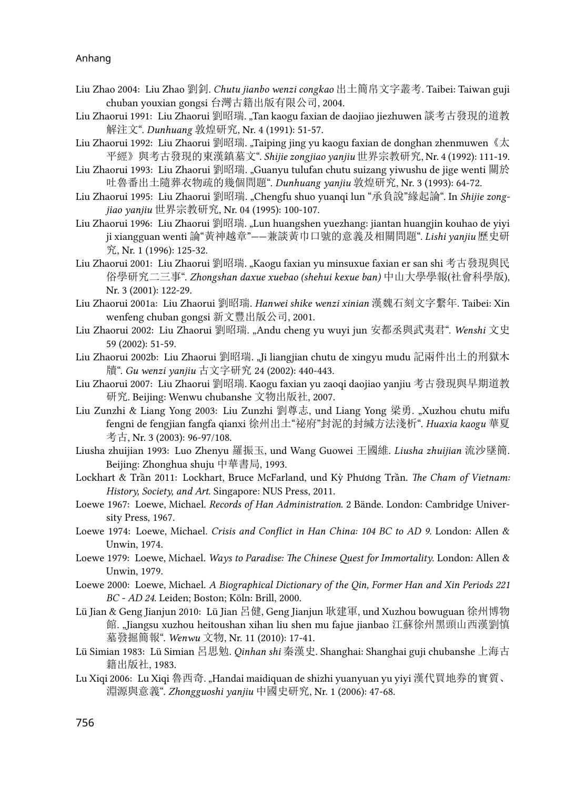- Liu Zhao 2004: Liu Zhao 劉釗. *Chutu jianbo wenzi congkao* 出土簡帛文字叢考. Taibei: Taiwan guji chuban youxian gongsi 台灣古籍出版有限公司, 2004.
- Liu Zhaorui 1991: Liu Zhaorui 劉昭瑞. "Tan kaogu faxian de daojiao jiezhuwen 談考古發現的道教 解注文". *Dunhuang* 敦煌研究, Nr. 4 (1991): 51-57.
- Liu Zhaorui 1992: Liu Zhaorui 劉昭瑞. "Taiping jing yu kaogu faxian de donghan zhenmuwen 《太 平經》與考古發現的東漢鎮墓文". *Shijie zongjiao yanjiu* 世界宗教研究, Nr. 4 (1992): 111-19.
- Liu Zhaorui 1993: Liu Zhaorui 劉昭瑞. "Guanyu tulufan chutu suizang yiwushu de jige wenti 關於 吐魯番出土隨葬衣物疏的幾個問題". *Dunhuang yanjiu* 敦煌研究, Nr. 3 (1993): 64-72.
- Liu Zhaorui 1995: Liu Zhaorui 劉昭瑞. "Chengfu shuo yuanqi lun "承負說"緣起論". In *Shijie zongjiao yanjiu* 世界宗教研究, Nr. 04 (1995): 100-107.
- Liu Zhaorui 1996: Liu Zhaorui 劉昭瑞. "Lun huangshen yuezhang: jiantan huangjin kouhao de yiyi ji xiangguan wenti 論"黃神越章"——兼談黃巾口號的意義及相關問題". *Lishi yanjiu* 歷史研 究, Nr. 1 (1996): 125-32.
- Liu Zhaorui 2001: Liu Zhaorui 劉昭瑞. "Kaogu faxian yu minsuxue faxian er san shi 考古發現與民 俗學研究二三事". *Zhongshan daxue xuebao (shehui kexue ban)* 中山大學學報(社會科學版), Nr. 3 (2001): 122-29.
- Liu Zhaorui 2001a: Liu Zhaorui 劉昭瑞. *Hanwei shike wenzi xinian* 漢魏石刻文字繫年. Taibei: Xin wenfeng chuban gongsi 新文豐出版公司, 2001.
- Liu Zhaorui 2002: Liu Zhaorui 劉昭瑞. "Andu cheng yu wuyi jun 安都丞與武夷君". *Wenshi* 文史 59 (2002): 51-59.
- Liu Zhaorui 2002b: Liu Zhaorui 劉昭瑞. "Ji liangjian chutu de xingyu mudu 記兩件出土的刑獄木 牘". *Gu wenzi yanjiu* 古文字研究 24 (2002): 440-443.
- Liu Zhaorui 2007: Liu Zhaorui 劉昭瑞. Kaogu faxian yu zaoqi daojiao yanjiu 考古發現與早期道教 研究. Beijing: Wenwu chubanshe 文物出版社, 2007.
- Liu Zunzhi & Liang Yong 2003: Liu Zunzhi 劉尊志, und Liang Yong 梁勇. "Xuzhou chutu mifu fengni de fengjian fangfa qianxi 徐州出土"祕府"封泥的封緘方法淺析". *Huaxia kaogu* 華夏 考古, Nr. 3 (2003): 96-97/108.
- Liusha zhuijian 1993: Luo Zhenyu 羅振玉, und Wang Guowei 王國維. *Liusha zhuijian* 流沙墜簡. Beijing: Zhonghua shuju 中華書局, 1993.
- Lockhart & Trần 2011: Lockhart, Bruce McFarland, und Kỳ Phương Trần. *The Cham of Vietnam: History, Society, and Art*. Singapore: NUS Press, 2011.
- Loewe 1967: Loewe, Michael. *Records of Han Administration*. 2 Bände. London: Cambridge University Press, 1967.
- Loewe 1974: Loewe, Michael. *Crisis and Conflict in Han China: 104 BC to AD 9*. London: Allen & Unwin, 1974.
- Loewe 1979: Loewe, Michael. *Ways to Paradise: The Chinese Quest for Immortality*. London: Allen & Unwin, 1979.
- Loewe 2000: Loewe, Michael. *A Biographical Dictionary of the Qin, Former Han and Xin Periods 221 BC - AD 24*. Leiden; Boston; Köln: Brill, 2000.
- Lü Jian & Geng Jianjun 2010: Lü Jian 呂健, Geng Jianjun 耿建軍, und Xuzhou bowuguan 徐州博物 館. "Jiangsu xuzhou heitoushan xihan liu shen mu fajue jianbao 江蘇徐州黑頭山西漢劉慎 墓發掘簡報". *Wenwu* 文物, Nr. 11 (2010): 17-41.
- Lü Simian 1983: Lü Simian 呂思勉. *Qinhan shi* 秦漢史. Shanghai: Shanghai guji chubanshe 上海古 籍出版社, 1983.
- Lu Xiqi 2006: Lu Xiqi 魯西奇. "Handai maidiquan de shizhi yuanyuan yu yiyi 漢代買地券的實質、 淵源與意義". *Zhongguoshi yanjiu* 中國史研究, Nr. 1 (2006): 47-68.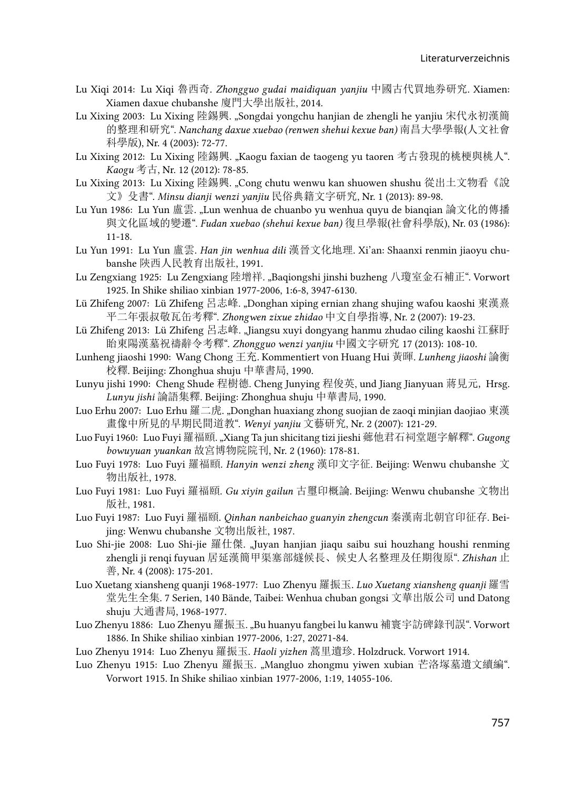- Lu Xiqi 2014: Lu Xiqi 魯西奇. *Zhongguo gudai maidiquan yanjiu* 中國古代買地券研究. Xiamen: Xiamen daxue chubanshe 廈門大學出版社, 2014.
- Lu Xixing 2003: Lu Xixing 陸錫興. "Songdai yongchu hanjian de zhengli he yanjiu 宋代永初漢簡 的整理和研究". *Nanchang daxue xuebao (renwen shehui kexue ban)* 南昌大學學報(人文社會 科學版), Nr. 4 (2003): 72-77.
- Lu Xixing 2012: Lu Xixing 陸錫興. "Kaogu faxian de taogeng yu taoren 考古發現的桃梗與桃人". *Kaogu* 考古, Nr. 12 (2012): 78-85.
- Lu Xixing 2013: Lu Xixing 陸錫興. "Cong chutu wenwu kan shuowen shushu 從出土文物看《說 文》殳書". *Minsu dianji wenzi yanjiu* 民俗典籍文字研究, Nr. 1 (2013): 89-98.
- Lu Yun 1986: Lu Yun 盧雲. "Lun wenhua de chuanbo yu wenhua quyu de bianqian 論文化的傳播 與文化區域的變遷". *Fudan xuebao (shehui kexue ban)* 復旦學報(社會科學版), Nr. 03 (1986): 11-18.
- Lu Yun 1991: Lu Yun 盧雲. *Han jin wenhua dili* 漢晉文化地理. Xi'an: Shaanxi renmin jiaoyu chubanshe 陝西人民教育出版社, 1991.
- Lu Zengxiang 1925: Lu Zengxiang 陸增祥. "Baqiongshi jinshi buzheng 八瓊室金石補正". Vorwort 1925. In Shike shiliao xinbian 1977-2006, 1:6-8, 3947-6130.
- Lü Zhifeng 2007: Lü Zhifeng 呂志峰. "Donghan xiping ernian zhang shujing wafou kaoshi 東漢熹 平二年張叔敬瓦缶考釋". *Zhongwen zixue zhidao* 中文自學指導, Nr. 2 (2007): 19-23.
- Lü Zhifeng 2013: Lü Zhifeng 呂志峰. "Jiangsu xuyi dongyang hanmu zhudao ciling kaoshi 江蘇盱 眙東陽漢墓祝禱辭令考釋". *Zhongguo wenzi yanjiu* 中國文字研究 17 (2013): 108-10.
- Lunheng jiaoshi 1990: Wang Chong 王充. Kommentiert von Huang Hui 黃暉. *Lunheng jiaoshi* 論衡 校釋. Beijing: Zhonghua shuju 中華書局, 1990.
- Lunyu jishi 1990: Cheng Shude 程樹德. Cheng Junying 程俊英, und Jiang Jianyuan 蔣見元, Hrsg. *Lunyu jishi* 論語集釋. Beijing: Zhonghua shuju 中華書局, 1990.
- Luo Erhu 2007: Luo Erhu 羅二虎. "Donghan huaxiang zhong suojian de zaoqi minjian daojiao 東漢 畫像中所見的早期民間道教". *Wenyi yanjiu* 文藝研究, Nr. 2 (2007): 121-29.
- Luo Fuyi 1960: Luo Fuyi 羅福頤. "Xiang Ta jun shicitang tizi jieshi 薌他君石祠堂題字解釋". *Gugong bowuyuan yuankan* 故宮博物院院刊, Nr. 2 (1960): 178-81.
- Luo Fuyi 1978: Luo Fuyi 羅福頤. *Hanyin wenzi zheng* 漢印文字征. Beijing: Wenwu chubanshe 文 物出版社, 1978.
- Luo Fuyi 1981: Luo Fuyi 羅福頤. *Gu xiyin gailun* 古璽印概論. Beijing: Wenwu chubanshe 文物出 版社, 1981.
- Luo Fuyi 1987: Luo Fuyi 羅福頤. *Qinhan nanbeichao guanyin zhengcun* 秦漢南北朝官印征存. Beijing: Wenwu chubanshe 文物出版社, 1987.
- Luo Shi-jie 2008: Luo Shi-jie 羅仕傑. "Juyan hanjian jiaqu saibu sui houzhang houshi renming zhengli ji renqi fuyuan 居延漢簡甲渠塞部燧候長、候史人名整理及任期復原". *Zhishan* 止 善, Nr. 4 (2008): 175-201.
- Luo Xuetang xiansheng quanji 1968-1977: Luo Zhenyu 羅振玉. *Luo Xuetang xiansheng quanji* 羅雪 堂先生全集. 7 Serien, 140 Bände, Taibei: Wenhua chuban gongsi 文華出版公司 und Datong shuju 大通書局, 1968-1977.
- Luo Zhenyu 1886: Luo Zhenyu 羅振玉. "Bu huanyu fangbei lu kanwu 補寰宇訪碑錄刊誤". Vorwort 1886. In Shike shiliao xinbian 1977-2006, 1:27, 20271-84.
- Luo Zhenyu 1914: Luo Zhenyu 羅振玉. *Haoli yizhen* 蒿里遺珍*.* Holzdruck. Vorwort 1914.
- Luo Zhenyu 1915: Luo Zhenyu 羅振玉. "Mangluo zhongmu yiwen xubian 芒洛塚墓遺文續編". Vorwort 1915. In Shike shiliao xinbian 1977-2006, 1:19, 14055-106.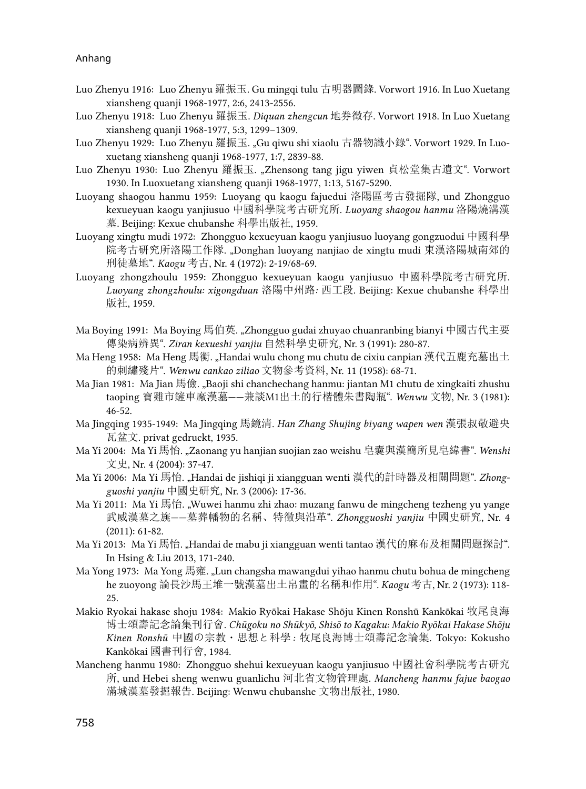- Luo Zhenyu 1916: Luo Zhenyu 羅振玉. Gu mingqi tulu 古明器圖錄. Vorwort 1916. In Luo Xuetang xiansheng quanji 1968-1977, 2:6, 2413-2556.
- Luo Zhenyu 1918: Luo Zhenyu 羅振玉. *Diquan zhengcun* 地券徴存. Vorwort 1918. In Luo Xuetang xiansheng quanji 1968-1977, 5:3, 1299–1309.
- Luo Zhenyu 1929: Luo Zhenyu 羅振玉. "Gu qiwu shi xiaolu 古器物識小錄". Vorwort 1929. In Luoxuetang xiansheng quanji 1968-1977, 1:7, 2839-88.
- Luo Zhenyu 1930: Luo Zhenyu 羅振玉. "Zhensong tang jigu yiwen 貞松堂集古遺文". Vorwort 1930. In Luoxuetang xiansheng quanji 1968-1977, 1:13, 5167-5290.
- Luoyang shaogou hanmu 1959: Luoyang qu kaogu fajuedui 洛陽區考古發掘隊, und Zhongguo kexueyuan kaogu yanjiusuo 中國科學院考古研究所. *Luoyang shaogou hanmu* 洛陽燒溝漢 墓. Beijing: Kexue chubanshe 科學出版社, 1959.
- Luoyang xingtu mudi 1972: Zhongguo kexueyuan kaogu yanjiusuo luoyang gongzuodui 中國科學 院考古研究所洛陽工作隊. "Donghan luoyang nanjiao de xingtu mudi 東漢洛陽城南郊的 刑徒墓地". *Kaogu* 考古, Nr. 4 (1972): 2-19/68-69.
- Luoyang zhongzhoulu 1959: Zhongguo kexueyuan kaogu yanjiusuo 中國科學院考古研究所. *Luoyang zhongzhoulu: xigongduan* 洛陽中州路*:* 西工段. Beijing: Kexue chubanshe 科學出 版社, 1959.
- Ma Boying 1991: Ma Boying 馬伯英. "Zhongguo gudai zhuyao chuanranbing bianyi 中國古代主要 傳染病辨異". *Ziran kexueshi yanjiu* 自然科學史研究, Nr. 3 (1991): 280-87.
- Ma Heng 1958: Ma Heng 馬衡. "Handai wulu chong mu chutu de cixiu canpian 漢代五鹿充墓出土 的刺繡殘片". *Wenwu cankao ziliao* 文物參考資料, Nr. 11 (1958): 68-71.
- Ma Jian 1981: Ma Jian 馬儉. "Baoji shi chanchechang hanmu: jiantan M1 chutu de xingkaiti zhushu taoping 寶雞市鏟車廠漢墓——兼談M1出土的行楷體朱書陶瓶". *Wenwu* 文物, Nr. 3 (1981): 46-52.
- Ma Jingqing 1935-1949: Ma Jingqing 馬鏡清. *Han Zhang Shujing biyang wapen wen* 漢張叔敬避央 瓦盆文. privat gedruckt, 1935.
- Ma Yi 2004: Ma Yi 馬怡. "Zaonang yu hanjian suojian zao weishu 皂囊與漢簡所見皂緯書". *Wenshi*  文史, Nr. 4 (2004): 37-47.
- Ma Yi 2006: Ma Yi 馬怡. "Handai de jishiqi ji xiangguan wenti 漢代的計時器及相關問題". *Zhongguoshi yanjiu* 中國史研究, Nr. 3 (2006): 17-36.
- Ma Yi 2011: Ma Yi 馬怡. "Wuwei hanmu zhi zhao: muzang fanwu de mingcheng tezheng yu yange 武威漢墓之旐——墓葬幡物的名稱、特徵與沿革". *Zhongguoshi yanjiu* 中國史研究, Nr. 4 (2011): 61-82.
- Ma Yi 2013: Ma Yi 馬怡. "Handai de mabu ji xiangguan wenti tantao 漢代的麻布及相關問題探討". In Hsing & Liu 2013, 171-240.
- Ma Yong 1973: Ma Yong 馬雍. "Lun changsha mawangdui yihao hanmu chutu bohua de mingcheng he zuoyong 論長沙馬王堆一號漢墓出土帛畫的名稱和作用". *Kaogu* 考古, Nr. 2 (1973): 118- 25.
- Makio Ryokai hakase shoju 1984: Makio Ryōkai Hakase Shōju Kinen Ronshū Kankōkai 牧尾良海 博士頌壽記念論集刊行會. *Chūgoku no Shūkyō, Shisō to Kagaku: Makio Ryōkai Hakase Shōju Kinen Ronshū* 中國の宗教・思想と科學*:* 牧尾良海博士頌壽記念論集. Tokyo: Kokusho Kankōkai 國書刊行會, 1984.
- Mancheng hanmu 1980: Zhongguo shehui kexueyuan kaogu yanjiusuo 中國社會科學院考古研究 所, und Hebei sheng wenwu guanlichu 河北省文物管理處. *Mancheng hanmu fajue baogao*  滿城漢墓發掘報告. Beijing: Wenwu chubanshe 文物出版社, 1980.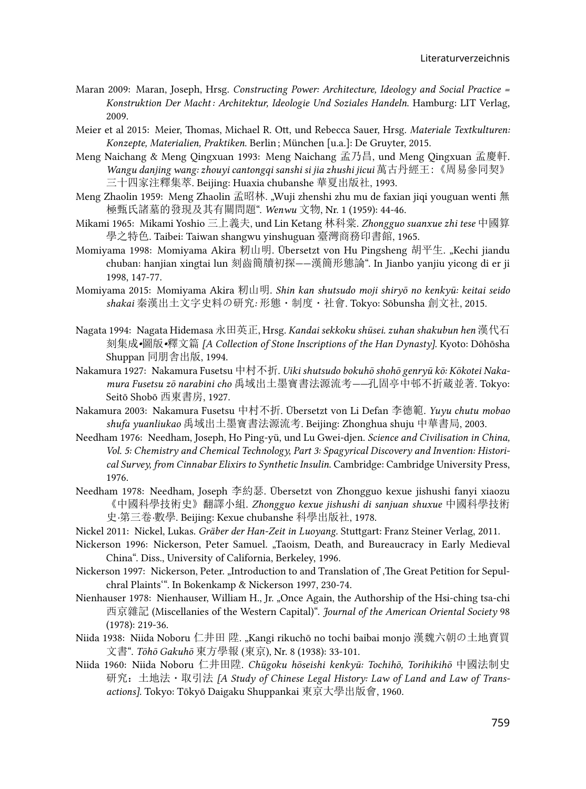- Maran 2009: Maran, Joseph, Hrsg. *Constructing Power: Architecture, Ideology and Social Practice = Konstruktion Der Macht : Architektur, Ideologie Und Soziales Handeln*. Hamburg: LIT Verlag, 2009.
- Meier et al 2015: Meier, Thomas, Michael R. Ott, und Rebecca Sauer, Hrsg. *Materiale Textkulturen: Konzepte, Materialien, Praktiken*. Berlin ; München [u.a.]: De Gruyter, 2015.
- Meng Naichang & Meng Qingxuan 1993: Meng Naichang 孟乃昌, und Meng Qingxuan 孟慶軒. *Wangu danjing wang: zhouyi cantongqi sanshi si jia zhushi jicui* 萬古丹經王:《周易參同契》 三十四家注釋集萃. Beijing: Huaxia chubanshe 華夏出版社, 1993.
- Meng Zhaolin 1959: Meng Zhaolin 孟昭林. "Wuji zhenshi zhu mu de faxian jiqi youguan wenti 無 極甄氏諸墓的發現及其有關問題". *Wenwu* 文物, Nr. 1 (1959): 44-46.
- Mikami 1965: Mikami Yoshio 三上義夫, und Lin Ketang 林科棠. *Zhongguo suanxue zhi tese* 中國算 學之特色. Taibei: Taiwan shangwu yinshuguan 臺灣商務印書館, 1965.
- Momiyama 1998: Momiyama Akira 籾山明. Übersetzt von Hu Pingsheng 胡平生. "Kechi jiandu chuban: hanjian xingtai lun 刻齒簡牘初探——漢簡形態論". In Jianbo yanjiu yicong di er ji 1998, 147-77.
- Momiyama 2015: Momiyama Akira 籾山明. *Shin kan shutsudo moji shiryō no kenkyū: keitai seido shakai* 秦漢出土文字史料の研究*:* 形態・制度・社會. Tokyo: Sōbunsha 創文社, 2015.
- Nagata 1994: Nagata Hidemasa 永田英正, Hrsg. *Kandai sekkoku shūsei. zuhan shakubun hen* 漢代石 刻集成*•*圖版*•*釋文篇 *[A Collection of Stone Inscriptions of the Han Dynasty]*. Kyoto: Dōhōsha Shuppan 同朋舎出版, 1994.
- Nakamura 1927: Nakamura Fusetsu 中村不折. *Uiki shutsudo bokuhō shohō genryū kō: Kōkotei Nakamura Fusetsu zō narabini cho* 禹域出土墨寶書法源流考*——*孔固亭中邨不折蔵並著. Tokyo: Seitō Shobō 西東書房, 1927.
- Nakamura 2003: Nakamura Fusetsu 中村不折. Übersetzt von Li Defan 李德範. *Yuyu chutu mobao shufa yuanliukao* 禹域出土墨寶書法源流考. Beijing: Zhonghua shuju 中華書局, 2003.
- Needham 1976: Needham, Joseph, Ho Ping-yü, und Lu Gwei-djen. *Science and Civilisation in China, Vol. 5: Chemistry and Chemical Technology, Part 3: Spagyrical Discovery and Invention: Historical Survey, from Cinnabar Elixirs to Synthetic Insulin*. Cambridge: Cambridge University Press, 1976.
- Needham 1978: Needham, Joseph 李約瑟. Übersetzt von Zhongguo kexue jishushi fanyi xiaozu 《中國科學技術史》翻譯小組. *Zhongguo kexue jishushi di sanjuan shuxue* 中國科學技術 史*·*第三卷*·*數學. Beijing: Kexue chubanshe 科學出版社, 1978.
- Nickel 2011: Nickel, Lukas. *Gräber der Han-Zeit in Luoyang*. Stuttgart: Franz Steiner Verlag, 2011.
- Nickerson 1996: Nickerson, Peter Samuel. "Taoism, Death, and Bureaucracy in Early Medieval China". Diss., University of California, Berkeley, 1996.
- Nickerson 1997: Nickerson, Peter. "Introduction to and Translation of , The Great Petition for Sepulchral Plaints'". In Bokenkamp & Nickerson 1997, 230-74.
- Nienhauser 1978: Nienhauser, William H., Jr. "Once Again, the Authorship of the Hsi-ching tsa-chi 西京雜記 (Miscellanies of the Western Capital)". *Journal of the American Oriental Society* 98 (1978): 219-36.
- Niida 1938: Niida Noboru 仁井田 陞. "Kangi rikuchō no tochi baibai monjo 漢魏六朝の土地賣買 文書". *Tōhō Gakuhō* 東方學報 (東京), Nr. 8 (1938): 33-101.
- Niida 1960: Niida Noboru 仁井田陞. *Chūgoku hōseishi kenkyū: Tochihō, Torihikihō* 中國法制史 研究: 土地法·取引法 *[A Study of Chinese Legal History: Law of Land and Law of Transactions]*. Tokyo: Tōkyō Daigaku Shuppankai 東京大學出版會, 1960.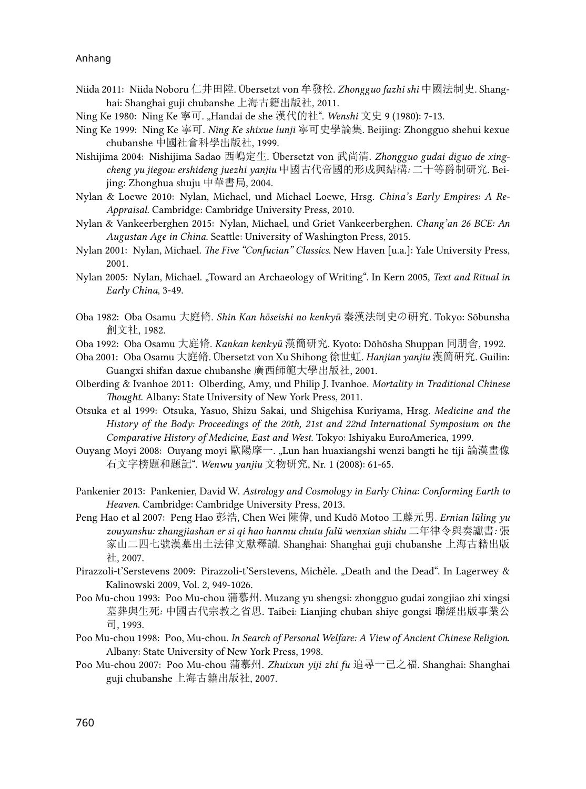- Niida 2011: Niida Noboru 仁井田陞. Übersetzt von 牟發松. *Zhongguo fazhi shi* 中國法制史. Shanghai: Shanghai guji chubanshe 上海古籍出版社, 2011.
- Ning Ke 1980: Ning Ke 寧可. "Handai de she 漢代的社". *Wenshi* 文史 9 (1980): 7-13.
- Ning Ke 1999: Ning Ke 寧可. *Ning Ke shixue lunji* 寧可史學論集. Beijing: Zhongguo shehui kexue chubanshe 中國社會科學出版社, 1999.
- Nishijima 2004: Nishijima Sadao 西嶋定生. Übersetzt von 武尚清. *Zhongguo gudai diguo de xingcheng yu jiegou: ershideng juezhi yanjiu* 中國古代帝國的形成與結構*:* 二十等爵制研究. Beijing: Zhonghua shuju 中華書局, 2004.
- Nylan & Loewe 2010: Nylan, Michael, und Michael Loewe, Hrsg. *China's Early Empires: A Re-Appraisal*. Cambridge: Cambridge University Press, 2010.
- Nylan & Vankeerberghen 2015: Nylan, Michael, und Griet Vankeerberghen. *Chang'an 26 BCE: An Augustan Age in China*. Seattle: University of Washington Press, 2015.
- Nylan 2001: Nylan, Michael. *The Five "Confucian" Classics*. New Haven [u.a.]: Yale University Press, 2001.
- Nylan 2005: Nylan, Michael. "Toward an Archaeology of Writing". In Kern 2005, *Text and Ritual in Early China*, 3-49.
- Oba 1982: Oba Osamu 大庭脩. *Shin Kan hōseishi no kenkyū* 秦漢法制史の硏究. Tokyo: Sōbunsha 創文社, 1982.
- Oba 1992: Oba Osamu 大庭脩. *Kankan kenkyū* 漢簡研究. Kyoto: Dōhōsha Shuppan 同朋舎, 1992.
- Oba 2001: Oba Osamu 大庭脩. Übersetzt von Xu Shihong 徐世虹. *Hanjian yanjiu* 漢簡硏究. Guilin: Guangxi shifan daxue chubanshe 廣西師範大學出版社, 2001.
- Olberding & Ivanhoe 2011: Olberding, Amy, und Philip J. Ivanhoe. *Mortality in Traditional Chinese Thought*. Albany: State University of New York Press, 2011.
- Otsuka et al 1999: Otsuka, Yasuo, Shizu Sakai, und Shigehisa Kuriyama, Hrsg. *Medicine and the History of the Body: Proceedings of the 20th, 21st and 22nd International Symposium on the Comparative History of Medicine, East and West*. Tokyo: Ishiyaku EuroAmerica, 1999.
- Ouyang Moyi 2008: Ouyang moyi 歐陽摩一. "Lun han huaxiangshi wenzi bangti he tiji 論漢畫像 石文字榜題和題記". *Wenwu yanjiu* 文物研究, Nr. 1 (2008): 61-65.
- Pankenier 2013: Pankenier, David W. *Astrology and Cosmology in Early China: Conforming Earth to Heaven*. Cambridge: Cambridge University Press, 2013.
- Peng Hao et al 2007: Peng Hao 彭浩, Chen Wei 陳偉, und Kudō Motoo 工藤元男. *Ernian lüling yu zouyanshu: zhangjiashan er si qi hao hanmu chutu falü wenxian shidu* 二年律令與奏讞書*:* 張 家山二四七號漢墓出土法律文獻釋讀. Shanghai: Shanghai guji chubanshe 上海古籍出版 社, 2007.
- Pirazzoli-t'Serstevens 2009: Pirazzoli-t'Serstevens, Michèle. "Death and the Dead". In Lagerwey & Kalinowski 2009, Vol. 2, 949-1026.
- Poo Mu-chou 1993: Poo Mu-chou 蒲慕州. Muzang yu shengsi: zhongguo gudai zongjiao zhi xingsi 墓葬與生死*:* 中國古代宗教之省思. Taibei: Lianjing chuban shiye gongsi 聯經出版事業公 司, 1993.
- Poo Mu-chou 1998: Poo, Mu-chou. *In Search of Personal Welfare: A View of Ancient Chinese Religion*. Albany: State University of New York Press, 1998.
- Poo Mu-chou 2007: Poo Mu-chou 蒲慕州. *Zhuixun yiji zhi fu* 追尋一己之福. Shanghai: Shanghai guji chubanshe 上海古籍出版社, 2007.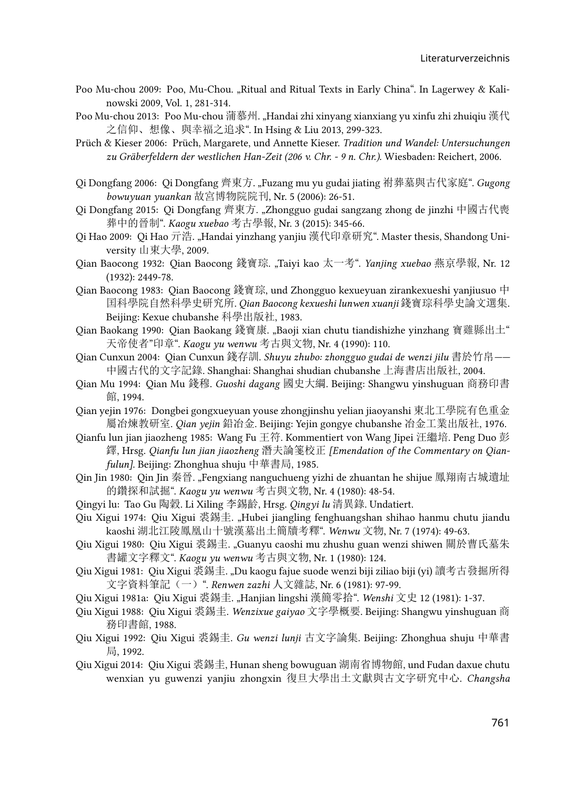- Poo Mu-chou 2009: Poo, Mu-Chou. "Ritual and Ritual Texts in Early China". In Lagerwey & Kalinowski 2009, Vol. 1, 281-314.
- Poo Mu-chou 2013: Poo Mu-chou 蒲慕州. "Handai zhi xinyang xianxiang yu xinfu zhi zhuiqiu 漢代 之信仰、想像、與幸福之追求". In Hsing & Liu 2013, 299-323.
- Prüch & Kieser 2006: Prüch, Margarete, und Annette Kieser. *Tradition und Wandel: Untersuchungen zu Gräberfeldern der westlichen Han-Zeit (206 v. Chr. - 9 n. Chr.)*. Wiesbaden: Reichert, 2006.
- Qi Dongfang 2006: Qi Dongfang 齊東方. "Fuzang mu yu gudai jiating 袝葬墓與古代家庭". *Gugong bowuyuan yuankan* 故宮博物院院刊, Nr. 5 (2006): 26-51.
- Qi Dongfang 2015: Qi Dongfang 齊東方. "Zhongguo gudai sangzang zhong de jinzhi 中國古代喪 葬中的晉制". *Kaogu xuebao* 考古學報, Nr. 3 (2015): 345-66.
- Qi Hao 2009: Qi Hao 亓浩. "Handai yinzhang yanjiu 漢代印章研究". Master thesis, Shandong University 山東大學, 2009.
- Qian Baocong 1932: Qian Baocong 錢寶琮. "Taiyi kao 太一考". *Yanjing xuebao* 燕京學報, Nr. 12 (1932): 2449-78.
- Qian Baocong 1983: Qian Baocong 錢寶琮, und Zhongguo kexueyuan zirankexueshi yanjiusuo 中 囯科學院自然科學史研究所. *Qian Baocong kexueshi lunwen xuanji* 錢寶琮科學史論文選集. Beijing: Kexue chubanshe 科學出版社, 1983.
- Qian Baokang 1990: Qian Baokang 錢寶康. "Baoji xian chutu tiandishizhe yinzhang 寶雞縣出土" 天帝使者"印章". *Kaogu yu wenwu* 考古與文物, Nr. 4 (1990): 110.
- Qian Cunxun 2004: Qian Cunxun 錢存訓. *Shuyu zhubo: zhongguo gudai de wenzi jilu* 書於竹帛*——* 中國古代的文字記錄. Shanghai: Shanghai shudian chubanshe 上海書店出版社, 2004.
- Qian Mu 1994: Qian Mu 錢穆. *Guoshi dagang* 國史大綱. Beijing: Shangwu yinshuguan 商務印書 館, 1994.
- Qian yejin 1976: Dongbei gongxueyuan youse zhongjinshu yelian jiaoyanshi 東北工學院有色重金 屬冶煉教研室. *Qian yejin* 鉛冶金. Beijing: Yejin gongye chubanshe 冶金工業出版社, 1976.
- Qianfu lun jian jiaozheng 1985: Wang Fu 王符. Kommentiert von Wang Jipei 汪繼培. Peng Duo 彭 鐸, Hrsg. *Qianfu lun jian jiaozheng* 潛夫論箋校正 *[Emendation of the Commentary on Qianfulun]*. Beijing: Zhonghua shuju 中華書局, 1985.
- Qin Jin 1980: Qin Jin 秦晉. "Fengxiang nanguchueng yizhi de zhuantan he shijue 鳳翔南古城遺址 的鑽探和試掘". *Kaogu yu wenwu* 考古與文物, Nr. 4 (1980): 48-54.
- Qingyi lu: Tao Gu 陶穀. Li Xiling 李錫齡, Hrsg. *Qingyi lu* 清異錄. Undatiert.
- Qiu Xigui 1974: Qiu Xigui 裘錫圭. "Hubei jiangling fenghuangshan shihao hanmu chutu jiandu kaoshi 湖北江陵鳳凰山十號漢墓出土簡牘考釋". *Wenwu* 文物, Nr. 7 (1974): 49-63.
- Qiu Xigui 1980: Qiu Xigui 裘錫圭. "Guanyu caoshi mu zhushu guan wenzi shiwen 關於曹氏墓朱 書罐文字釋文". *Kaogu yu wenwu* 考古與文物, Nr. 1 (1980): 124.
- Qiu Xigui 1981: Qiu Xigui 裘錫圭. "Du kaogu fajue suode wenzi biji ziliao biji (yi) 讀考古發掘所得 文字資料筆記(一)". *Renwen zazhi* 人文雜誌, Nr. 6 (1981): 97-99.
- Qiu Xigui 1981a: Qiu Xigui 裘錫圭. "Hanjian lingshi 漢簡零拾". *Wenshi* 文史 12 (1981): 1-37.
- Qiu Xigui 1988: Qiu Xigui 裘錫圭. *Wenzixue gaiyao* 文字學概要. Beijing: Shangwu yinshuguan 商 務印書館, 1988.
- Qiu Xigui 1992: Qiu Xigui 裘錫圭. *Gu wenzi lunji* 古文字論集. Beijing: Zhonghua shuju 中華書 局, 1992.
- Qiu Xigui 2014: Qiu Xigui 裘錫圭, Hunan sheng bowuguan 湖南省博物館, und Fudan daxue chutu wenxian yu guwenzi yanjiu zhongxin 復旦大學出土文獻與古文字研究中心. *Changsha*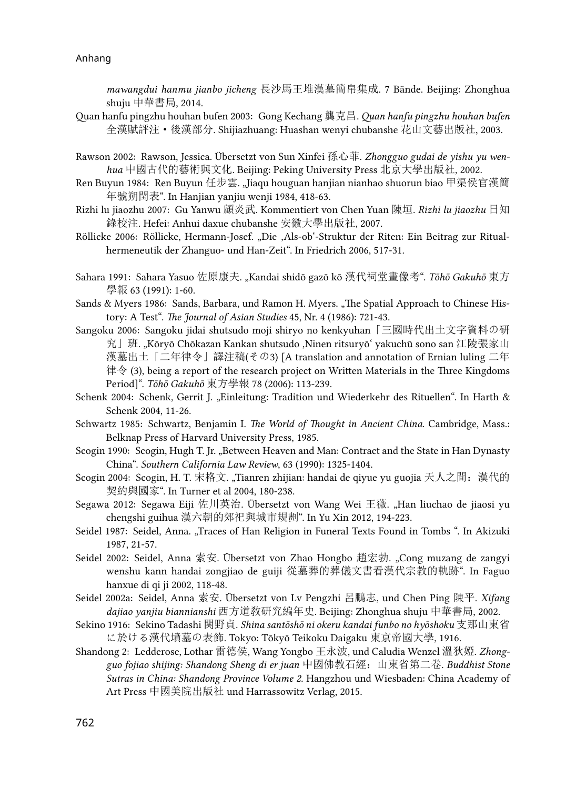*mawangdui hanmu jianbo jicheng* 長沙馬王堆漢墓簡帛集成. 7 Bände. Beijing: Zhonghua shuju 中華書局, 2014.

- Quan hanfu pingzhu houhan bufen 2003: Gong Kechang 龔克昌. *Quan hanfu pingzhu houhan bufen*  全漢賦評注·後漢部分. Shijiazhuang: Huashan wenyi chubanshe 花山文藝出版社, 2003.
- Rawson 2002: Rawson, Jessica. Übersetzt von Sun Xinfei 孫心菲. *Zhongguo gudai de yishu yu wenhua* 中國古代的藝術與文化. Beijing: Peking University Press 北京大學出版社, 2002.
- Ren Buyun 1984: Ren Buyun 任步雲. "Jiaqu houguan hanjian nianhao shuorun biao 甲渠侯官漢簡 年號朔閏表". In Hanjian yanjiu wenji 1984, 418-63.
- Rizhi lu jiaozhu 2007: Gu Yanwu 顧炎武. Kommentiert von Chen Yuan 陳垣. *Rizhi lu jiaozhu* 日知 錄校注. Hefei: Anhui daxue chubanshe 安徽大學出版社, 2007.
- Röllicke 2006: Röllicke, Hermann-Josef. "Die 'Als-ob'-Struktur der Riten: Ein Beitrag zur Ritualhermeneutik der Zhanguo- und Han-Zeit". In Friedrich 2006, 517-31.
- Sahara 1991: Sahara Yasuo 佐原康夫. "Kandai shidō gazō kō 漢代祠堂畫像考". *Tōhō Gakuhō* 東方 學報 63 (1991): 1-60.
- Sands & Myers 1986: Sands, Barbara, und Ramon H. Myers. "The Spatial Approach to Chinese History: A Test". *The Journal of Asian Studies* 45, Nr. 4 (1986): 721-43.
- Sangoku 2006: Sangoku jidai shutsudo moji shiryo no kenkyuhan「三國時代出土文字資料の研 究」班. "Kōryō Chōkazan Kankan shutsudo ,Ninen ritsuryōʻ yakuchū sono san 江陵張家山 漢墓出土「二年律令」譯注稿(その3) [A translation and annotation of Ernian luling 二年 律令 (3), being a report of the research project on Written Materials in the Three Kingdoms Period]". *Tōhō Gakuhō* 東方學報 78 (2006): 113-239.
- Schenk 2004: Schenk, Gerrit J. "Einleitung: Tradition und Wiederkehr des Rituellen". In Harth & Schenk 2004, 11-26.
- Schwartz 1985: Schwartz, Benjamin I. *The World of Thought in Ancient China*. Cambridge, Mass.: Belknap Press of Harvard University Press, 1985.
- Scogin 1990: Scogin, Hugh T. Jr. "Between Heaven and Man: Contract and the State in Han Dynasty China". *Southern California Law Review*, 63 (1990): 1325-1404.
- Scogin 2004: Scogin, H. T. 宋格文. "Tianren zhijian: handai de qiyue yu guojia 天人之間: 漢代的 契約與國家". In Turner et al 2004, 180-238.
- Segawa 2012: Segawa Eiji 佐川英治. Übersetzt von Wang Wei 王薇. "Han liuchao de jiaosi yu chengshi guihua 漢六朝的郊祀與城市規劃". In Yu Xin 2012, 194-223.
- Seidel 1987: Seidel, Anna. "Traces of Han Religion in Funeral Texts Found in Tombs". In Akizuki 1987, 21-57.
- Seidel 2002: Seidel, Anna 索安. Übersetzt von Zhao Hongbo 趙宏勃. "Cong muzang de zangyi wenshu kann handai zongjiao de guiji 從墓葬的葬儀文書看漢代宗教的軌跡". In Faguo hanxue di qi ji 2002, 118-48.
- Seidel 2002a: Seidel, Anna 索安. Übersetzt von Lv Pengzhi 呂鵬志, und Chen Ping 陳平. *Xifang dajiao yanjiu biannianshi* 西方道敎研究編年史. Beijing: Zhonghua shuju 中華書局, 2002.
- Sekino 1916: Sekino Tadashi 関野貞. *Shina santōshō ni okeru kandai funbo no hyōshoku* 支那山東省 に於ける漢代墳墓の表飾. Tokyo: Tōkyō Teikoku Daigaku 東京帝國大學, 1916.
- Shandong 2: Ledderose, Lothar 雷德侯, Wang Yongbo 王永波, und Caludia Wenzel 溫狄婭. *Zhongguo fojiao shijing: Shandong Sheng di er juan* 中國佛教石經:山東省第二卷*. Buddhist Stone Sutras in China: Shandong Province Volume 2.* Hangzhou und Wiesbaden: China Academy of Art Press 中國美院出版社 und Harrassowitz Verlag, 2015.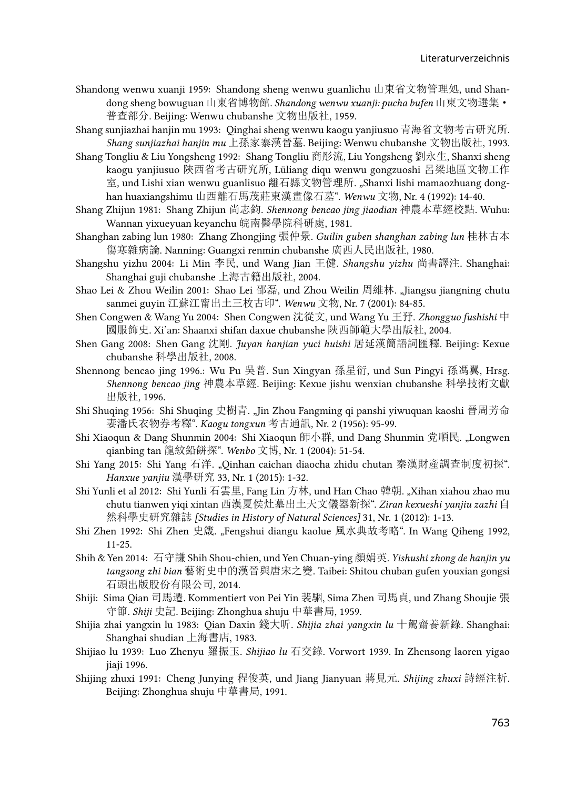- Shandong wenwu xuanji 1959: Shandong sheng wenwu guanlichu 山東省文物管理処, und Shandong sheng bowuguan 山東省博物館. *Shandong wenwu xuanji: pucha bufen* 山東文物選集· 普查部分. Beijing: Wenwu chubanshe 文物出版社, 1959.
- Shang sunjiazhai hanjin mu 1993: Qinghai sheng wenwu kaogu yanjiusuo 青海省文物考古研究所. *Shang sunjiazhai hanjin mu* 上孫家寨漢晉墓. Beijing: Wenwu chubanshe 文物出版社, 1993.
- Shang Tongliu & Liu Yongsheng 1992: Shang Tongliu 商彤流, Liu Yongsheng 劉永生, Shanxi sheng kaogu yanjiusuo 陝西省考古研究所, Lüliang diqu wenwu gongzuoshi 呂梁地區文物工作 室, und Lishi xian wenwu guanlisuo 離石縣文物管理所. "Shanxi lishi mamaozhuang donghan huaxiangshimu 山西離石馬茂莊東漢畫像石墓". *Wenwu* 文物, Nr. 4 (1992): 14-40.
- Shang Zhijun 1981: Shang Zhijun 尚志鈞. *Shennong bencao jing jiaodian* 神農本草經校點. Wuhu: Wannan yixueyuan keyanchu 皖南醫學院科研處, 1981.
- Shanghan zabing lun 1980: Zhang Zhongjing 張仲景. *Guilin guben shanghan zabing lun* 桂林古本 傷寒雜病論. Nanning: Guangxi renmin chubanshe 廣西人民出版社, 1980.
- Shangshu yizhu 2004: Li Min 李民, und Wang Jian 王健. *Shangshu yizhu* 尚書譯注. Shanghai: Shanghai guji chubanshe 上海古籍出版社, 2004.
- Shao Lei & Zhou Weilin 2001: Shao Lei 邵磊, und Zhou Weilin 周維林. "Jiangsu jiangning chutu sanmei guyin 江蘇江甯出土三枚古印". *Wenwu* 文物, Nr. 7 (2001): 84-85.
- Shen Congwen & Wang Yu 2004: Shen Congwen 沈從文, und Wang Yu 王㐨. *Zhongguo fushishi* 中 國服飾史. Xi'an: Shaanxi shifan daxue chubanshe 陝西師範大學出版社, 2004.
- Shen Gang 2008: Shen Gang 沈剛. *Juyan hanjian yuci huishi* 居延漢簡語詞匯釋. Beijing: Kexue chubanshe 科學出版社, 2008.
- Shennong bencao jing 1996.: Wu Pu 吳普. Sun Xingyan 孫星衍, und Sun Pingyi 孫馮翼, Hrsg. *Shennong bencao jing* 神農本草經*.* Beijing: Kexue jishu wenxian chubanshe 科學技術文獻 出版社, 1996.
- Shi Shuqing 1956: Shi Shuqing 史樹青. "Jin Zhou Fangming qi panshi yiwuquan kaoshi 晉周芳命 妻潘氏衣物券考釋". *Kaogu tongxun* 考古通訊, Nr. 2 (1956): 95-99.
- Shi Xiaoqun & Dang Shunmin 2004: Shi Xiaoqun 師小群, und Dang Shunmin 党順民. "Longwen qianbing tan 龍紋鉛餅探". *Wenbo* 文博, Nr. 1 (2004): 51-54.
- Shi Yang 2015: Shi Yang 石洋. "Qinhan caichan diaocha zhidu chutan 秦漢財產調查制度初探". *Hanxue yanjiu* 漢學研究 33, Nr. 1 (2015): 1-32.
- Shi Yunli et al 2012: Shi Yunli 石雲里, Fang Lin 方林, und Han Chao 韓朝. "Xihan xiahou zhao mu chutu tianwen yiqi xintan 西漢夏侯灶墓出土天文儀器新探". *Ziran kexueshi yanjiu zazhi* 自 然科學史研究雜誌 *[Studies in History of Natural Sciences]* 31, Nr. 1 (2012): 1-13.
- Shi Zhen 1992: Shi Zhen 史箴. "Fengshui diangu kaolue 風水典故考略". In Wang Qiheng 1992, 11-25.
- Shih & Yen 2014: 石守謙 Shih Shou-chien, und Yen Chuan-ying 顏娟英. *Yishushi zhong de hanjin yu tangsong zhi bian* 藝術史中的漢晉與唐宋之變. Taibei: Shitou chuban gufen youxian gongsi 石頭出版股份有限公司, 2014.
- Shiji: Sima Qian 司馬遷. Kommentiert von Pei Yin 裴駰, Sima Zhen 司馬貞, und Zhang Shoujie 張 守節. *Shiji* 史記. Beijing: Zhonghua shuju 中華書局, 1959.
- Shijia zhai yangxin lu 1983: Qian Daxin 錢大昕. *Shijia zhai yangxin lu* 十駕齋養新錄. Shanghai: Shanghai shudian 上海書店, 1983.
- Shijiao lu 1939: Luo Zhenyu 羅振玉. *Shijiao lu* 石交錄*.* Vorwort 1939. In Zhensong laoren yigao iiaii 1996.
- Shijing zhuxi 1991: Cheng Junying 程俊英, und Jiang Jianyuan 蔣見元. *Shijing zhuxi* 詩經注析. Beijing: Zhonghua shuju 中華書局, 1991.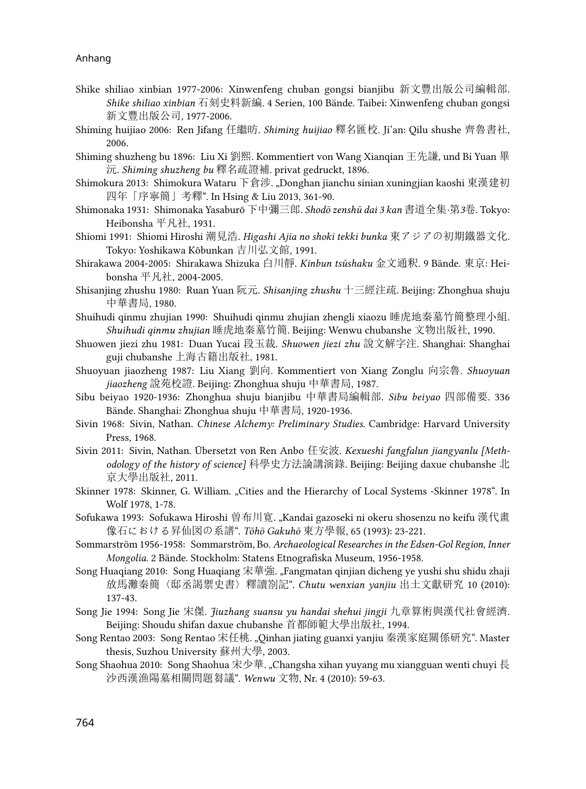- Shike shiliao xinbian 1977-2006: Xinwenfeng chuban gongsi bianjibu 新文豐出版公司編輯部. *Shike shiliao xinbian* 石刻史料新編. 4 Serien, 100 Bände. Taibei: Xinwenfeng chuban gongsi 新文豐出版公司, 1977-2006.
- Shiming huijiao 2006: Ren Jifang 任繼昉. *Shiming huijiao* 釋名匯校. Ji'an: Qilu shushe 齊魯書社, 2006.
- Shiming shuzheng bu 1896: Liu Xi 劉熙. Kommentiert von Wang Xianqian 王先謙, und Bi Yuan 畢 沅. *Shiming shuzheng bu* 釋名疏證補. privat gedruckt, 1896.
- Shimokura 2013: Shimokura Wataru 下倉涉. "Donghan jianchu sinian xuningjian kaoshi 東漢建初 四年「序寧簡」考釋". In Hsing & Liu 2013, 361-90.
- Shimonaka 1931: Shimonaka Yasaburō 下中彌三郎. *Shodō zenshū dai 3 kan* 書道全集*·*第*3*卷. Tokyo: Heibonsha 平凡社, 1931.
- Shiomi 1991: Shiomi Hiroshi 潮見浩. *Higashi Ajia no shoki tekki bunka* 東アジアの初期鐵器文化. Tokyo: Yoshikawa Kōbunkan 吉川弘文館, 1991.
- Shirakawa 2004-2005: Shirakawa Shizuka 白川靜. *Kinbun tsūshaku* 金文通釈. 9 Bände. 東京: Heibonsha 平凡社, 2004-2005.
- Shisanjing zhushu 1980: Ruan Yuan 阮元. *Shisanjing zhushu* 十三經注疏. Beijing: Zhonghua shuju 中華書局, 1980.
- Shuihudi qinmu zhujian 1990: Shuihudi qinmu zhujian zhengli xiaozu 睡虎地秦墓竹簡整理小組. *Shuihudi qinmu zhujian* 睡虎地秦墓竹簡. Beijing: Wenwu chubanshe 文物出版社, 1990.
- Shuowen jiezi zhu 1981: Duan Yucai 段玉裁. *Shuowen jiezi zhu* 說文解字注. Shanghai: Shanghai guji chubanshe 上海古籍出版社, 1981.
- Shuoyuan jiaozheng 1987: Liu Xiang 劉向. Kommentiert von Xiang Zonglu 向宗魯. *Shuoyuan jiaozheng* 說苑校證. Beijing: Zhonghua shuju 中華書局, 1987.
- Sibu beiyao 1920-1936: Zhonghua shuju bianjibu 中華書局編輯部. *Sibu beiyao* 四部備要. 336 Bände. Shanghai: Zhonghua shuju 中華書局, 1920-1936.
- Sivin 1968: Sivin, Nathan. *Chinese Alchemy: Preliminary Studies*. Cambridge: Harvard University Press, 1968.
- Sivin 2011: Sivin, Nathan. Übersetzt von Ren Anbo 任安波. *Kexueshi fangfalun jiangyanlu [Methodology of the history of science]* 科學史方法論講演錄. Beijing: Beijing daxue chubanshe 北 京大學出版社, 2011.
- Skinner 1978: Skinner, G. William. "Cities and the Hierarchy of Local Systems -Skinner 1978". In Wolf 1978, 1-78.
- Sofukawa 1993: Sofukawa Hiroshi 曽布川寛. "Kandai gazoseki ni okeru shosenzu no keifu 漢代畫 像石における昇仙図の系譜". *Tōhō Gakuhō* 東方學報, 65 (1993): 23-221.
- Sommarström 1956-1958: Sommarström, Bo. *Archaeological Researches in the Edsen-Gol Region, Inner Mongolia.* 2 Bände. Stockholm: Statens Etnografiska Museum, 1956-1958.
- Song Huaqiang 2010: Song Huaqiang 宋華強. "Fangmatan qinjian dicheng ye yushi shu shidu zhaji 放馬灘秦簡〈邸丞謁禦史書〉釋讀劄記". *Chutu wenxian yanjiu* 出土文獻研究 10 (2010): 137-43.
- Song Jie 1994: Song Jie 宋傑. *Jiuzhang suansu yu handai shehui jingji* 九章算術與漢代社會經濟. Beijing: Shoudu shifan daxue chubanshe 首都師範大學出版社, 1994.
- Song Rentao 2003: Song Rentao 宋任桃. "Qinhan jiating guanxi yanjiu 秦漢家庭關係研究". Master thesis, Suzhou University 蘇州大學, 2003.
- Song Shaohua 2010: Song Shaohua 宋少華. "Changsha xihan yuyang mu xiangguan wenti chuyi 長 沙西漢漁陽墓相關問題芻議". *Wenwu* 文物, Nr. 4 (2010): 59-63.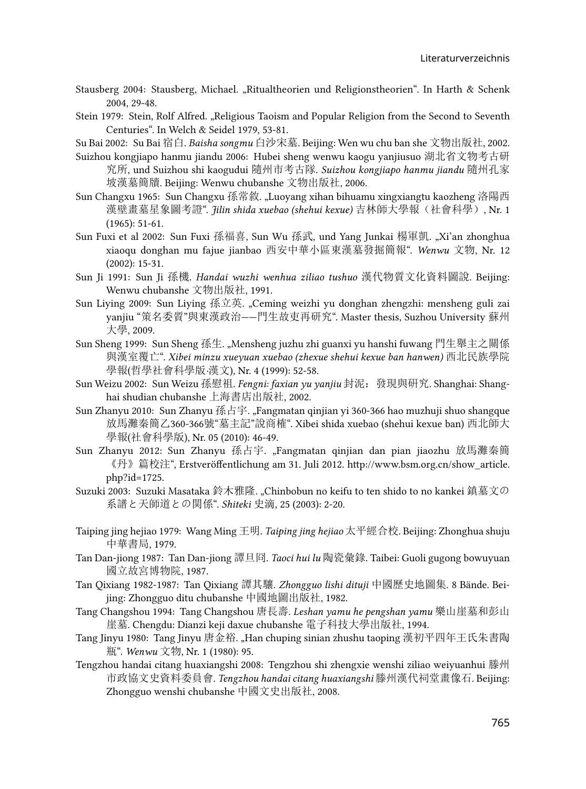- Stausberg 2004: Stausberg, Michael. "Ritualtheorien und Religionstheorien". In Harth & Schenk 2004, 29-48.
- Stein 1979: Stein, Rolf Alfred. "Religious Taoism and Popular Religion from the Second to Seventh Centuries". In Welch & Seidel 1979, 53-81.
- Su Bai 2002: Su Bai 宿白. *Baisha songmu* 白沙宋墓. Beijing: Wen wu chu ban she 文物出版社, 2002.
- Suizhou kongjiapo hanmu jiandu 2006: Hubei sheng wenwu kaogu yanjiusuo 湖北省文物考古研 究所, und Suizhou shi kaogudui 隨州市考古隊. *Suizhou kongjiapo hanmu jiandu* 隨州孔家 坡漢墓簡牘. Beijing: Wenwu chubanshe 文物出版社, 2006.
- Sun Changxu 1965: Sun Changxu 孫常敘. "Luoyang xihan bihuamu xingxiangtu kaozheng 洛陽西 漢壁畫墓星象圖考證". *Jilin shida xuebao (shehui kexue)* 吉林師大學報(社會科學), Nr. 1 (1965): 51-61.
- Sun Fuxi et al 2002: Sun Fuxi 孫福喜, Sun Wu 孫武, und Yang Junkai 楊軍凱. "Xi'an zhonghua xiaoqu donghan mu fajue jianbao 西安中華小區東漢墓發掘簡報". *Wenwu* 文物, Nr. 12 (2002): 15-31.
- Sun Ji 1991: Sun Ji 孫機. *Handai wuzhi wenhua ziliao tushuo* 漢代物質文化資料圖說. Beijing: Wenwu chubanshe 文物出版社, 1991.
- Sun Liying 2009: Sun Liying 孫立英. "Ceming weizhi yu donghan zhengzhi: mensheng guli zai yanjiu "策名委質"與東漢政治——門生故吏再研究". Master thesis, Suzhou University 蘇州 大學, 2009.
- Sun Sheng 1999: Sun Sheng 孫生. "Mensheng juzhu zhi guanxi yu hanshi fuwang 門生舉主之關係 與漢室覆亡". *Xibei minzu xueyuan xuebao (zhexue shehui kexue ban hanwen)* 西北民族學院 學報(哲學社會科學版*·*漢文), Nr. 4 (1999): 52-58.
- Sun Weizu 2002: Sun Weizu 孫慰祖. *Fengni: faxian yu yanjiu* 封泥:發現與硏究. Shanghai: Shanghai shudian chubanshe 上海書店出版社, 2002.
- Sun Zhanyu 2010: Sun Zhanyu 孫占宇. "Fangmatan qinjian yi 360-366 hao muzhuji shuo shangque 放馬灘秦簡乙360-366號"墓主記"說商榷". Xibei shida xuebao (shehui kexue ban) 西北師大 學報(社會科學版), Nr. 05 (2010): 46-49.
- Sun Zhanyu 2012: Sun Zhanyu 孫占宇[. "Fangmatan qinjian dan pian jiaozhu](http://www.bsm.org.cn/show_article.php?id=1725) 放馬灘秦簡 《丹》篇校注[", Erstveröffentlichung am 31. Juli 2012. http://www.bsm.org.cn/show\\_article.](http://www.bsm.org.cn/show_article.php?id=1725) [php?id=1725.](http://www.bsm.org.cn/show_article.php?id=1725)
- Suzuki 2003: Suzuki Masataka 鈴木雅隆. "Chinbobun no keifu to ten shido to no kankei 鎮墓文の 系譜と天師道との関係". *Shiteki* 史滴, 25 (2003): 2-20.
- Taiping jing hejiao 1979: Wang Ming 王明. *Taiping jing hejiao* 太平經合校. Beijing: Zhonghua shuju 中華書局, 1979.
- Tan Dan-jiong 1987: Tan Dan-jiong 譚旦冏. *Taoci hui lu* 陶瓷彙錄. Taibei: Guoli gugong bowuyuan 國立故宮博物院, 1987.
- Tan Qixiang 1982-1987: Tan Qixiang 譚其驤. *Zhongguo lishi dituji* 中國歷史地圖集. 8 Bände. Beijing: Zhongguo ditu chubanshe 中國地圖出版社, 1982.
- Tang Changshou 1994: Tang Changshou 唐長壽. *Leshan yamu he pengshan yamu* 樂山崖墓和彭山 崖墓. Chengdu: Dianzi keji daxue chubanshe 電子科技大學出版社, 1994.
- Tang Jinyu 1980: Tang Jinyu 唐金裕. "Han chuping sinian zhushu taoping 漢初平四年王氏朱書陶 瓶". *Wenwu* 文物, Nr. 1 (1980): 95.
- Tengzhou handai citang huaxiangshi 2008: Tengzhou shi zhengxie wenshi ziliao weiyuanhui 滕州 市政協文史資料委員會. *Tengzhou handai citang huaxiangshi* 滕州漢代祠堂畫像石. Beijing: Zhongguo wenshi chubanshe 中國文史出版社, 2008.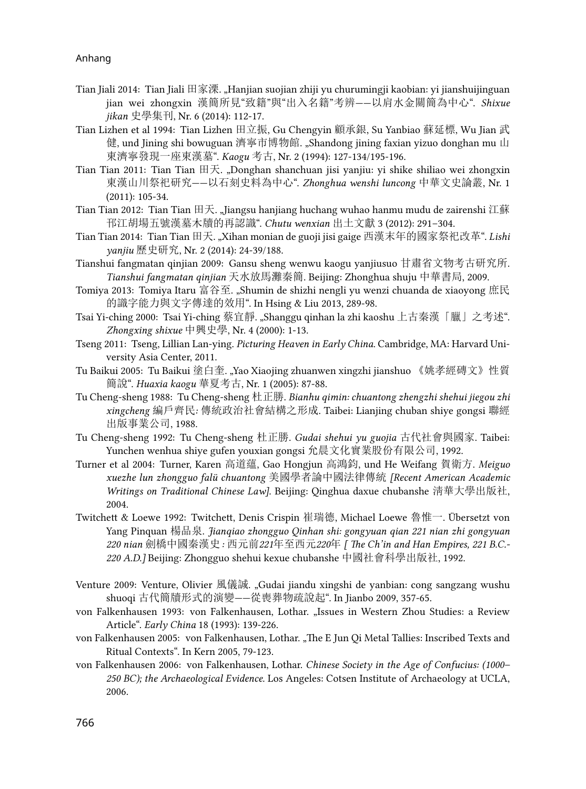- Tian Jiali 2014: Tian Jiali 田家溧. "Hanjian suojian zhiji yu churumingji kaobian: yi jianshuijinguan jian wei zhongxin 漢簡所見"致籍"與"出入名籍"考辨——以肩水金關簡為中心". *Shixue jikan* 史學集刊, Nr. 6 (2014): 112-17.
- Tian Lizhen et al 1994: Tian Lizhen 田立振, Gu Chengyin 顧承銀, Su Yanbiao 蘇延標, Wu Jian 武 健, und Jining shi bowuguan 濟寧市博物館. "Shandong jining faxian yizuo donghan mu 山 東濟寧發現一座東漢墓". *Kaogu* 考古, Nr. 2 (1994): 127-134/195-196.
- Tian Tian 2011: Tian Tian 田天. "Donghan shanchuan jisi yanjiu: yi shike shiliao wei zhongxin 東漢山川祭祀研究——以石刻史料為中心". *Zhonghua wenshi luncong* 中華文史論叢, Nr. 1 (2011): 105-34.
- Tian Tian 2012: Tian Tian 田天. "Jiangsu hanjiang huchang wuhao hanmu mudu de zairenshi 江蘇 邗江胡場五號漢墓木牘的再認識". *Chutu wenxian* 出土文獻 3 (2012): 291–304.
- Tian Tian 2014: Tian Tian 田天. "Xihan monian de guoji jisi gaige 西漢末年的國家祭祀改革". *Lishi yanjiu* 歷史研究, Nr. 2 (2014): 24-39/188.
- Tianshui fangmatan qinjian 2009: Gansu sheng wenwu kaogu yanjiusuo 甘肅省文物考古研究所. *Tianshui fangmatan qinjian* 天水放馬灘秦簡. Beijing: Zhonghua shuju 中華書局, 2009.
- Tomiya 2013: Tomiya Itaru 富谷至. "Shumin de shizhi nengli yu wenzi chuanda de xiaoyong 庶民 的識字能力與文字傳達的效用". In Hsing & Liu 2013, 289-98.
- Tsai Yi-ching 2000: Tsai Yi-ching 蔡宜靜. "Shanggu qinhan la zhi kaoshu 上古秦漢「臘」之考述". *Zhongxing shixue* 中興史學, Nr. 4 (2000): 1-13.
- Tseng 2011: Tseng, Lillian Lan-ying. *Picturing Heaven in Early China*. Cambridge, MA: Harvard University Asia Center, 2011.
- Tu Baikui 2005: Tu Baikui 塗白奎. "Yao Xiaojing zhuanwen xingzhi jianshuo 《姚孝經磚文》性質 簡說". *Huaxia kaogu* 華夏考古, Nr. 1 (2005): 87-88.
- Tu Cheng-sheng 1988: Tu Cheng-sheng 杜正勝. *Bianhu qimin: chuantong zhengzhi shehui jiegou zhi xingcheng* 編戶齊民*:* 傳統政治社會結構之形成. Taibei: Lianjing chuban shiye gongsi 聯經 出版事業公司, 1988.
- Tu Cheng-sheng 1992: Tu Cheng-sheng 杜正勝. *Gudai shehui yu guojia* 古代社會與國家. Taibei: Yunchen wenhua shiye gufen youxian gongsi 允晨文化實業股份有限公司, 1992.
- Turner et al 2004: Turner, Karen 高道蘊, Gao Hongjun 高鴻鈞, und He Weifang 賀衛方. *Meiguo xuezhe lun zhongguo falü chuantong* 美國學者論中國法律傳統 *[Recent American Academic Writings on Traditional Chinese Law]*. Beijing: Qinghua daxue chubanshe 淸華大學出版社, 2004.
- Twitchett & Loewe 1992: Twitchett, Denis Crispin 崔瑞德, Michael Loewe 魯惟一. Übersetzt von Yang Pinquan 楊品泉. *Jianqiao zhongguo Qinhan shi: gongyuan qian 221 nian zhi gongyuan 220 nian* 劍橋中國秦漢史*:* 西元前*221*年至西元*220*年 *[ The Ch'in and Han Empires, 221 B.C.- 220 A.D.]* Beijing: Zhongguo shehui kexue chubanshe 中國社會科學出版社, 1992.
- Venture 2009: Venture, Olivier 風儀誠. "Gudai jiandu xingshi de yanbian: cong sangzang wushu shuoqi 古代簡牘形式的演變——從喪葬物疏說起". In Jianbo 2009, 357-65.
- von Falkenhausen 1993: von Falkenhausen, Lothar. "Issues in Western Zhou Studies: a Review Article". *Early China* 18 (1993): 139-226.
- von Falkenhausen 2005: von Falkenhausen, Lothar. "The E Jun Qi Metal Tallies: Inscribed Texts and Ritual Contexts". In Kern 2005, 79-123.
- von Falkenhausen 2006: von Falkenhausen, Lothar. *Chinese Society in the Age of Confucius: (1000– 250 BC); the Archaeological Evidence.* Los Angeles: Cotsen Institute of Archaeology at UCLA, 2006.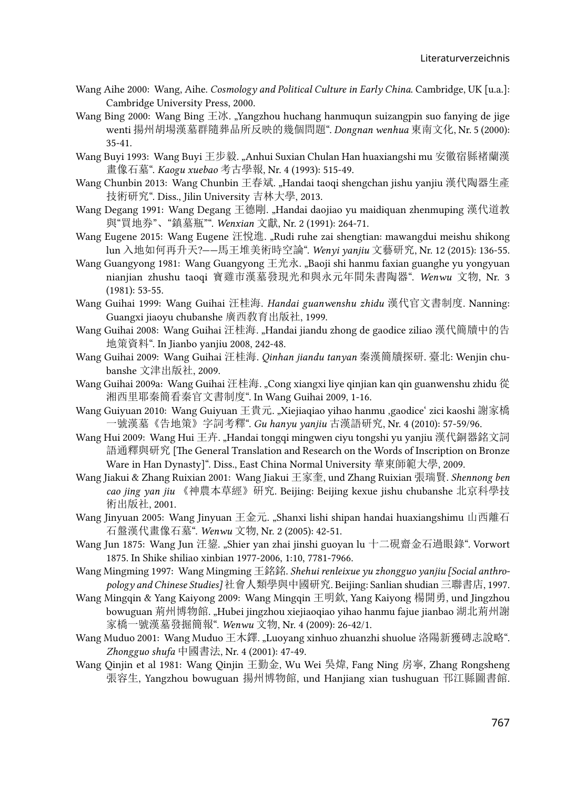- Wang Aihe 2000: Wang, Aihe. *Cosmology and Political Culture in Early China*. Cambridge, UK [u.a.]: Cambridge University Press, 2000.
- Wang Bing 2000: Wang Bing  $\pm\pi$ . "Yangzhou huchang hanmuqun suizangpin suo fanying de jige wenti 揚州胡場漢墓群隨葬品所反映的幾個問題". *Dongnan wenhua* 東南文化, Nr. 5 (2000): 35-41.
- Wang Buyi 1993: Wang Buyi 王步毅. "Anhui Suxian Chulan Han huaxiangshi mu 安徽宿縣褚蘭漢 畫像石墓". *Kaogu xuebao* 考古學報, Nr. 4 (1993): 515-49.
- Wang Chunbin 2013: Wang Chunbin 王春斌. "Handai taoqi shengchan jishu yanjiu 漢代陶器生產 技術研究". Diss., Jilin University 吉林大學, 2013.
- Wang Degang 1991: Wang Degang 王德剛. "Handai daojiao yu maidiquan zhenmuping 漢代道教 與"買地券"、"鎮墓瓶"". *Wenxian* 文獻, Nr. 2 (1991): 264-71.
- Wang Eugene 2015: Wang Eugene 汪悅進. "Rudi ruhe zai shengtian: mawangdui meishu shikong lun 入地如何再升天?——馬王堆美術時空論". *Wenyi yanjiu* 文藝研究, Nr. 12 (2015): 136-55.
- Wang Guangyong 1981: Wang Guangyong 王光永. "Baoji shi hanmu faxian guanghe yu yongyuan nianjian zhushu taoqi 寶雞市漢墓發現光和與永元年間朱書陶器". *Wenwu* 文物, Nr. 3 (1981): 53-55.
- Wang Guihai 1999: Wang Guihai 汪桂海. *Handai guanwenshu zhidu* 漢代官文書制度. Nanning: Guangxi jiaoyu chubanshe 廣西敎育出版社, 1999.
- Wang Guihai 2008: Wang Guihai 汪桂海. "Handai jiandu zhong de gaodice ziliao 漢代簡牘中的告 地策資料". In Jianbo yanjiu 2008, 242-48.
- Wang Guihai 2009: Wang Guihai 汪桂海. *Qinhan jiandu tanyan* 秦漢簡牘探研. 臺北: Wenjin chubanshe 文津出版社, 2009.
- Wang Guihai 2009a: Wang Guihai 汪桂海. "Cong xiangxi liye qinjian kan qin guanwenshu zhidu 從 湘西里耶秦簡看秦官文書制度". In Wang Guihai 2009, 1-16.
- Wang Guiyuan 2010: Wang Guiyuan 王貴元. "Xiejiaqiao yihao hanmu ,gaodice' zici kaoshi 謝家橋 一號漢墓《告地策》字詞考釋". *Gu hanyu yanjiu* 古漢語研究, Nr. 4 (2010): 57-59/96.
- Wang Hui 2009: Wang Hui 王卉. "Handai tongqi mingwen ciyu tongshi yu yanjiu 漢代銅器銘文詞 語通釋與研究 [The General Translation and Research on the Words of Inscription on Bronze Ware in Han Dynasty]". Diss., East China Normal University 華東師範大學, 2009.
- Wang Jiakui & Zhang Ruixian 2001: Wang Jiakui 王家奎, und Zhang Ruixian 張瑞賢. *Shennong ben cao jing yan jiu* 《神農本草經》硏究. Beijing: Beijing kexue jishu chubanshe 北京科學技 術出版社, 2001.
- Wang Jinyuan 2005: Wang Jinyuan 王金元. "Shanxi lishi shipan handai huaxiangshimu 山西離石 石盤漢代畫像石墓". *Wenwu* 文物, Nr. 2 (2005): 42-51.
- Wang Jun 1875: Wang Jun 汪鋆. "Shier yan zhai jinshi guoyan lu 十二硯齋金石過眼錄". Vorwort 1875. In Shike shiliao xinbian 1977-2006, 1:10, 7781-7966.
- Wang Mingming 1997: Wang Mingming 王銘銘. *Shehui renleixue yu zhongguo yanjiu [Social anthropology and Chinese Studies]* 社會人類學與中國研究. Beijing: Sanlian shudian 三聯書店, 1997.
- Wang Mingqin & Yang Kaiyong 2009: Wang Mingqin 王明欽, Yang Kaiyong 楊開勇, und Jingzhou bowuguan 荊州博物館. "Hubei jingzhou xiejiaoqiao yihao hanmu fajue jianbao 湖北荊州謝 家橋一號漢墓發掘簡報". *Wenwu* 文物, Nr. 4 (2009): 26-42/1.
- Wang Muduo 2001: Wang Muduo 王木鐸. "Luoyang xinhuo zhuanzhi shuolue 洛陽新獲磚志說略". *Zhongguo shufa* 中國書法, Nr. 4 (2001): 47-49.
- Wang Qinjin et al 1981: Wang Qinjin 王勤金, Wu Wei 吳煒, Fang Ning 房寧, Zhang Rongsheng 張容生, Yangzhou bowuguan 揚州博物館, und Hanjiang xian tushuguan 邗江縣圖書館.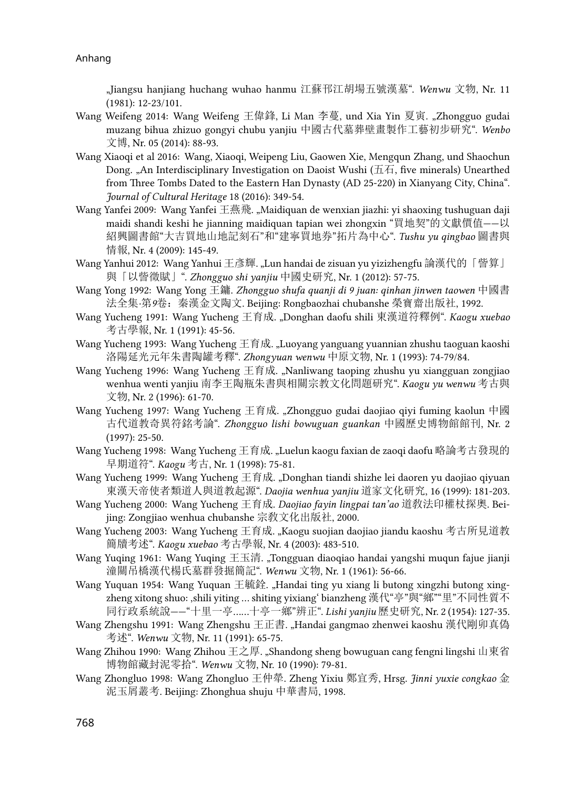"Jiangsu hanjiang huchang wuhao hanmu 江蘇邗江胡場五號漢墓". *Wenwu* 文物, Nr. 11 (1981): 12-23/101.

- Wang Weifeng 2014: Wang Weifeng 王偉鋒, Li Man 李蔓, und Xia Yin 夏寅. "Zhongguo gudai muzang bihua zhizuo gongyi chubu yanjiu 中國古代墓葬壁畫製作工藝初步研究". *Wenbo*  文博, Nr. 05 (2014): 88-93.
- Wang Xiaoqi et al 2016: Wang, Xiaoqi, Weipeng Liu, Gaowen Xie, Mengqun Zhang, und Shaochun Dong. "An Interdisciplinary Investigation on Daoist Wushi ( $\pm \overline{A}$ , five minerals) Unearthed from Three Tombs Dated to the Eastern Han Dynasty (AD 25-220) in Xianyang City, China". *Journal of Cultural Heritage* 18 (2016): 349-54.
- Wang Yanfei 2009: Wang Yanfei 王燕飛. "Maidiquan de wenxian jiazhi: yi shaoxing tushuguan daji maidi shandi keshi he jianning maidiquan tapian wei zhongxin "買地契"的文獻價值——以 紹興圖書館"大吉買地山地記刻石"和"建寧買地券"拓片為中心". *Tushu yu qingbao* 圖書與 情報, Nr. 4 (2009): 145-49.
- Wang Yanhui 2012: Wang Yanhui 王彥輝. "Lun handai de zisuan yu yizizhengfu 論漢代的「訾算」 與「以訾徵賦」". *Zhongguo shi yanjiu* 中國史研究, Nr. 1 (2012): 57-75.
- Wang Yong 1992: Wang Yong 王鏞. *Zhongguo shufa quanji di 9 juan: qinhan jinwen taowen* 中國書 法全集*·*第*9*卷:秦漢金文陶文. Beijing: Rongbaozhai chubanshe 榮寶齋出版社, 1992.
- Wang Yucheng 1991: Wang Yucheng 王育成. "Donghan daofu shili 東漢道符釋例". *Kaogu xuebao*  考古學報, Nr. 1 (1991): 45-56.
- Wang Yucheng 1993: Wang Yucheng 王育成. "Luoyang yanguang yuannian zhushu taoguan kaoshi 洛陽延光元年朱書陶罐考釋". *Zhongyuan wenwu* 中原文物, Nr. 1 (1993): 74-79/84.
- Wang Yucheng 1996: Wang Yucheng 王育成. "Nanliwang taoping zhushu yu xiangguan zongjiao wenhua wenti yanjiu 南李王陶瓶朱書與相關宗教文化問題研究". *Kaogu yu wenwu* 考古與 文物, Nr. 2 (1996): 61-70.
- Wang Yucheng 1997: Wang Yucheng 王育成. "Zhongguo gudai daojiao qiyi fuming kaolun 中國 古代道教奇異符銘考論". *Zhongguo lishi bowuguan guankan* 中國歷史博物館館刊, Nr. 2 (1997): 25-50.
- Wang Yucheng 1998: Wang Yucheng 王育成. "Luelun kaogu faxian de zaoqi daofu 略論考古發現的 早期道符". *Kaogu* 考古, Nr. 1 (1998): 75-81.
- Wang Yucheng 1999: Wang Yucheng 王育成. "Donghan tiandi shizhe lei daoren yu daojiao qiyuan 東漢天帝使者類道人與道教起源". *Daojia wenhua yanjiu* 道家文化研究, 16 (1999): 181-203.
- Wang Yucheng 2000: Wang Yucheng 王育成. *Daojiao fayin lingpai tan'ao* 道敎法印權杖探奧. Beijing: Zongjiao wenhua chubanshe 宗敎文化出版社, 2000.
- Wang Yucheng 2003: Wang Yucheng 王育成. "Kaogu suojian daojiao jiandu kaoshu 考古所見道教 簡牘考述". *Kaogu xuebao* 考古學報, Nr. 4 (2003): 483-510.
- Wang Yuqing 1961: Wang Yuqing 王玉清. "Tongguan diaoqiao handai yangshi muqun fajue jianji 潼關吊橋漢代楊氏墓群發掘簡記". *Wenwu* 文物, Nr. 1 (1961): 56-66.
- Wang Yuquan 1954: Wang Yuquan 王毓銓. "Handai ting yu xiang li butong xingzhi butong xingzheng xitong shuo: ,shili yiting ... shiting yixiang' bianzheng 漢代"亭"與"鄉""里"不同性質不 同行政系統說——"十里一亭……十亭一鄉"辨正". *Lishi yanjiu* 歷史研究, Nr. 2 (1954): 127-35.
- Wang Zhengshu 1991: Wang Zhengshu 王正書. "Handai gangmao zhenwei kaoshu 漢代剛卯真偽 考述". *Wenwu* 文物, Nr. 11 (1991): 65-75.
- Wang Zhihou 1990: Wang Zhihou 王之厚. "Shandong sheng bowuguan cang fengni lingshi 山東省 博物館藏封泥零拾". *Wenwu* 文物, Nr. 10 (1990): 79-81.
- Wang Zhongluo 1998: Wang Zhongluo 王仲犖. Zheng Yixiu 鄭宜秀, Hrsg. *Jinni yuxie congkao* 金 泥玉屑叢考. Beijing: Zhonghua shuju 中華書局, 1998.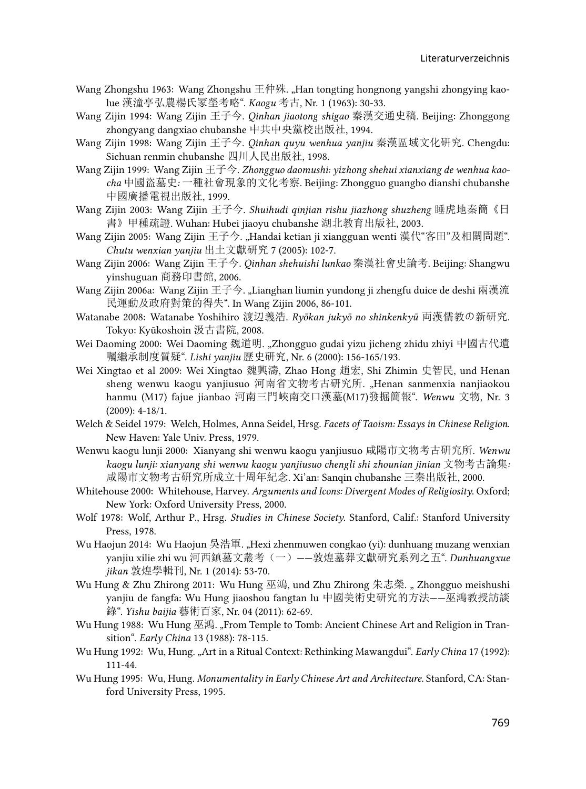- Wang Zhongshu 1963: Wang Zhongshu 王仲殊. "Han tongting hongnong yangshi zhongying kaolue 漢潼亭弘農楊氏冡塋考略". *Kaogu* 考古, Nr. 1 (1963): 30-33.
- Wang Zijin 1994: Wang Zijin 王子今. *Qinhan jiaotong shigao* 秦漢交通史稿. Beijing: Zhonggong zhongyang dangxiao chubanshe 中共中央黨校出版社, 1994.
- Wang Zijin 1998: Wang Zijin 王子今. *Qinhan quyu wenhua yanjiu* 秦漢區域文化硏究. Chengdu: Sichuan renmin chubanshe 四川人民出版社, 1998.
- Wang Zijin 1999: Wang Zijin 王子今. *Zhongguo daomushi: yizhong shehui xianxiang de wenhua kaocha* 中國盜墓史*:* 一種社會現象的文化考察. Beijing: Zhongguo guangbo dianshi chubanshe 中國廣播電視出版社, 1999.
- Wang Zijin 2003: Wang Zijin 王子今. *Shuihudi qinjian rishu jiazhong shuzheng* 睡虎地秦簡《日 書》甲種疏證. Wuhan: Hubei jiaoyu chubanshe 湖北教育出版社, 2003.
- Wang Zijin 2005: Wang Zijin 王子今. "Handai ketian ji xiangguan wenti 漢代"客田"及相關問題". *Chutu wenxian yanjiu* 出土文獻研究 7 (2005): 102-7.
- Wang Zijin 2006: Wang Zijin 王子今. *Qinhan shehuishi lunkao* 秦漢社會史論考. Beijing: Shangwu yinshuguan 商務印書館, 2006.
- Wang Zijin 2006a: Wang Zijin 王子今. "Lianghan liumin yundong ji zhengfu duice de deshi 兩漢流 民運動及政府對策的得失". In Wang Zijin 2006, 86-101.
- Watanabe 2008: Watanabe Yoshihiro 渡辺義浩. *Ryōkan jukyō no shinkenkyū* 両漢儒教の新研究. Tokyo: Kyūkoshoin 汲古書院, 2008.
- Wei Daoming 2000: Wei Daoming 魏道明. "Zhongguo gudai yizu jicheng zhidu zhiyi 中國古代遺 囑繼承制度質疑". *Lishi yanjiu* 歷史研究, Nr. 6 (2000): 156-165/193.
- Wei Xingtao et al 2009: Wei Xingtao 魏興濤, Zhao Hong 趙宏, Shi Zhimin 史智民, und Henan sheng wenwu kaogu yanjiusuo 河南省文物考古研究所. "Henan sanmenxia nanjiaokou hanmu (M17) fajue jianbao 河南三門峽南交口漢墓(M17)發掘簡報". *Wenwu* 文物, Nr. 3 (2009): 4-18/1.
- Welch & Seidel 1979: Welch, Holmes, Anna Seidel, Hrsg. *Facets of Taoism: Essays in Chinese Religion*. New Haven: Yale Univ. Press, 1979.
- Wenwu kaogu lunji 2000: Xianyang shi wenwu kaogu yanjiusuo 咸陽市文物考古硏究所. *Wenwu kaogu lunji: xianyang shi wenwu kaogu yanjiusuo chengli shi zhounian jinian* 文物考古論集*:*  咸陽市文物考古硏究所成立十周年紀念. Xi'an: Sanqin chubanshe 三秦出版社, 2000.
- Whitehouse 2000: Whitehouse, Harvey. *Arguments and Icons: Divergent Modes of Religiosity*. Oxford; New York: Oxford University Press, 2000.
- Wolf 1978: Wolf, Arthur P., Hrsg. *Studies in Chinese Society*. Stanford, Calif.: Stanford University Press, 1978.
- Wu Haojun 2014: Wu Haojun 吳浩軍. "Hexi zhenmuwen congkao (yi): dunhuang muzang wenxian yanjiu xilie zhi wu 河西鎮墓文叢考(一)——敦煌墓葬文獻研究系列之五". *Dunhuangxue jikan* 敦煌學輯刊, Nr. 1 (2014): 53-70.
- Wu Hung & Zhu Zhirong 2011: Wu Hung 巫鴻, und Zhu Zhirong 朱志榮. "Zhongguo meishushi yanjiu de fangfa: Wu Hung jiaoshou fangtan lu 中國美術史研究的方法——巫鴻教授訪談 錄". *Yishu baijia* 藝術百家, Nr. 04 (2011): 62-69.
- Wu Hung 1988: Wu Hung 巫鴻. "From Temple to Tomb: Ancient Chinese Art and Religion in Transition". *Early China* 13 (1988): 78-115.
- Wu Hung 1992: Wu, Hung. "Art in a Ritual Context: Rethinking Mawangdui". *Early China* 17 (1992): 111-44.
- Wu Hung 1995: Wu, Hung. *Monumentality in Early Chinese Art and Architecture*. Stanford, CA: Stanford University Press, 1995.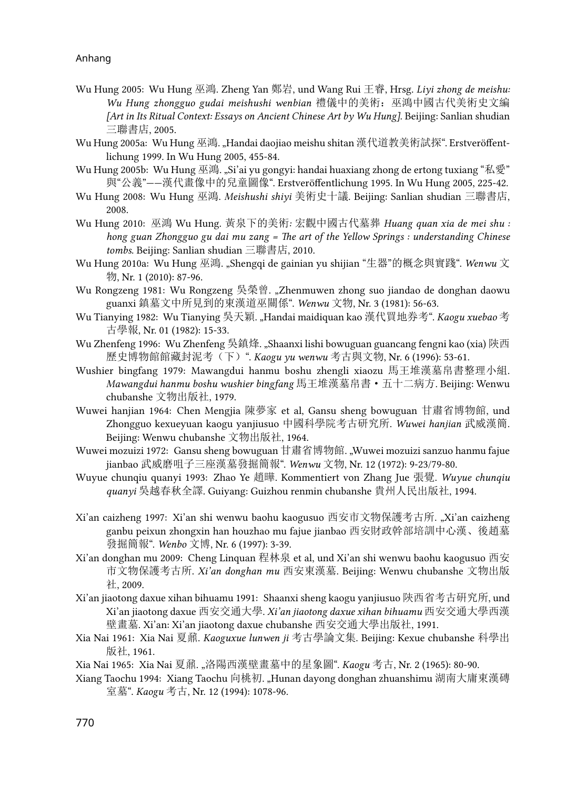- Wu Hung 2005: Wu Hung 巫鴻. Zheng Yan 鄭岩, und Wang Rui 王睿, Hrsg. *Liyi zhong de meishu: Wu Hung zhongguo gudai meishushi wenbian* 禮儀中的美術:巫鴻中國古代美術史文編 *[Art in Its Ritual Context: Essays on Ancient Chinese Art by Wu Hung]*. Beijing: Sanlian shudian 三聯書店, 2005.
- Wu Hung 2005a: Wu Hung 巫鴻. "Handai daojiao meishu shitan 漢代道教美術試探". Erstveröffentlichung 1999. In Wu Hung 2005, 455-84.
- Wu Hung 2005b: Wu Hung 巫鴻. "Si'ai yu gongyi: handai huaxiang zhong de ertong tuxiang "私愛" 與"公義"——漢代畫像中的兒童圖像". Erstveröffentlichung 1995. In Wu Hung 2005, 225-42.
- Wu Hung 2008: Wu Hung 巫鴻. *Meishushi shiyi* 美術史十議. Beijing: Sanlian shudian 三聯書店, 2008.
- Wu Hung 2010: 巫鴻 Wu Hung*.* 黃泉下的美術*:* 宏觀中國古代墓葬 *Huang quan xia de mei shu : hong guan Zhongguo gu dai mu zang = The art of the Yellow Springs : understanding Chinese tombs*. Beijing: Sanlian shudian 三聯書店, 2010.
- Wu Hung 2010a: Wu Hung 巫鴻. "Shengqi de gainian yu shijian "生器"的概念與實踐". *Wenwu* 文 物, Nr. 1 (2010): 87-96.
- Wu Rongzeng 1981: Wu Rongzeng 吳榮曾. "Zhenmuwen zhong suo jiandao de donghan daowu guanxi 鎮墓文中所見到的東漢道巫關係". *Wenwu* 文物, Nr. 3 (1981): 56-63.
- Wu Tianying 1982: Wu Tianying 吳天穎. "Handai maidiquan kao 漢代買地券考". *Kaogu xuebao* 考 古學報, Nr. 01 (1982): 15-33.
- Wu Zhenfeng 1996: Wu Zhenfeng 吳鎮烽. "Shaanxi lishi bowuguan guancang fengni kao (xia) 陝西 歷史博物館館藏封泥考(下)". *Kaogu yu wenwu* 考古與文物, Nr. 6 (1996): 53-61.
- Wushier bingfang 1979: Mawangdui hanmu boshu zhengli xiaozu 馬王堆漢墓帛書整理小組. *Mawangdui hanmu boshu wushier bingfang* 馬王堆漢墓帛書·五十二病方. Beijing: Wenwu chubanshe 文物出版社, 1979.
- Wuwei hanjian 1964: Chen Mengjia 陳夢家 et al, Gansu sheng bowuguan 甘肅省博物館, und Zhongguo kexueyuan kaogu yanjiusuo 中國科學院考古研究所. *Wuwei hanjian* 武威漢簡. Beijing: Wenwu chubanshe 文物出版社, 1964.
- Wuwei mozuizi 1972: Gansu sheng bowuguan 甘肅省博物館. "Wuwei mozuizi sanzuo hanmu fajue jianbao 武威磨咀子三座漢墓發掘簡報". *Wenwu* 文物, Nr. 12 (1972): 9-23/79-80.
- Wuyue chunqiu quanyi 1993: Zhao Ye 趙曄. Kommentiert von Zhang Jue 張覺. *Wuyue chunqiu quanyi* 吳越春秋全譯. Guiyang: Guizhou renmin chubanshe 貴州人民出版社, 1994.
- Xi'an caizheng 1997: Xi'an shi wenwu baohu kaogusuo 西安市文物保護考古所. "Xi'an caizheng ganbu peixun zhongxin han houzhao mu fajue jianbao 西安財政幹部培訓中心漢、後趙墓 發掘簡報". *Wenbo* 文博, Nr. 6 (1997): 3-39.
- Xi'an donghan mu 2009: Cheng Linquan 程林泉 et al, und Xi'an shi wenwu baohu kaogusuo 西安 市文物保護考古所. *Xi'an donghan mu* 西安東漢墓. Beijing: Wenwu chubanshe 文物出版 社, 2009.
- Xi'an jiaotong daxue xihan bihuamu 1991: Shaanxi sheng kaogu yanjiusuo 陝西省考古硏究所, und Xi'an jiaotong daxue 西安交通大學. *Xi'an jiaotong daxue xihan bihuamu* 西安交通大學西漢 壁畫墓. Xi'an: Xi'an jiaotong daxue chubanshe 西安交通大學出版社, 1991.
- Xia Nai 1961: Xia Nai 夏鼐. *Kaoguxue lunwen ji* 考古學論文集. Beijing: Kexue chubanshe 科學出 版社, 1961.
- Xia Nai 1965: Xia Nai 夏鼐. "洛陽西漢壁畫墓中的星象圖". *Kaogu* 考古, Nr. 2 (1965): 80-90.
- Xiang Taochu 1994: Xiang Taochu 向桃初. "Hunan dayong donghan zhuanshimu 湖南大庸東漢磚 室墓". *Kaogu* 考古, Nr. 12 (1994): 1078-96.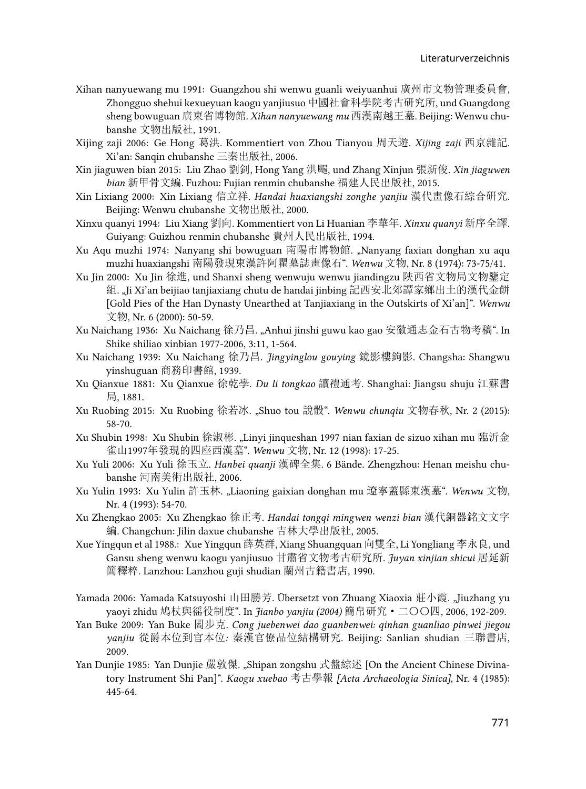- Xihan nanyuewang mu 1991: Guangzhou shi wenwu guanli weiyuanhui 廣州市文物管理委員會, Zhongguo shehui kexueyuan kaogu yanjiusuo 中國社會科學院考古研究所, und Guangdong sheng bowuguan 廣東省博物館. *Xihan nanyuewang mu* 西漢南越王墓. Beijing: Wenwu chubanshe 文物出版社, 1991.
- Xijing zaji 2006: Ge Hong 葛洪. Kommentiert von Zhou Tianyou 周天遊. *Xijing zaji* 西京雜記. Xi'an: Sanqin chubanshe 三秦出版社, 2006.
- Xin jiaguwen bian 2015: Liu Zhao 劉釗, Hong Yang 洪颺, und Zhang Xinjun 張新俊. *Xin jiaguwen bian* 新甲骨文編. Fuzhou: Fujian renmin chubanshe 福建人民出版社, 2015.
- Xin Lixiang 2000: Xin Lixiang 信立祥. *Handai huaxiangshi zonghe yanjiu* 漢代畫像石綜合硏究. Beijing: Wenwu chubanshe 文物出版社, 2000.
- Xinxu quanyi 1994: Liu Xiang 劉向. Kommentiert von Li Huanian 李華年. *Xinxu quanyi* 新序全譯. Guiyang: Guizhou renmin chubanshe 貴州人民出版社, 1994.
- Xu Aqu muzhi 1974: Nanyang shi bowuguan 南陽市博物館. "Nanyang faxian donghan xu aqu muzhi huaxiangshi 南陽發現東漢許阿瞿墓誌畫像石". *Wenwu* 文物, Nr. 8 (1974): 73-75/41.
- Xu Jin 2000: Xu Jin 徐進, und Shanxi sheng wenwuju wenwu jiandingzu 陝西省文物局文物鑒定 組. "Ji Xi'an beijiao tanjiaxiang chutu de handai jinbing 記西安北郊譚家鄉出土的漢代金餅 [Gold Pies of the Han Dynasty Unearthed at Tanjiaxiang in the Outskirts of Xi'an]". *Wenwu*  文物, Nr. 6 (2000): 50-59.
- Xu Naichang 1936: Xu Naichang 徐乃昌. "Anhui jinshi guwu kao gao 安徽通志金石古物考稿". In Shike shiliao xinbian 1977-2006, 3:11, 1-564.
- Xu Naichang 1939: Xu Naichang 徐乃昌. *Jingyinglou gouying* 鏡影樓鉤影. Changsha: Shangwu yinshuguan 商務印書館, 1939.
- Xu Qianxue 1881: Xu Qianxue 徐乾學. *Du li tongkao* 讀禮通考. Shanghai: Jiangsu shuju 江蘇書 局, 1881.
- Xu Ruobing 2015: Xu Ruobing 徐若冰. "Shuo tou 說骰". *Wenwu chunqiu* 文物春秋, Nr. 2 (2015): 58-70.
- Xu Shubin 1998: Xu Shubin 徐淑彬. "Linyi jinqueshan 1997 nian faxian de sizuo xihan mu 臨沂金 雀山1997年發現的四座西漢墓". *Wenwu* 文物, Nr. 12 (1998): 17-25.
- Xu Yuli 2006: Xu Yuli 徐玉立. *Hanbei quanji* 漢碑全集. 6 Bände. Zhengzhou: Henan meishu chubanshe 河南美術出版社, 2006.
- Xu Yulin 1993: Xu Yulin 許玉林. "Liaoning gaixian donghan mu 遼寧蓋縣東漢墓". *Wenwu* 文物, Nr. 4 (1993): 54-70.
- Xu Zhengkao 2005: Xu Zhengkao 徐正考. *Handai tongqi mingwen wenzi bian* 漢代銅器銘文文字 編. Changchun: Jilin daxue chubanshe 吉林大學出版社, 2005.
- Xue Yingqun et al 1988.: Xue Yingqun 薛英群, Xiang Shuangquan 向雙全, Li Yongliang 李永良, und Gansu sheng wenwu kaogu yanjiusuo 甘肅省文物考古研究所. *Juyan xinjian shicui* 居延新 簡釋粹*.* Lanzhou: Lanzhou guji shudian 蘭州古籍書店, 1990.
- Yamada 2006: Yamada Katsuyoshi 山田勝芳. Übersetzt von Zhuang Xiaoxia 莊小霞. "Jiuzhang yu yaoyi zhidu 鳩杖與徭役制度". In *Jianbo yanjiu (2004)* 簡帛研究·二〇〇四, 2006, 192-209.
- Yan Buke 2009: Yan Buke 閻步克. *Cong juebenwei dao guanbenwei: qinhan guanliao pinwei jiegou yanjiu* 從爵本位到官本位*:* 秦漢官僚品位結構研究. Beijing: Sanlian shudian 三聯書店, 2009.
- Yan Dunjie 1985: Yan Dunjie 嚴敦傑. "Shipan zongshu 式盤綜述 [On the Ancient Chinese Divinatory Instrument Shi Pan]". *Kaogu xuebao* 考古學報 *[Acta Archaeologia Sinica]*, Nr. 4 (1985): 445-64.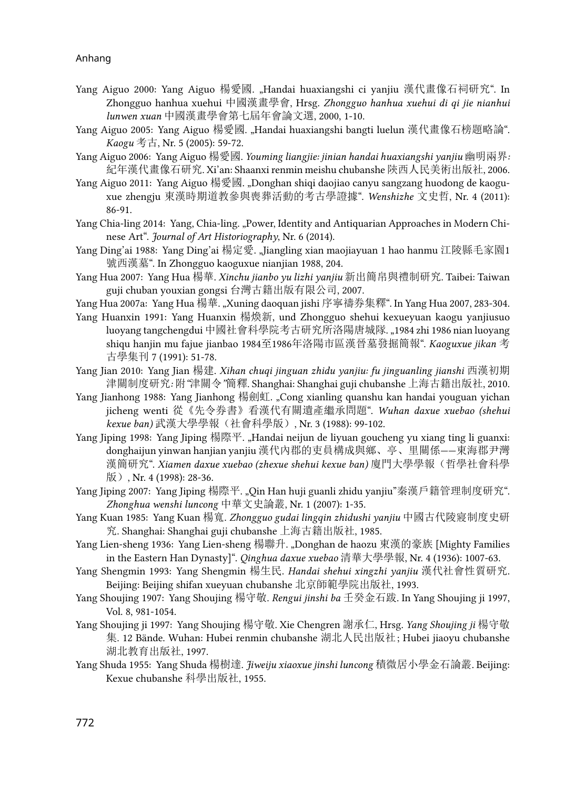- Yang Aiguo 2000: Yang Aiguo 楊愛國. "Handai huaxiangshi ci yanjiu 漢代畫像石祠研究". In Zhongguo hanhua xuehui 中國漢畫學會, Hrsg. *Zhongguo hanhua xuehui di qi jie nianhui lunwen xuan* 中國漢畫學會第七屆年會論文選, 2000, 1-10.
- Yang Aiguo 2005: Yang Aiguo 楊愛國. "Handai huaxiangshi bangti luelun 漢代畫像石榜題略論". *Kaogu* 考古, Nr. 5 (2005): 59-72.
- Yang Aiguo 2006: Yang Aiguo 楊愛國. *Youming liangjie: jinian handai huaxiangshi yanjiu* 幽明兩界*:*  紀年漢代畫像石研究. Xi'an: Shaanxi renmin meishu chubanshe 陝西人民美術出版社, 2006.
- Yang Aiguo 2011: Yang Aiguo 楊愛國. "Donghan shiqi daojiao canyu sangzang huodong de kaoguxue zhengju 東漢時期道教參與喪葬活動的考古學證據". *Wenshizhe* 文史哲, Nr. 4 (2011): 86-91.
- Yang Chia-ling 2014: Yang, Chia-ling. "Power, Identity and Antiquarian Approaches in Modern Chinese Art". *Journal of Art Historiography*, Nr. 6 (2014).
- Yang Ding'ai 1988: Yang Ding'ai 楊定愛. "Jiangling xian maojiayuan 1 hao hanmu 江陵縣毛家園1 號西漢墓". In Zhongguo kaoguxue nianjian 1988, 204.
- Yang Hua 2007: Yang Hua 楊華. *Xinchu jianbo yu lizhi yanjiu* 新出簡帛與禮制研究. Taibei: Taiwan guji chuban youxian gongsi 台灣古籍出版有限公司, 2007.
- Yang Hua 2007a: Yang Hua 楊華. "Xuning daoquan jishi 序寧禱券集釋". In Yang Hua 2007, 283-304.
- Yang Huanxin 1991: Yang Huanxin 楊煥新, und Zhongguo shehui kexueyuan kaogu yanjiusuo luoyang tangchengdui 中國社會科學院考古研究所洛陽唐城隊. "1984 zhi 1986 nian luoyang shiqu hanjin mu fajue jianbao 1984至1986年洛陽市區漢晉墓發掘簡報". *Kaoguxue jikan* 考 古學集刊 7 (1991): 51-78.
- Yang Jian 2010: Yang Jian 楊建. *Xihan chuqi jinguan zhidu yanjiu: fu jinguanling jianshi* 西漢初期 津關制度研究*:* 附*"*津關令*"*簡釋. Shanghai: Shanghai guji chubanshe 上海古籍出版社, 2010.
- Yang Jianhong 1988: Yang Jianhong 楊劍虹. "Cong xianling quanshu kan handai youguan yichan jicheng wenti 從《先令券書》看漢代有關遺產繼承問題". *Wuhan daxue xuebao (shehui kexue ban)* 武漢大學學報(社會科學版), Nr. 3 (1988): 99-102.
- Yang Jiping 1998: Yang Jiping 楊際平. "Handai neijun de liyuan goucheng yu xiang ting li guanxi: donghaijun yinwan hanjian yanjiu 漢代內郡的吏員構成與鄉、亭、里關係——東海郡尹灣 漢簡研究". *Xiamen daxue xuebao (zhexue shehui kexue ban)* 廈門大學學報(哲學社會科學 版), Nr. 4 (1998): 28-36.
- Yang Jiping 2007: Yang Jiping 楊際平. "Qin Han huji guanli zhidu yanjiu"秦漢戶籍管理制度研究". *Zhonghua wenshi luncong* 中華文史論叢, Nr. 1 (2007): 1-35.
- Yang Kuan 1985: Yang Kuan 楊寬. *Zhongguo gudai lingqin zhidushi yanjiu* 中國古代陵寢制度史研 究. Shanghai: Shanghai guji chubanshe 上海古籍出版社, 1985.
- Yang Lien-sheng 1936: Yang Lien-sheng 楊聯升. "Donghan de haozu 東漢的豪族 [Mighty Families in the Eastern Han Dynasty]". *Qinghua daxue xuebao* 清華大學學報, Nr. 4 (1936): 1007-63.
- Yang Shengmin 1993: Yang Shengmin 楊生民. *Handai shehui xingzhi yanjiu* 漢代社會性質研究. Beijing: Beijing shifan xueyuan chubanshe 北京師範學院出版社, 1993.
- Yang Shoujing 1907: Yang Shoujing 楊守敬. *Rengui jinshi ba* 壬癸金石跋. In Yang Shoujing ji 1997, Vol. 8, 981-1054.
- Yang Shoujing ji 1997: Yang Shoujing 楊守敬. Xie Chengren 謝承仁, Hrsg. *Yang Shoujing ji* 楊守敬 集. 12 Bände. Wuhan: Hubei renmin chubanshe 湖北人民出版社 ; Hubei jiaoyu chubanshe 湖北教育出版社, 1997.
- Yang Shuda 1955: Yang Shuda 楊樹達. *Jiweiju xiaoxue jinshi luncong* 積微居小學金石論叢. Beijing: Kexue chubanshe 科學出版社, 1955.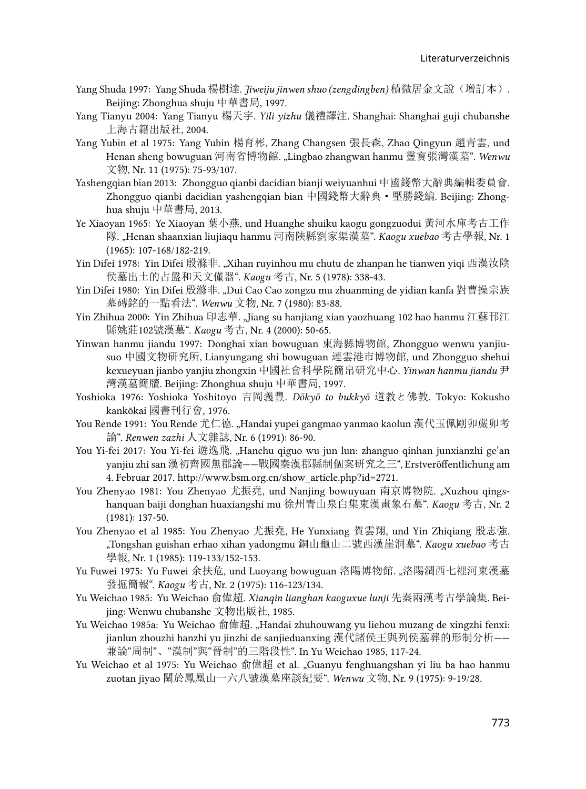- Yang Shuda 1997: Yang Shuda 楊樹達. *Jiweiju jinwen shuo (zengdingben)* 積微居金文說(增訂本). Beijing: Zhonghua shuju 中華書局, 1997.
- Yang Tianyu 2004: Yang Tianyu 楊天宇. *Yili yizhu* 儀禮譯注. Shanghai: Shanghai guji chubanshe 上海古籍出版社, 2004.
- Yang Yubin et al 1975: Yang Yubin 楊育彬, Zhang Changsen 張長森, Zhao Qingyun 趙青雲, und Henan sheng bowuguan 河南省博物館. "Lingbao zhangwan hanmu 靈寶張灣漢墓". *Wenwu* 文物, Nr. 11 (1975): 75-93/107.
- Yashengqian bian 2013: Zhongguo qianbi dacidian bianji weiyuanhui 中國錢幣大辭典編輯委員會. Zhongguo qianbi dacidian yashengqian bian 中國錢幣大辭典·壓勝錢編. Beijing: Zhonghua shuju 中華書局, 2013.
- Ye Xiaoyan 1965: Ye Xiaoyan 葉小燕, und Huanghe shuiku kaogu gongzuodui 黃河水庫考古工作 隊. "Henan shaanxian liujiaqu hanmu 河南陝縣劉家渠漢墓". *Kaogu xuebao* 考古學報, Nr. 1 (1965): 107-168/182-219.
- Yin Difei 1978: Yin Difei 殷滌非. "Xihan ruyinhou mu chutu de zhanpan he tianwen yiqi 西漢汝陰 侯墓出土的占盤和天文僅器". *Kaogu* 考古, Nr. 5 (1978): 338-43.
- Yin Difei 1980: Yin Difei 殷滌非. "Dui Cao Cao zongzu mu zhuanming de yidian kanfa 對曹操宗族 墓磚銘的一點看法". *Wenwu* 文物, Nr. 7 (1980): 83-88.
- Yin Zhihua 2000: Yin Zhihua 印志華. "Jiang su hanjiang xian yaozhuang 102 hao hanmu 江蘇邗江 縣姚莊102號漢墓". *Kaogu* 考古, Nr. 4 (2000): 50-65.
- Yinwan hanmu jiandu 1997: Donghai xian bowuguan 東海縣博物館, Zhongguo wenwu yanjiusuo 中國文物研究所, Lianyungang shi bowuguan 連雲港市博物館, und Zhongguo shehui kexueyuan jianbo yanjiu zhongxin 中國社會科學院簡帛研究中心. *Yinwan hanmu jiandu* 尹 灣漢墓簡牘. Beijing: Zhonghua shuju 中華書局, 1997.
- Yoshioka 1976: Yoshioka Yoshitoyo 吉岡義豐. *Dōkyō to bukkyō* 道教と佛教. Tokyo: Kokusho kankōkai 國書刊行會, 1976.
- You Rende 1991: You Rende 尤仁德. "Handai yupei gangmao yanmao kaolun 漢代玉佩剛卯嚴卯考 論". *Renwen zazhi* 人文雜誌, Nr. 6 (1991): 86-90.
- You Yi-fei 2017: You Yi-fei 遊逸飛[. "Hanchu qiguo wu jun lun: zhanguo qinhan junxianzhi ge'an](http://www.bsm.org.cn/show_article.php?id=2721) yanjiu zhi san 漢初齊國無郡論——[戰國秦漢郡縣制個案研究之三](http://www.bsm.org.cn/show_article.php?id=2721)", Erstveröffentlichung am [4. Februar 2017. http://www.bsm.org.cn/show\\_article.php?id=2721.](http://www.bsm.org.cn/show_article.php?id=2721)
- You Zhenyao 1981: You Zhenyao 尤振堯, und Nanjing bowuyuan 南京博物院. "Xuzhou qingshanquan baiji donghan huaxiangshi mu 徐州青山泉白集東漢畫象石墓". *Kaogu* 考古, Nr. 2 (1981): 137-50.
- You Zhenyao et al 1985: You Zhenyao 尤振堯, He Yunxiang 賀雲翔, und Yin Zhiqiang 殷志強. "Tongshan guishan erhao xihan yadongmu 銅山龜山二號西漢崖洞墓". *Kaogu xuebao* 考古 學報, Nr. 1 (1985): 119-133/152-153.
- Yu Fuwei 1975: Yu Fuwei 余扶危, und Luoyang bowuguan 洛陽博物館. "洛陽澗西七裡河東漢墓 發掘簡報". *Kaogu* 考古, Nr. 2 (1975): 116-123/134.
- Yu Weichao 1985: Yu Weichao 俞偉超. *Xianqin lianghan kaoguxue lunji* 先秦兩漢考古學論集. Beijing: Wenwu chubanshe 文物出版社, 1985.
- Yu Weichao 1985a: Yu Weichao 俞偉超. "Handai zhuhouwang yu liehou muzang de xingzhi fenxi: jianlun zhouzhi hanzhi yu jinzhi de sanjieduanxing 漢代諸侯王與列侯墓葬的形制分析—— 兼論"周制"、"漢制"與"晉制"的三階段性". In Yu Weichao 1985, 117-24.
- Yu Weichao et al 1975: Yu Weichao 俞偉超 et al. "Guanyu fenghuangshan yi liu ba hao hanmu zuotan jiyao 關於鳳凰山一六八號漢墓座談紀要". *Wenwu* 文物, Nr. 9 (1975): 9-19/28.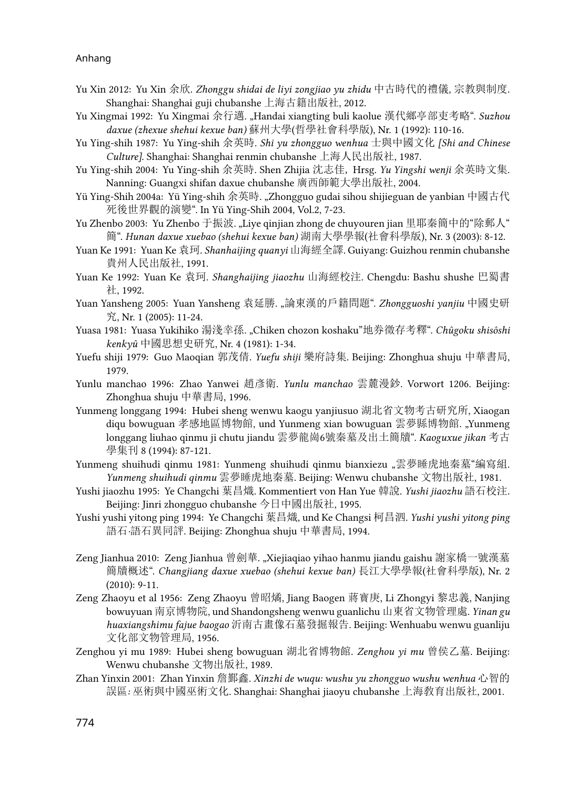- Yu Xin 2012: Yu Xin 余欣. *Zhonggu shidai de liyi zongjiao yu zhidu* 中古時代的禮儀*,* 宗教與制度. Shanghai: Shanghai guji chubanshe 上海古籍出版社, 2012.
- Yu Xingmai 1992: Yu Xingmai 余行邁. "Handai xiangting buli kaolue 漢代鄉亭部吏考略". Suzhou *daxue (zhexue shehui kexue ban)* 蘇州大學(哲學社會科學版), Nr. 1 (1992): 110-16.
- Yu Ying-shih 1987: Yu Ying-shih 余英時. *Shi yu zhongguo wenhua* 士與中國文化 *[Shi and Chinese Culture]*. Shanghai: Shanghai renmin chubanshe 上海人民出版社, 1987.
- Yu Ying-shih 2004: Yu Ying-shih 余英時. Shen Zhijia 沈志佳, Hrsg. *Yu Yingshi wenji* 余英時文集. Nanning: Guangxi shifan daxue chubanshe 廣西師範大學出版社, 2004.
- Yü Ying-Shih 2004a: Yü Ying-shih 余英時. "Zhongguo gudai sihou shijieguan de yanbian 中國古代 死後世界觀的演變". In Yü Ying-Shih 2004, Vol.2, 7-23.
- Yu Zhenbo 2003: Yu Zhenbo 于振波. "Liye qinjian zhong de chuyouren jian 里耶秦簡中的"除郵人" 簡". *Hunan daxue xuebao (shehui kexue ban)* 湖南大學學報(社會科學版), Nr. 3 (2003): 8-12.
- Yuan Ke 1991: Yuan Ke 袁珂. *Shanhaijing quanyi* 山海經全譯. Guiyang: Guizhou renmin chubanshe 貴州人民出版社, 1991.
- Yuan Ke 1992: Yuan Ke 袁珂. *Shanghaijing jiaozhu* 山海經校注. Chengdu: Bashu shushe 巴蜀書 社, 1992.
- Yuan Yansheng 2005: Yuan Yansheng 袁延勝. "論東漢的戶籍問題". *Zhongguoshi yanjiu* 中國史研 究, Nr. 1 (2005): 11-24.
- Yuasa 1981: Yuasa Yukihiko 湯淺幸孫. "Chiken chozon koshaku"地券徵存考釋". *Chûgoku shisôshi kenkyû* 中國思想史研究, Nr. 4 (1981): 1-34.
- Yuefu shiji 1979: Guo Maoqian 郭茂倩. *Yuefu shiji* 樂府詩集. Beijing: Zhonghua shuju 中華書局, 1979.
- Yunlu manchao 1996: Zhao Yanwei 趙彥衛. *Yunlu manchao* 雲麓漫鈔. Vorwort 1206. Beijing: Zhonghua shuju 中華書局, 1996.
- Yunmeng longgang 1994: Hubei sheng wenwu kaogu yanjiusuo 湖北省文物考古研究所, Xiaogan diqu bowuguan 孝感地區博物館, und Yunmeng xian bowuguan 雲夢縣博物館. "Yunmeng longgang liuhao qinmu ji chutu jiandu 雲夢龍崗6號秦墓及出土簡牘". *Kaoguxue jikan* 考古 學集刊 8 (1994): 87-121.
- Yunmeng shuihudi qinmu 1981: Yunmeng shuihudi qinmu bianxiezu ,雲夢睡虎地秦墓"編寫組. *Yunmeng shuihudi qinmu* 雲夢睡虎地秦墓. Beijing: Wenwu chubanshe 文物出版社, 1981.
- Yushi jiaozhu 1995: Ye Changchi 葉昌熾. Kommentiert von Han Yue 韓說. *Yushi jiaozhu* 語石校注. Beijing: Jinri zhongguo chubanshe 今日中國出版社, 1995.
- Yushi yushi yitong ping 1994: Ye Changchi 葉昌熾, und Ke Changsi 柯昌泗. *Yushi yushi yitong ping*  語石*·*語石異同評. Beijing: Zhonghua shuju 中華書局, 1994.
- Zeng Jianhua 2010: Zeng Jianhua 曾劍華. "Xiejiaqiao yihao hanmu jiandu gaishu 謝家橋一號漢墓 簡牘概述". *Changjiang daxue xuebao (shehui kexue ban)* 長江大學學報(社會科學版), Nr. 2 (2010): 9-11.
- Zeng Zhaoyu et al 1956: Zeng Zhaoyu 曾昭燏, Jiang Baogen 蔣寳庚, Li Zhongyi 黎忠義, Nanjing bowuyuan 南京博物院, und Shandongsheng wenwu guanlichu 山東省文物管理處. *Yinan gu huaxiangshimu fajue baogao* 沂南古畫像石墓發掘報告. Beijing: Wenhuabu wenwu guanliju 文化部文物管理局, 1956.
- Zenghou yi mu 1989: Hubei sheng bowuguan 湖北省博物館. *Zenghou yi mu* 曾侯乙墓. Beijing: Wenwu chubanshe 文物出版社, 1989.
- Zhan Yinxin 2001: Zhan Yinxin 詹鄞鑫. *Xinzhi de wuqu: wushu yu zhongguo wushu wenhua* 心智的 誤區*:* 巫術與中國巫術文化. Shanghai: Shanghai jiaoyu chubanshe 上海敎育出版社, 2001.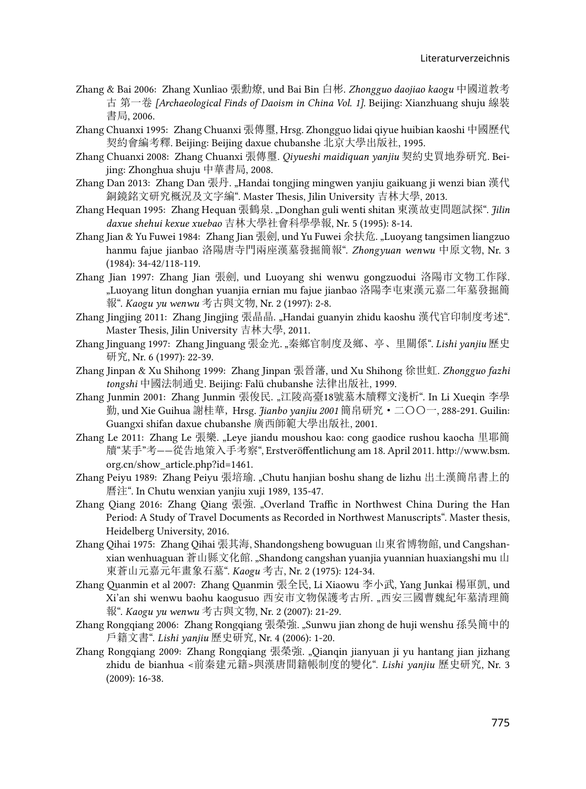- Zhang & Bai 2006: Zhang Xunliao 張勳燎, und Bai Bin 白彬. *Zhongguo daojiao kaogu* 中國道教考 古 第一卷 *[Archaeological Finds of Daoism in China Vol. 1]*. Beijing: Xianzhuang shuju 線裝 書局, 2006.
- Zhang Chuanxi 1995: Zhang Chuanxi 張傳璽, Hrsg. Zhongguo lidai qiyue huibian kaoshi 中國歷代 契約會編考釋. Beijing: Beijing daxue chubanshe 北京大學出版社, 1995.
- Zhang Chuanxi 2008: Zhang Chuanxi 張傳璽. *Qiyueshi maidiquan yanjiu* 契約史買地券研究. Beijing: Zhonghua shuju 中華書局, 2008.
- Zhang Dan 2013: Zhang Dan 張丹. "Handai tongjing mingwen yanjiu gaikuang ji wenzi bian 漢代 銅鏡銘文研究概況及文字編". Master Thesis, Jilin University 吉林大學, 2013.
- Zhang Hequan 1995: Zhang Hequan 張鶴泉. "Donghan guli wenti shitan 東漢故吏問題試探". *Jilin daxue shehui kexue xuebao* 吉林大學社會科學學報, Nr. 5 (1995): 8-14.
- Zhang Jian & Yu Fuwei 1984: Zhang Jian 張劍, und Yu Fuwei 余扶危. "Luoyang tangsimen liangzuo hanmu fajue jianbao 洛陽唐寺門兩座漢墓發掘簡報". *Zhongyuan wenwu* 中原文物, Nr. 3 (1984): 34-42/118-119.
- Zhang Jian 1997: Zhang Jian 張劍, und Luoyang shi wenwu gongzuodui 洛陽市文物工作隊. "Luoyang litun donghan yuanjia ernian mu fajue jianbao 洛陽李屯東漢元嘉二年墓發掘簡 報". *Kaogu yu wenwu* 考古與文物, Nr. 2 (1997): 2-8.
- Zhang Jingjing 2011: Zhang Jingjing 張晶晶. "Handai guanyin zhidu kaoshu 漢代官印制度考述". Master Thesis, Jilin University 吉林大學, 2011.
- Zhang Jinguang 1997: Zhang Jinguang 張金光. "秦鄉官制度及鄉、亭、里關係". *Lishi yanjiu* 歷史 研究, Nr. 6 (1997): 22-39.
- Zhang Jinpan & Xu Shihong 1999: Zhang Jinpan 張晉藩, und Xu Shihong 徐世虹. *Zhongguo fazhi tongshi* 中國法制通史. Beijing: Falü chubanshe 法律出版社, 1999.
- Zhang Junmin 2001: Zhang Junmin 張俊民. "江陵高臺18號墓木牘釋文淺析". In Li Xueqin 李學 勤, und Xie Guihua 謝桂華, Hrsg. *Jianbo yanjiu 2001* 簡帛研究·二〇〇一, 288-291. Guilin: Guangxi shifan daxue chubanshe 廣西師範大學出版社, 2001.
- Zhang Le 2011: Zhang Le 張樂[. "Leye jiandu moushou kao: cong gaodice rushou kaocha](http://www.bsm.org.cn/show_article.php?id=1461) 里耶簡 牘"某手"考——從告地策入手考察[", Erstveröffentlichung am 18. April 2011. http://www.bsm.](http://www.bsm.org.cn/show_article.php?id=1461) [org.cn/show\\_article.php?id=1461.](http://www.bsm.org.cn/show_article.php?id=1461)
- Zhang Peiyu 1989: Zhang Peiyu 張培瑜. "Chutu hanjian boshu shang de lizhu 出土漢簡帛書上的 曆注". In Chutu wenxian yanjiu xuji 1989, 135-47.
- Zhang Qiang 2016: Zhang Qiang 張強. "Overland Traffic in Northwest China During the Han Period: A Study of Travel Documents as Recorded in Northwest Manuscripts". Master thesis, Heidelberg University, 2016.
- Zhang Qihai 1975: Zhang Qihai 張其海, Shandongsheng bowuguan 山東省博物館, und Cangshanxian wenhuaguan 蒼山縣文化館. "Shandong cangshan yuanjia yuannian huaxiangshi mu 山 東蒼山元嘉元年畫象石墓". *Kaogu* 考古, Nr. 2 (1975): 124-34.
- Zhang Quanmin et al 2007: Zhang Quanmin 張全民, Li Xiaowu 李小武, Yang Junkai 楊軍凱, und Xi'an shi wenwu baohu kaogusuo 西安市文物保護考古所. "西安三國曹魏紀年墓清理簡 報". *Kaogu yu wenwu* 考古與文物, Nr. 2 (2007): 21-29.
- Zhang Rongqiang 2006: Zhang Rongqiang 張榮強. "Sunwu jian zhong de huji wenshu 孫吳簡中的 戶籍文書". *Lishi yanjiu* 歷史研究, Nr. 4 (2006): 1-20.
- Zhang Rongqiang 2009: Zhang Rongqiang 張榮強. "Qianqin jianyuan ji yu hantang jian jizhang zhidu de bianhua <前秦建元籍>與漢唐間籍帳制度的變化". *Lishi yanjiu* 歷史研究, Nr. 3 (2009): 16-38.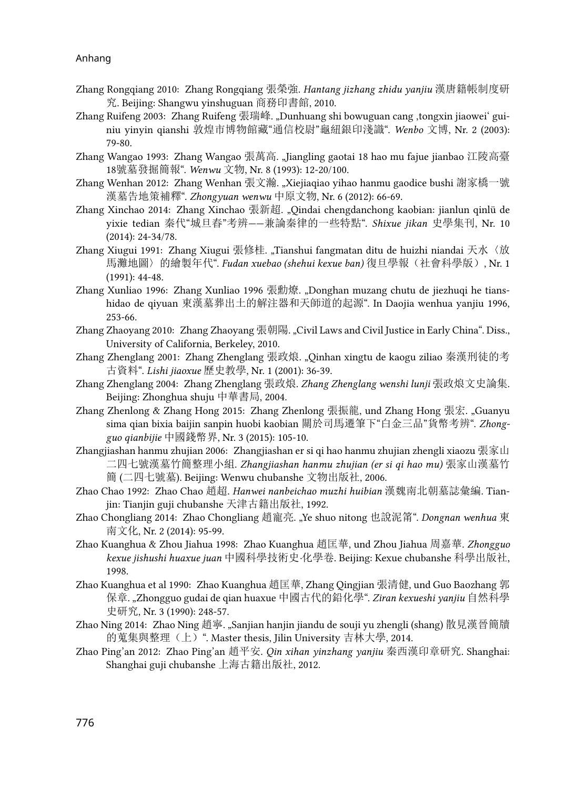- Zhang Rongqiang 2010: Zhang Rongqiang 張榮強. *Hantang jizhang zhidu yanjiu* 漢唐籍帳制度研 究. Beijing: Shangwu yinshuguan 商務印書館, 2010.
- Zhang Ruifeng 2003: Zhang Ruifeng 張瑞峰. "Dunhuang shi bowuguan cang ,tongxin jiaowei' guiniu yinyin qianshi 敦煌市博物館藏"通信校尉"龜紐銀印淺識". *Wenbo* 文博, Nr. 2 (2003): 79-80.
- Zhang Wangao 1993: Zhang Wangao 張萬高. "Jiangling gaotai 18 hao mu fajue jianbao 江陵高臺 18號墓發掘簡報". *Wenwu* 文物, Nr. 8 (1993): 12-20/100.
- Zhang Wenhan 2012: Zhang Wenhan 張文瀚. "Xiejiaqiao yihao hanmu gaodice bushi 謝家橋一號 漢墓告地策補釋". *Zhongyuan wenwu* 中原文物, Nr. 6 (2012): 66-69.
- Zhang Xinchao 2014: Zhang Xinchao 張新超. "Qindai chengdanchong kaobian: jianlun qinlü de yixie tedian 秦代"城旦舂"考辨——兼論秦律的一些特點". *Shixue jikan* 史學集刊, Nr. 10 (2014): 24-34/78.
- Zhang Xiugui 1991: Zhang Xiugui 張修桂. "Tianshui fangmatan ditu de huizhi niandai 天水〈放 馬灘地圖〉的繪製年代". *Fudan xuebao (shehui kexue ban)* 復旦學報(社會科學版), Nr. 1 (1991): 44-48.
- Zhang Xunliao 1996: Zhang Xunliao 1996 張勳燎. "Donghan muzang chutu de jiezhuqi he tianshidao de qiyuan 東漢墓葬出土的解注器和天師道的起源". In Daojia wenhua yanjiu 1996, 253-66.
- Zhang Zhaoyang 2010: Zhang Zhaoyang 張朝陽. "Civil Laws and Civil Justice in Early China". Diss., University of California, Berkeley, 2010.
- Zhang Zhenglang 2001: Zhang Zhenglang 張政烺. "Qinhan xingtu de kaogu ziliao 秦漢刑徒的考 古資料". *Lishi jiaoxue* 歷史教學, Nr. 1 (2001): 36-39.
- Zhang Zhenglang 2004: Zhang Zhenglang 張政烺. *Zhang Zhenglang wenshi lunji* 張政烺文史論集. Beijing: Zhonghua shuju 中華書局, 2004.
- Zhang Zhenlong & Zhang Hong 2015: Zhang Zhenlong 張振龍, und Zhang Hong 張宏. "Guanyu sima qian bixia baijin sanpin huobi kaobian 關於司馬遷筆下"白金三品"貨幣考辨". *Zhongguo qianbijie* 中國錢幣界, Nr. 3 (2015): 105-10.
- Zhangjiashan hanmu zhujian 2006: Zhangjiashan er si qi hao hanmu zhujian zhengli xiaozu 張家山 二四七號漢墓竹簡整理小組. *Zhangjiashan hanmu zhujian (er si qi hao mu)* 張家山漢墓竹 簡 (二四七號墓). Beijing: Wenwu chubanshe 文物出版社, 2006.
- Zhao Chao 1992: Zhao Chao 趙超. *Hanwei nanbeichao muzhi huibian* 漢魏南北朝墓誌彙編. Tianjin: Tianjin guji chubanshe 天津古籍出版社, 1992.
- Zhao Chongliang 2014: Zhao Chongliang 趙寵亮. "Ye shuo nitong 也說泥筩". *Dongnan wenhua* 東 南文化, Nr. 2 (2014): 95-99.
- Zhao Kuanghua & Zhou Jiahua 1998: Zhao Kuanghua 趙匡華, und Zhou Jiahua 周嘉華. *Zhongguo kexue jishushi huaxue juan* 中國科學技術史*·*化學卷. Beijing: Kexue chubanshe 科學出版社, 1998.
- Zhao Kuanghua et al 1990: Zhao Kuanghua 趙匡華, Zhang Qingjian 張清健, und Guo Baozhang 郭 保章. "Zhongguo gudai de qian huaxue 中國古代的鉛化學". *Ziran kexueshi yanjiu* 自然科學 史研究, Nr. 3 (1990): 248-57.
- Zhao Ning 2014: Zhao Ning 趙寧. "Sanjian hanjin jiandu de souji yu zhengli (shang) 散見漢晉簡牘 的蒐集與整理(上)". Master thesis, Jilin University 吉林大學, 2014.
- Zhao Ping'an 2012: Zhao Ping'an 趙平安. *Qin xihan yinzhang yanjiu* 秦西漢印章研究. Shanghai: Shanghai guji chubanshe 上海古籍出版社, 2012.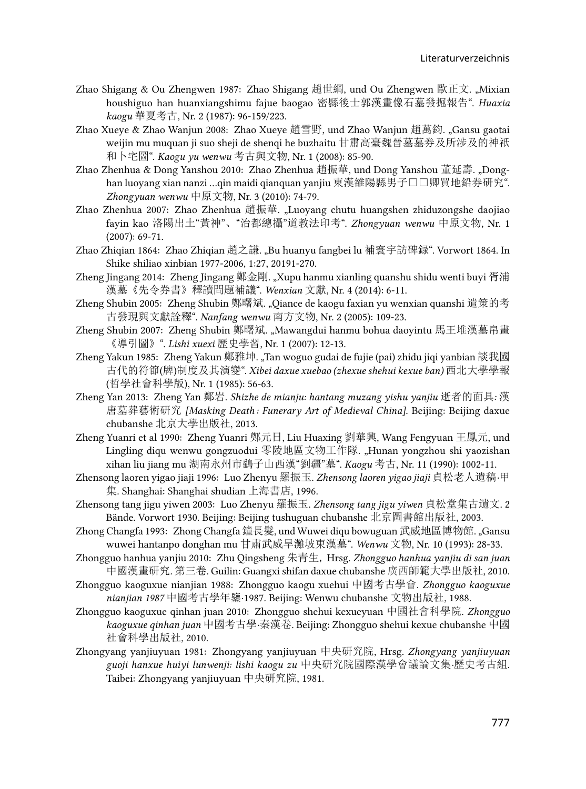- Zhao Shigang & Ou Zhengwen 1987: Zhao Shigang 趙世綱, und Ou Zhengwen 歐正文. "Mixian houshiguo han huanxiangshimu fajue baogao 密縣後士郭漢畫像石墓發掘報告". *Huaxia kaogu* 華夏考古, Nr. 2 (1987): 96-159/223.
- Zhao Xueye & Zhao Wanjun 2008: Zhao Xueye 趙雪野, und Zhao Wanjun 趙萬鈞. "Gansu gaotai weijin mu muquan ji suo sheji de shenqi he buzhaitu 甘肅高臺魏晉墓墓券及所涉及的神祇 和卜宅圖". *Kaogu yu wenwu* 考古與文物, Nr. 1 (2008): 85-90.
- Zhao Zhenhua & Dong Yanshou 2010: Zhao Zhenhua 趙振華, und Dong Yanshou 董延壽. "Donghan luoyang xian nanzi ...qin maidi qianquan yanjiu 東漢雒陽縣男子□□卿買地鉛券研究". *Zhongyuan wenwu* 中原文物, Nr. 3 (2010): 74-79.
- Zhao Zhenhua 2007: Zhao Zhenhua 趙振華. "Luoyang chutu huangshen zhiduzongshe daojiao fayin kao 洛陽出土"黃神"、"治都總攝"道教法印考". *Zhongyuan wenwu* 中原文物, Nr. 1 (2007): 69-71.
- Zhao Zhiqian 1864: Zhao Zhiqian 趙之謙. "Bu huanyu fangbei lu 補寰宇訪碑録". Vorwort 1864. In Shike shiliao xinbian 1977-2006, 1:27, 20191-270.
- Zheng Jingang 2014: Zheng Jingang 鄭金剛. "Xupu hanmu xianling quanshu shidu wenti buyi 胥浦 漢墓《先令券書》釋讀問題補議". *Wenxian* 文獻, Nr. 4 (2014): 6-11.
- Zheng Shubin 2005: Zheng Shubin 鄭曙斌. "Qiance de kaogu faxian yu wenxian quanshi 遣策的考 古發現與文獻詮釋". *Nanfang wenwu* 南方文物, Nr. 2 (2005): 109-23.
- Zheng Shubin 2007: Zheng Shubin 鄭曙斌. "Mawangdui hanmu bohua daoyintu 馬王堆漢墓帛畫 《導引圖》". *Lishi xuexi* 歷史學習, Nr. 1 (2007): 12-13.
- Zheng Yakun 1985: Zheng Yakun 鄭雅坤. "Tan woguo gudai de fujie (pai) zhidu jiqi yanbian 談我國 古代的符節(牌)制度及其演變". *Xibei daxue xuebao (zhexue shehui kexue ban)* 西北大學學報 (哲學社會科學版), Nr. 1 (1985): 56-63.
- Zheng Yan 2013: Zheng Yan 鄭岩. *Shizhe de mianju: hantang muzang yishu yanjiu* 逝者的面具*:* 漢 唐墓葬藝術研究 *[Masking Death : Funerary Art of Medieval China]*. Beijing: Beijing daxue chubanshe 北京大學出版社, 2013.
- Zheng Yuanri et al 1990: Zheng Yuanri 鄭元日, Liu Huaxing 劉華興, Wang Fengyuan 王鳳元, und Lingling diqu wenwu gongzuodui 零陵地區文物工作隊. "Hunan yongzhou shi yaozishan xihan liu jiang mu 湖南永州市鷂子山西漢"劉疆"墓". *Kaogu* 考古, Nr. 11 (1990): 1002-11.
- Zhensong laoren yigao jiaji 1996: Luo Zhenyu 羅振玉. *Zhensong laoren yigao jiaji* 貞松老人遺稿*·*甲 集. Shanghai: Shanghai shudian 上海書店, 1996.
- Zhensong tang jigu yiwen 2003: Luo Zhenyu 羅振玉. *Zhensong tang jigu yiwen* 貞松堂集古遺文. 2 Bände. Vorwort 1930. Beijing: Beijing tushuguan chubanshe 北京圖書館出版社, 2003.
- Zhong Changfa 1993: Zhong Changfa 鐘長髮, und Wuwei diqu bowuguan 武威地區博物館. "Gansu wuwei hantanpo donghan mu 甘肅武威旱灘坡東漢墓". *Wenwu* 文物, Nr. 10 (1993): 28-33.
- Zhongguo hanhua yanjiu 2010: Zhu Qingsheng 朱青生, Hrsg. *Zhongguo hanhua yanjiu di san juan*  中國漢畫研究*.* 第三卷. Guilin: Guangxi shifan daxue chubanshe 廣西師範大學出版社, 2010.
- Zhongguo kaoguxue nianjian 1988: Zhongguo kaogu xuehui 中國考古學會. *Zhongguo kaoguxue nianjian 1987* 中國考古學年鑒·1987. Beijing: Wenwu chubanshe 文物出版社, 1988.
- Zhongguo kaoguxue qinhan juan 2010: Zhongguo shehui kexueyuan 中國社會科學院. *Zhongguo kaoguxue qinhan juan* 中國考古學*·*秦漢卷. Beijing: Zhongguo shehui kexue chubanshe 中國 社會科學出版社, 2010.
- Zhongyang yanjiuyuan 1981: Zhongyang yanjiuyuan 中央研究院, Hrsg. *Zhongyang yanjiuyuan guoji hanxue huiyi lunwenji: lishi kaogu zu* 中央研究院國際漢學會議論文集*·*歷史考古組. Taibei: Zhongyang yanjiuyuan 中央研究院, 1981.